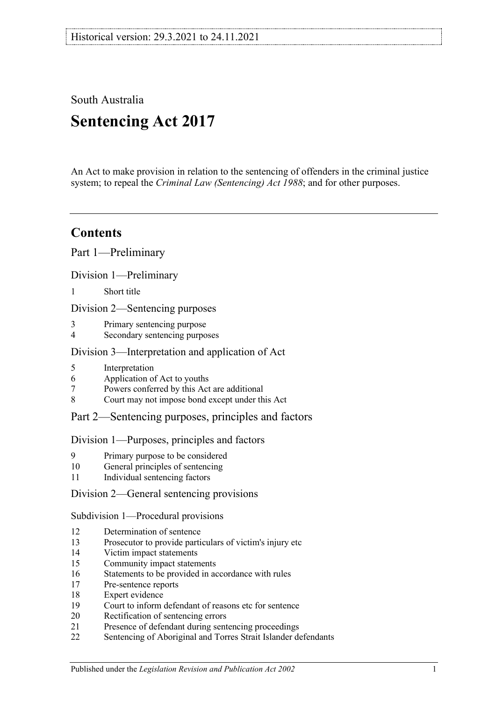South Australia **Sentencing Act 2017**

An Act to make provision in relation to the sentencing of offenders in the criminal justice system; to repeal the *[Criminal Law \(Sentencing\) Act](http://www.legislation.sa.gov.au/index.aspx?action=legref&type=act&legtitle=Criminal%20Law%20(Sentencing)%20Act%201988) 1988*; and for other purposes.

# **Contents**

Part [1—Preliminary](#page-4-0)

Division [1—Preliminary](#page-4-1)

1 [Short title](#page-4-2)

Division [2—Sentencing purposes](#page-4-3)

- 3 [Primary sentencing purpose](#page-4-4)
- 4 [Secondary sentencing purposes](#page-4-5)

# Division [3—Interpretation and application of Act](#page-5-0)

- 5 [Interpretation](#page-5-1)<br>6 Application of
- 6 [Application of Act to youths](#page-9-0)<br>7 Powers conferred by this Act
- 7 [Powers conferred by this Act are additional](#page-9-1)<br>8 Court may not impose bond except under the
- [Court may not impose bond except under this Act](#page-10-0)

# Part [2—Sentencing purposes, principles and factors](#page-10-1)

#### Division [1—Purposes, principles and factors](#page-10-2)

- 9 [Primary purpose to be considered](#page-10-3)
- 10 [General principles of sentencing](#page-10-4)
- 11 [Individual sentencing factors](#page-10-5)

# Division [2—General sentencing provisions](#page-12-0)

Subdivision [1—Procedural provisions](#page-12-1)

- 12 [Determination of sentence](#page-12-2)<br>13 Prosecutor to provide parti
- [Prosecutor to provide particulars of victim's injury etc](#page-12-3)
- 14 [Victim impact statements](#page-12-4)
- 15 [Community impact statements](#page-14-0)
- 16 [Statements to be provided in accordance with rules](#page-14-1)
- 17 [Pre-sentence reports](#page-14-2)
- 18 [Expert evidence](#page-15-0)
- 19 Court [to inform defendant of reasons etc for sentence](#page-16-0)<br>20 Rectification of sentencing errors
- [Rectification of sentencing errors](#page-16-1)
- 21 [Presence of defendant during sentencing proceedings](#page-16-2)
- 22 [Sentencing of Aboriginal and Torres Strait Islander defendants](#page-17-0)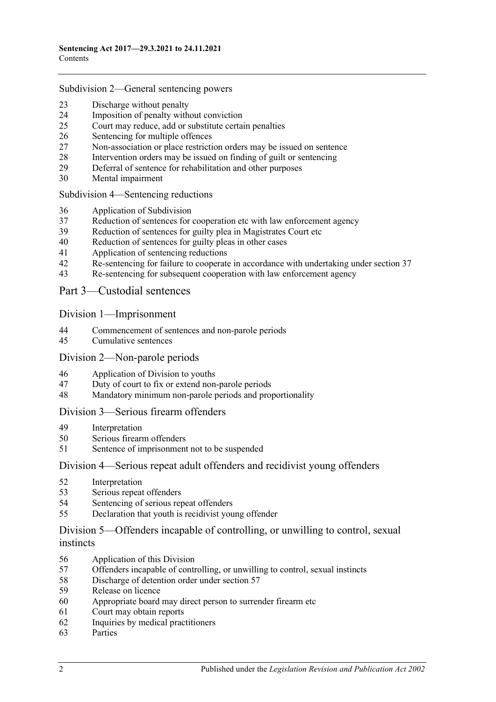#### Subdivision [2—General sentencing powers](#page-18-0)

- [Discharge without penalty](#page-18-1)<br>24 Imposition of penalty with
- [Imposition of penalty without conviction](#page-18-2)<br>25 Court may reduce, add or substitute certain
- [Court may reduce, add or substitute certain penalties](#page-19-0)
- [Sentencing for multiple offences](#page-20-0)<br>27 Non-association or place restricti
- [Non-association or place restriction orders may be issued on sentence](#page-20-1)
- [Intervention orders may be issued on finding of guilt or sentencing](#page-21-0)<br>29 Deferral of sentence for rehabilitation and other purposes
- [Deferral of sentence for rehabilitation and other purposes](#page-22-0)<br>30 Mental impairment
- [Mental impairment](#page-23-0)

Subdivision [4—Sentencing reductions](#page-24-0)

- [Application of Subdivision](#page-24-1)
- [Reduction of sentences for cooperation etc with law enforcement agency](#page-25-0)
- [Reduction of sentences for guilty plea in Magistrates Court etc](#page-26-0)<br>40 Reduction of sentences for guilty pleas in other cases
- [Reduction of sentences for guilty pleas in other cases](#page-28-0)<br>41 Application of sentencing reductions
- [Application of sentencing reductions](#page-32-0)<br>42 Re-sentencing for failure to cooperate
- [Re-sentencing for failure to cooperate in accordance with undertaking under section](#page-32-1) 37
- [Re-sentencing for subsequent cooperation with law enforcement agency](#page-33-0)

Part [3—Custodial sentences](#page-34-0)

Division [1—Imprisonment](#page-34-1)

- [Commencement of sentences and non-parole periods](#page-34-2)<br>45 Cumulative sentences
- [Cumulative sentences](#page-35-0)

#### Division [2—Non-parole periods](#page-36-0)

- [Application of Division to youths](#page-36-1)
- [Duty of court to fix or extend non-parole periods](#page-36-2)
- [Mandatory minimum non-parole periods and proportionality](#page-39-0)

#### Division [3—Serious firearm offenders](#page-40-0)

- [Interpretation](#page-40-1)
- [Serious firearm offenders](#page-42-0)
- [Sentence of imprisonment not to be suspended](#page-42-1)

#### Division [4—Serious repeat adult offenders and recidivist young offenders](#page-42-2)

- [Interpretation](#page-42-3)
- [Serious repeat offenders](#page-44-0)
- [Sentencing of serious repeat offenders](#page-44-1)
- [Declaration that youth is recidivist young offender](#page-44-2)

## Division [5—Offenders incapable of controlling, or unwilling to control, sexual](#page-45-0)  [instincts](#page-45-0)

- [Application of this Division](#page-45-1)
- Offenders incapable of controlling, [or unwilling to control, sexual instincts](#page-45-2)
- [Discharge of detention order under section](#page-48-0) 57
- [Release on licence](#page-49-0)
- [Appropriate board may direct person to surrender firearm etc](#page-52-0)
- [Court may obtain reports](#page-52-1)
- [Inquiries by medical practitioners](#page-52-2)
- [Parties](#page-53-0)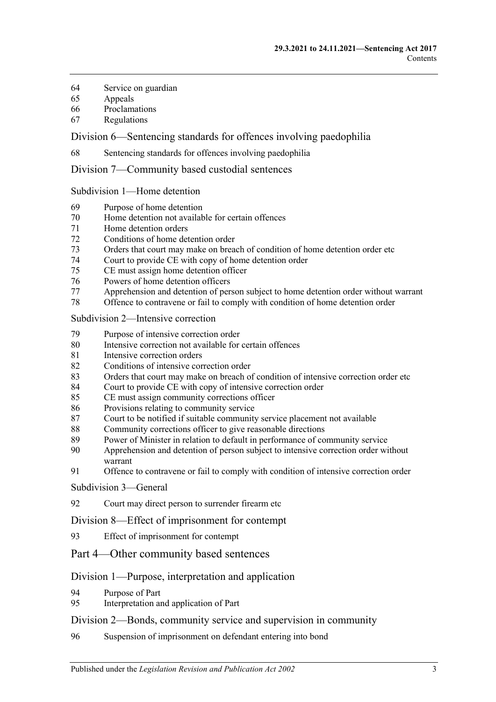- [Service on guardian](#page-53-1)<br>65 Appeals
- **[Appeals](#page-53-2)**
- [Proclamations](#page-54-0)
- [Regulations](#page-54-1)

Division [6—Sentencing standards for offences involving paedophilia](#page-54-2)

[Sentencing standards for offences involving paedophilia](#page-54-3)

Division [7—Community based custodial sentences](#page-54-4)

Subdivision [1—Home detention](#page-54-5)

- [Purpose of home detention](#page-54-6)
- [Home detention not available for certain offences](#page-55-0)<br>71 Home detention orders
- [Home detention orders](#page-55-1)
- [Conditions of home detention order](#page-60-0)
- [Orders that court may make on breach of condition of home detention order etc](#page-61-0)<br>74 Court to provide CE with copy of home detention order
- [Court to provide CE with copy of home detention order](#page-63-0)<br>75 CE must assign home detention officer
- [CE must assign home detention officer](#page-63-1)
- Powers of [home detention officers](#page-64-0)
- [Apprehension and detention of person subject to home detention order without warrant](#page-64-1)
- [Offence to contravene or fail to comply with condition of home detention order](#page-64-2)

Subdivision [2—Intensive correction](#page-65-0)

- [Purpose of intensive correction order](#page-65-1)
- [Intensive correction not available for certain offences](#page-65-2)
- [Intensive correction orders](#page-65-3)
- [Conditions of intensive correction order](#page-69-0)
- [Orders that court may make on breach of condition of intensive correction order etc](#page-71-0)<br>84 Court to provide CE with copy of intensive correction order
- [Court to provide CE with copy of intensive correction order](#page-74-0)
- [CE must assign community corrections officer](#page-74-1)
- [Provisions relating to community service](#page-74-2)
- [Court to be notified if suitable community service placement not available](#page-75-0)
- [Community corrections officer to give reasonable directions](#page-75-1)<br>89 Power of Minister in relation to default in performance of co
- [Power of Minister in relation to default in performance of community service](#page-76-0)
- Apprehension and detention of [person subject to intensive correction order without](#page-76-1)  [warrant](#page-76-1)
- [Offence to contravene or fail to comply with condition of intensive correction order](#page-76-2)

[Subdivision](#page-77-0) 3—General

[Court may direct person to surrender firearm etc](#page-77-1)

Division [8—Effect of imprisonment for contempt](#page-77-2)

- [Effect of imprisonment for contempt](#page-77-3)
- Part [4—Other community based sentences](#page-77-4)

# Division [1—Purpose, interpretation and application](#page-77-5)

- [Purpose of Part](#page-77-6)
- [Interpretation and application of Part](#page-77-7)

#### Division [2—Bonds, community service and supervision in community](#page-78-0)

[Suspension of imprisonment on defendant entering into bond](#page-78-1)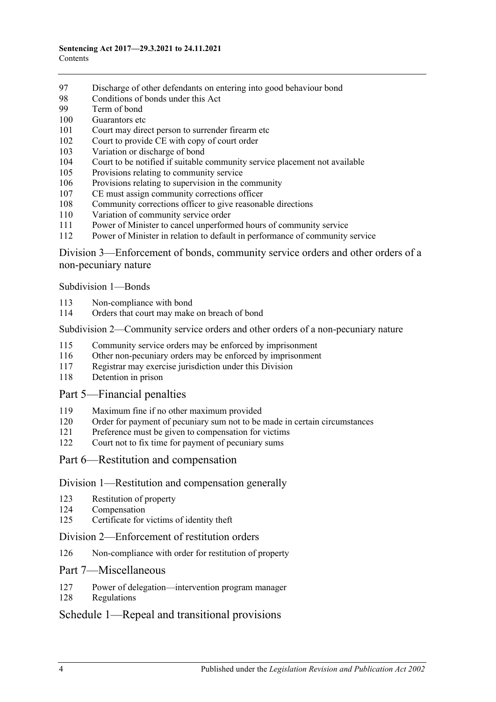- [Discharge of other defendants on entering into good behaviour bond](#page-83-0)<br>98 Conditions of bonds under this Act
- [Conditions of bonds under this Act](#page-83-1)<br>99 Term of bond
- [Term of bond](#page-85-0)
- [Guarantors etc](#page-85-1)
- [Court may direct person to surrender firearm etc](#page-86-0)<br>102 Court to provide CE with copy of court order
- [Court to provide CE with copy of court order](#page-86-1)
- [Variation or discharge of bond](#page-86-2)<br>104 Court to be notified if suitable
- [Court to be notified if suitable community service placement not available](#page-87-0)
- [Provisions relating to community service](#page-87-1)
- [Provisions relating to supervision in the community](#page-88-0)
- [CE must assign community corrections officer](#page-88-1)
- [Community corrections officer to give reasonable directions](#page-89-0)
- [Variation of community service order](#page-89-1)
- [Power of Minister to cancel unperformed hours of community service](#page-90-0)
- [Power of Minister in relation to default in performance of community service](#page-90-1)

Division [3—Enforcement of bonds, community service orders and other orders of a](#page-91-0)  [non-pecuniary nature](#page-91-0)

[Subdivision](#page-91-1) 1—Bonds

- [Non-compliance with bond](#page-91-2)
- [Orders that court may make on breach of bond](#page-92-0)

#### Subdivision [2—Community service orders and other orders of a non-pecuniary nature](#page-93-0)

- [Community service orders may be enforced by imprisonment](#page-93-1)
- [Other non-pecuniary orders may be enforced by imprisonment](#page-95-0)
- [Registrar may exercise jurisdiction under this Division](#page-95-1)
- [Detention in prison](#page-96-0)

#### Part [5—Financial penalties](#page-96-1)

- [Maximum fine if no other maximum provided](#page-96-2)
- [Order for payment of pecuniary sum not to be made in certain circumstances](#page-96-3)
- [Preference must be given to compensation for victims](#page-96-4)
- [Court not to fix time for payment of pecuniary sums](#page-97-0)
- Part [6—Restitution and compensation](#page-97-1)

#### Division [1—Restitution and compensation generally](#page-97-2)

- [Restitution of property](#page-97-3)
- [Compensation](#page-97-4)
- [Certificate for victims of identity theft](#page-98-0)

#### Division [2—Enforcement of restitution orders](#page-99-0)

[Non-compliance with order for restitution of property](#page-99-1)

#### Part [7—Miscellaneous](#page-100-0)

- [Power of delegation—intervention program manager](#page-100-1)
- [Regulations](#page-100-2)

# Schedule [1—Repeal and transitional provisions](#page-101-0)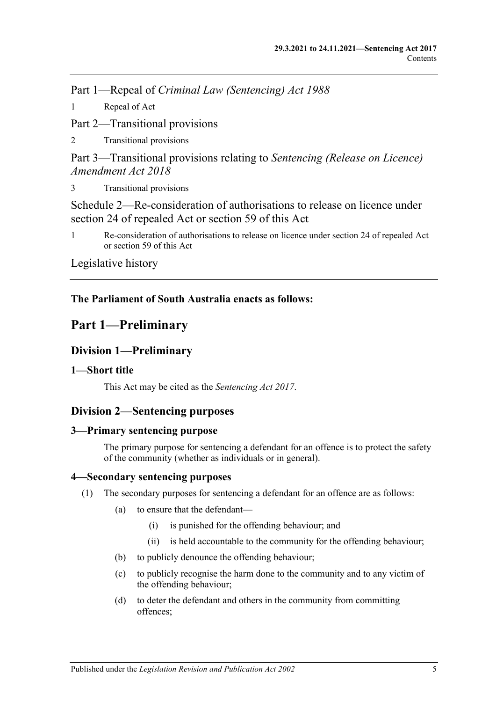Part 1—Repeal of *Criminal Law (Sentencing) Act 1988*

1 [Repeal of Act](#page-101-1)

Part 2—Transitional provisions

2 [Transitional provisions](#page-101-2)

Part 3—Transitional provisions relating to *Sentencing (Release on Licence) Amendment Act 2018*

3 [Transitional provisions](#page-101-3)

[Schedule 2—Re-consideration of authorisations to release on licence under](#page-102-0)  [section 24 of repealed Act or section](#page-102-0) 59 of this Act

1 [Re-consideration of authorisations to release on licence under section 24 of repealed Act](#page-102-1)  or [section](#page-49-0) 59 [of this Act](#page-102-1)

[Legislative history](#page-105-0)

# **The Parliament of South Australia enacts as follows:**

# <span id="page-4-0"></span>**Part 1—Preliminary**

# <span id="page-4-1"></span>**Division 1—Preliminary**

# <span id="page-4-2"></span>**1—Short title**

This Act may be cited as the *Sentencing Act 2017*.

# <span id="page-4-3"></span>**Division 2—Sentencing purposes**

# <span id="page-4-4"></span>**3—Primary sentencing purpose**

The primary purpose for sentencing a defendant for an offence is to protect the safety of the community (whether as individuals or in general).

# <span id="page-4-5"></span>**4—Secondary sentencing purposes**

- <span id="page-4-6"></span>(1) The secondary purposes for sentencing a defendant for an offence are as follows:
	- (a) to ensure that the defendant—
		- (i) is punished for the offending behaviour; and
		- (ii) is held accountable to the community for the offending behaviour;
	- (b) to publicly denounce the offending behaviour;
	- (c) to publicly recognise the harm done to the community and to any victim of the offending behaviour;
	- (d) to deter the defendant and others in the community from committing offences;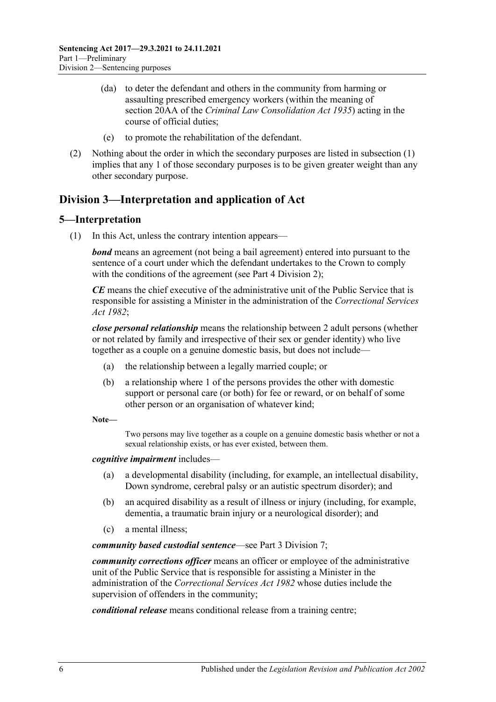- (da) to deter the defendant and others in the community from harming or assaulting prescribed emergency workers (within the meaning of section 20AA of the *[Criminal Law Consolidation Act](http://www.legislation.sa.gov.au/index.aspx?action=legref&type=act&legtitle=Criminal%20Law%20Consolidation%20Act%201935) 1935*) acting in the course of official duties;
- (e) to promote the rehabilitation of the defendant.
- (2) Nothing about the order in which the secondary purposes are listed in [subsection](#page-4-6) (1) implies that any 1 of those secondary purposes is to be given greater weight than any other secondary purpose.

# <span id="page-5-0"></span>**Division 3—Interpretation and application of Act**

# <span id="page-5-1"></span>**5—Interpretation**

(1) In this Act, unless the contrary intention appears—

*bond* means an agreement (not being a bail agreement) entered into pursuant to the sentence of a court under which the defendant undertakes to the Crown to comply with the conditions of the agreement (see Part [4 Division](#page-78-0) 2);

*CE* means the chief executive of the administrative unit of the Public Service that is responsible for assisting a Minister in the administration of the *[Correctional Services](http://www.legislation.sa.gov.au/index.aspx?action=legref&type=act&legtitle=Correctional%20Services%20Act%201982)  Act [1982](http://www.legislation.sa.gov.au/index.aspx?action=legref&type=act&legtitle=Correctional%20Services%20Act%201982)*;

*close personal relationship* means the relationship between 2 adult persons (whether or not related by family and irrespective of their sex or gender identity) who live together as a couple on a genuine domestic basis, but does not include—

- (a) the relationship between a legally married couple; or
- (b) a relationship where 1 of the persons provides the other with domestic support or personal care (or both) for fee or reward, or on behalf of some other person or an organisation of whatever kind;

**Note—**

Two persons may live together as a couple on a genuine domestic basis whether or not a sexual relationship exists, or has ever existed, between them.

#### *cognitive impairment* includes—

- (a) a developmental disability (including, for example, an intellectual disability, Down syndrome, cerebral palsy or an autistic spectrum disorder); and
- (b) an acquired disability as a result of illness or injury (including, for example, dementia, a traumatic brain injury or a neurological disorder); and
- (c) a mental illness;

*community based custodial sentence*—see Part [3 Division](#page-54-4) 7;

*community corrections officer* means an officer or employee of the administrative unit of the Public Service that is responsible for assisting a Minister in the administration of the *[Correctional Services Act](http://www.legislation.sa.gov.au/index.aspx?action=legref&type=act&legtitle=Correctional%20Services%20Act%201982) 1982* whose duties include the supervision of offenders in the community;

*conditional release* means conditional release from a training centre;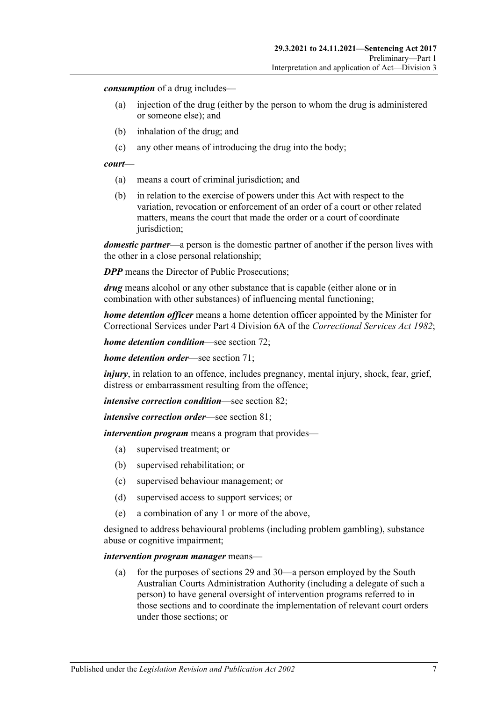*consumption* of a drug includes—

- (a) injection of the drug (either by the person to whom the drug is administered or someone else); and
- (b) inhalation of the drug; and
- (c) any other means of introducing the drug into the body;

#### *court*—

- (a) means a court of criminal jurisdiction; and
- (b) in relation to the exercise of powers under this Act with respect to the variation, revocation or enforcement of an order of a court or other related matters, means the court that made the order or a court of coordinate jurisdiction;

*domestic partner*—a person is the domestic partner of another if the person lives with the other in a close personal relationship;

*DPP* means the Director of Public Prosecutions;

*drug* means alcohol or any other substance that is capable (either alone or in combination with other substances) of influencing mental functioning;

*home detention officer* means a home detention officer appointed by the Minister for Correctional Services under Part 4 Division 6A of the *[Correctional Services Act](http://www.legislation.sa.gov.au/index.aspx?action=legref&type=act&legtitle=Correctional%20Services%20Act%201982) 1982*;

*home detention condition*—see [section](#page-60-0) 72;

*home detention order*—see [section](#page-55-1) 71;

*injury*, in relation to an offence, includes pregnancy, mental injury, shock, fear, grief, distress or embarrassment resulting from the offence;

*intensive correction condition*—see [section](#page-69-0) 82;

*intensive correction order*—see [section](#page-65-3) 81;

*intervention program* means a program that provides—

- (a) supervised treatment; or
- (b) supervised rehabilitation; or
- (c) supervised behaviour management; or
- (d) supervised access to support services; or
- (e) a combination of any 1 or more of the above,

designed to address behavioural problems (including problem gambling), substance abuse or cognitive impairment;

#### *intervention program manager* means—

(a) for the purposes of [sections](#page-22-0) 29 an[d 30—](#page-23-0)a person employed by the South Australian Courts Administration Authority (including a delegate of such a person) to have general oversight of intervention programs referred to in those sections and to coordinate the implementation of relevant court orders under those sections; or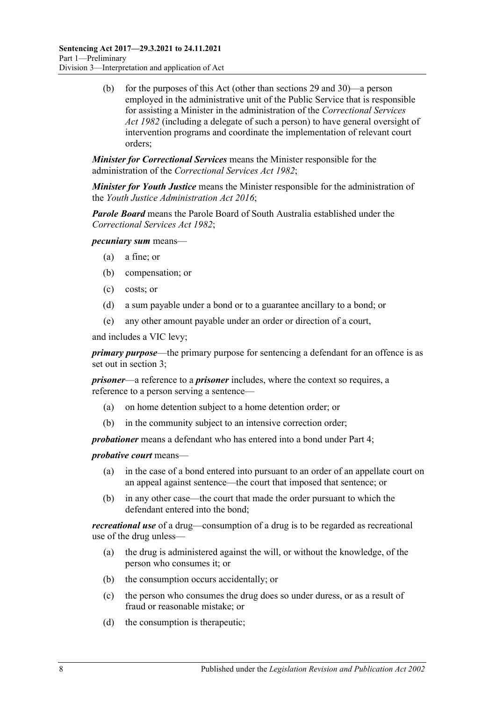(b) for the purposes of this Act (other than [sections](#page-22-0) 29 and [30\)](#page-23-0)—a person employed in the administrative unit of the Public Service that is responsible for assisting a Minister in the administration of the *[Correctional Services](http://www.legislation.sa.gov.au/index.aspx?action=legref&type=act&legtitle=Correctional%20Services%20Act%201982)  Act [1982](http://www.legislation.sa.gov.au/index.aspx?action=legref&type=act&legtitle=Correctional%20Services%20Act%201982)* (including a delegate of such a person) to have general oversight of intervention programs and coordinate the implementation of relevant court orders;

*Minister for Correctional Services* means the Minister responsible for the administration of the *[Correctional Services Act](http://www.legislation.sa.gov.au/index.aspx?action=legref&type=act&legtitle=Correctional%20Services%20Act%201982) 1982*;

*Minister for Youth Justice* means the Minister responsible for the administration of the *[Youth Justice Administration Act](http://www.legislation.sa.gov.au/index.aspx?action=legref&type=act&legtitle=Youth%20Justice%20Administration%20Act%202016) 2016*;

*Parole Board* means the Parole Board of South Australia established under the *[Correctional Services Act](http://www.legislation.sa.gov.au/index.aspx?action=legref&type=act&legtitle=Correctional%20Services%20Act%201982) 1982*;

*pecuniary sum* means—

- (a) a fine; or
- (b) compensation; or
- (c) costs; or
- (d) a sum payable under a bond or to a guarantee ancillary to a bond; or
- (e) any other amount payable under an order or direction of a court,

and includes a VIC levy;

*primary purpose*—the primary purpose for sentencing a defendant for an offence is as set out in [section](#page-4-4) 3;

*prisoner*—a reference to a *prisoner* includes, where the context so requires, a reference to a person serving a sentence—

- (a) on home detention subject to a home detention order; or
- (b) in the community subject to an intensive correction order;

*probationer* means a defendant who has entered into a bond under [Part](#page-77-4) 4;

*probative court* means—

- (a) in the case of a bond entered into pursuant to an order of an appellate court on an appeal against sentence—the court that imposed that sentence; or
- (b) in any other case—the court that made the order pursuant to which the defendant entered into the bond;

*recreational use* of a drug—consumption of a drug is to be regarded as recreational use of the drug unless—

- (a) the drug is administered against the will, or without the knowledge, of the person who consumes it; or
- (b) the consumption occurs accidentally; or
- (c) the person who consumes the drug does so under duress, or as a result of fraud or reasonable mistake; or
- (d) the consumption is therapeutic;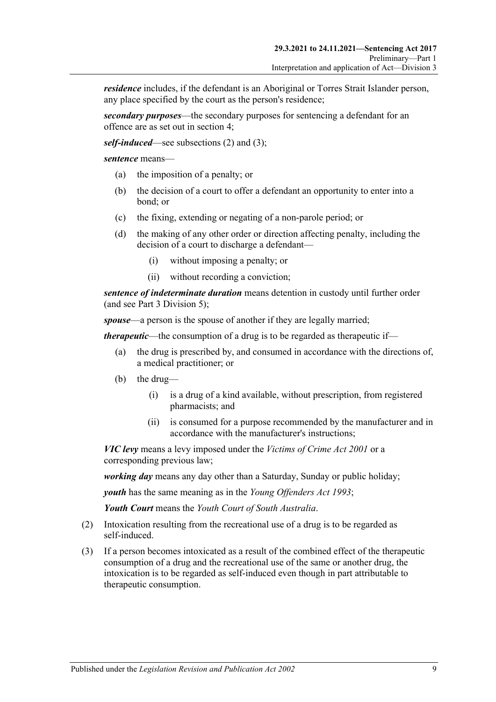*residence* includes, if the defendant is an Aboriginal or Torres Strait Islander person, any place specified by the court as the person's residence;

*secondary purposes*—the secondary purposes for sentencing a defendant for an offence are as set out in [section](#page-4-5) 4;

*self-induced*—see [subsections \(2\)](#page-8-0) and [\(3\);](#page-8-1)

*sentence* means—

- (a) the imposition of a penalty; or
- (b) the decision of a court to offer a defendant an opportunity to enter into a bond; or
- (c) the fixing, extending or negating of a non-parole period; or
- (d) the making of any other order or direction affecting penalty, including the decision of a court to discharge a defendant—
	- (i) without imposing a penalty; or
	- (ii) without recording a conviction;

*sentence of indeterminate duration* means detention in custody until further order (and see Part [3 Division](#page-45-0) 5);

*spouse*—a person is the spouse of another if they are legally married;

*therapeutic*—the consumption of a drug is to be regarded as therapeutic if—

- (a) the drug is prescribed by, and consumed in accordance with the directions of, a medical practitioner; or
- (b) the drug—
	- (i) is a drug of a kind available, without prescription, from registered pharmacists; and
	- (ii) is consumed for a purpose recommended by the manufacturer and in accordance with the manufacturer's instructions;

*VIC levy* means a levy imposed under the *[Victims of Crime Act](http://www.legislation.sa.gov.au/index.aspx?action=legref&type=act&legtitle=Victims%20of%20Crime%20Act%202001) 2001* or a corresponding previous law;

*working day* means any day other than a Saturday, Sunday or public holiday;

*youth* has the same meaning as in the *[Young Offenders Act](http://www.legislation.sa.gov.au/index.aspx?action=legref&type=act&legtitle=Young%20Offenders%20Act%201993) 1993*;

*Youth Court* means the *Youth Court of South Australia*.

- <span id="page-8-0"></span>(2) Intoxication resulting from the recreational use of a drug is to be regarded as self-induced.
- <span id="page-8-1"></span>(3) If a person becomes intoxicated as a result of the combined effect of the therapeutic consumption of a drug and the recreational use of the same or another drug, the intoxication is to be regarded as self-induced even though in part attributable to therapeutic consumption.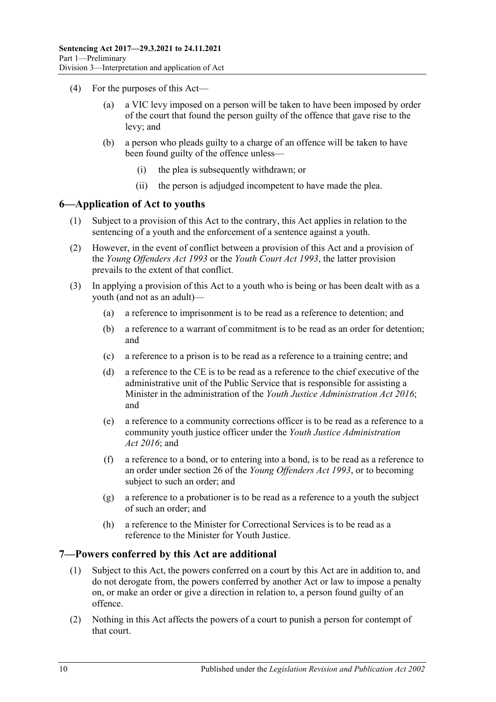- (4) For the purposes of this Act
	- a VIC levy imposed on a person will be taken to have been imposed by order of the court that found the person guilty of the offence that gave rise to the levy; and
	- (b) a person who pleads guilty to a charge of an offence will be taken to have been found guilty of the offence unless—
		- (i) the plea is subsequently withdrawn; or
		- (ii) the person is adjudged incompetent to have made the plea.

## <span id="page-9-0"></span>**6—Application of Act to youths**

- (1) Subject to a provision of this Act to the contrary, this Act applies in relation to the sentencing of a youth and the enforcement of a sentence against a youth.
- (2) However, in the event of conflict between a provision of this Act and a provision of the *[Young Offenders Act](http://www.legislation.sa.gov.au/index.aspx?action=legref&type=act&legtitle=Young%20Offenders%20Act%201993) 1993* or the *[Youth Court Act](http://www.legislation.sa.gov.au/index.aspx?action=legref&type=act&legtitle=Youth%20Court%20Act%201993) 1993*, the latter provision prevails to the extent of that conflict.
- (3) In applying a provision of this Act to a youth who is being or has been dealt with as a youth (and not as an adult)—
	- (a) a reference to imprisonment is to be read as a reference to detention; and
	- (b) a reference to a warrant of commitment is to be read as an order for detention; and
	- (c) a reference to a prison is to be read as a reference to a training centre; and
	- (d) a reference to the CE is to be read as a reference to the chief executive of the administrative unit of the Public Service that is responsible for assisting a Minister in the administration of the *[Youth Justice Administration Act](http://www.legislation.sa.gov.au/index.aspx?action=legref&type=act&legtitle=Youth%20Justice%20Administration%20Act%202016) 2016*; and
	- (e) a reference to a community corrections officer is to be read as a reference to a community youth justice officer under the *[Youth Justice Administration](http://www.legislation.sa.gov.au/index.aspx?action=legref&type=act&legtitle=Youth%20Justice%20Administration%20Act%202016)  Act [2016](http://www.legislation.sa.gov.au/index.aspx?action=legref&type=act&legtitle=Youth%20Justice%20Administration%20Act%202016)*; and
	- (f) a reference to a bond, or to entering into a bond, is to be read as a reference to an order under section 26 of the *[Young Offenders Act](http://www.legislation.sa.gov.au/index.aspx?action=legref&type=act&legtitle=Young%20Offenders%20Act%201993) 1993*, or to becoming subject to such an order; and
	- (g) a reference to a probationer is to be read as a reference to a youth the subject of such an order; and
	- (h) a reference to the Minister for Correctional Services is to be read as a reference to the Minister for Youth Justice.

#### <span id="page-9-1"></span>**7—Powers conferred by this Act are additional**

- (1) Subject to this Act, the powers conferred on a court by this Act are in addition to, and do not derogate from, the powers conferred by another Act or law to impose a penalty on, or make an order or give a direction in relation to, a person found guilty of an offence.
- (2) Nothing in this Act affects the powers of a court to punish a person for contempt of that court.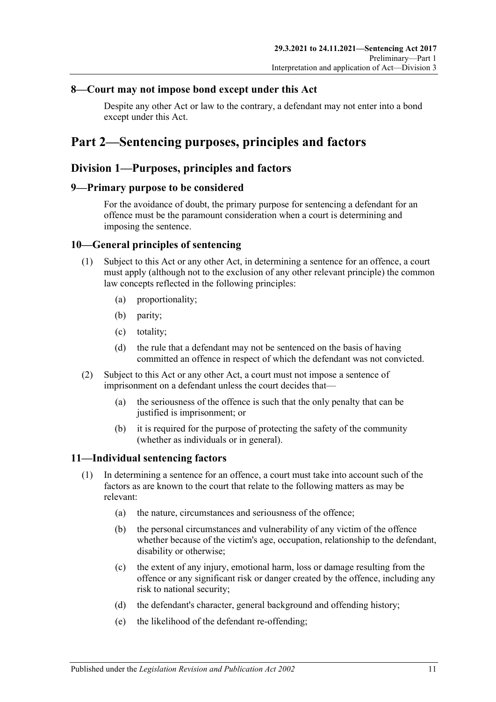# <span id="page-10-0"></span>**8—Court may not impose bond except under this Act**

Despite any other Act or law to the contrary, a defendant may not enter into a bond except under this Act.

# <span id="page-10-1"></span>**Part 2—Sentencing purposes, principles and factors**

# <span id="page-10-2"></span>**Division 1—Purposes, principles and factors**

## <span id="page-10-3"></span>**9—Primary purpose to be considered**

For the avoidance of doubt, the primary purpose for sentencing a defendant for an offence must be the paramount consideration when a court is determining and imposing the sentence.

# <span id="page-10-4"></span>**10—General principles of sentencing**

- (1) Subject to this Act or any other Act, in determining a sentence for an offence, a court must apply (although not to the exclusion of any other relevant principle) the common law concepts reflected in the following principles:
	- (a) proportionality;
	- (b) parity;
	- (c) totality;
	- (d) the rule that a defendant may not be sentenced on the basis of having committed an offence in respect of which the defendant was not convicted.
- (2) Subject to this Act or any other Act, a court must not impose a sentence of imprisonment on a defendant unless the court decides that—
	- (a) the seriousness of the offence is such that the only penalty that can be justified is imprisonment; or
	- (b) it is required for the purpose of protecting the safety of the community (whether as individuals or in general).

# <span id="page-10-6"></span><span id="page-10-5"></span>**11—Individual sentencing factors**

- <span id="page-10-7"></span>(1) In determining a sentence for an offence, a court must take into account such of the factors as are known to the court that relate to the following matters as may be relevant:
	- (a) the nature, circumstances and seriousness of the offence;
	- (b) the personal circumstances and vulnerability of any victim of the offence whether because of the victim's age, occupation, relationship to the defendant, disability or otherwise;
	- (c) the extent of any injury, emotional harm, loss or damage resulting from the offence or any significant risk or danger created by the offence, including any risk to national security;
	- (d) the defendant's character, general background and offending history;
	- (e) the likelihood of the defendant re-offending;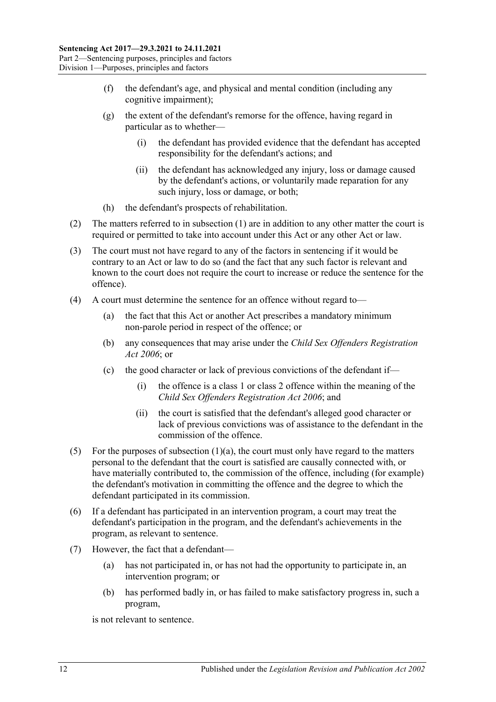- (f) the defendant's age, and physical and mental condition (including any cognitive impairment);
- (g) the extent of the defendant's remorse for the offence, having regard in particular as to whether—
	- (i) the defendant has provided evidence that the defendant has accepted responsibility for the defendant's actions; and
	- (ii) the defendant has acknowledged any injury, loss or damage caused by the defendant's actions, or voluntarily made reparation for any such injury, loss or damage, or both;
- (h) the defendant's prospects of rehabilitation.
- (2) The matters referred to in [subsection](#page-10-6) (1) are in addition to any other matter the court is required or permitted to take into account under this Act or any other Act or law.
- (3) The court must not have regard to any of the factors in sentencing if it would be contrary to an Act or law to do so (and the fact that any such factor is relevant and known to the court does not require the court to increase or reduce the sentence for the offence).
- (4) A court must determine the sentence for an offence without regard to—
	- (a) the fact that this Act or another Act prescribes a mandatory minimum non-parole period in respect of the offence; or
	- (b) any consequences that may arise under the *[Child Sex Offenders Registration](http://www.legislation.sa.gov.au/index.aspx?action=legref&type=act&legtitle=Child%20Sex%20Offenders%20Registration%20Act%202006)  Act [2006](http://www.legislation.sa.gov.au/index.aspx?action=legref&type=act&legtitle=Child%20Sex%20Offenders%20Registration%20Act%202006)*; or
	- (c) the good character or lack of previous convictions of the defendant if—
		- (i) the offence is a class 1 or class 2 offence within the meaning of the *[Child Sex Offenders Registration Act](http://www.legislation.sa.gov.au/index.aspx?action=legref&type=act&legtitle=Child%20Sex%20Offenders%20Registration%20Act%202006) 2006*; and
		- (ii) the court is satisfied that the defendant's alleged good character or lack of previous convictions was of assistance to the defendant in the commission of the offence.
- (5) For the purposes of [subsection](#page-10-7)  $(1)(a)$ , the court must only have regard to the matters personal to the defendant that the court is satisfied are causally connected with, or have materially contributed to, the commission of the offence, including (for example) the defendant's motivation in committing the offence and the degree to which the defendant participated in its commission.
- (6) If a defendant has participated in an intervention program, a court may treat the defendant's participation in the program, and the defendant's achievements in the program, as relevant to sentence.
- (7) However, the fact that a defendant—
	- (a) has not participated in, or has not had the opportunity to participate in, an intervention program; or
	- (b) has performed badly in, or has failed to make satisfactory progress in, such a program,

is not relevant to sentence.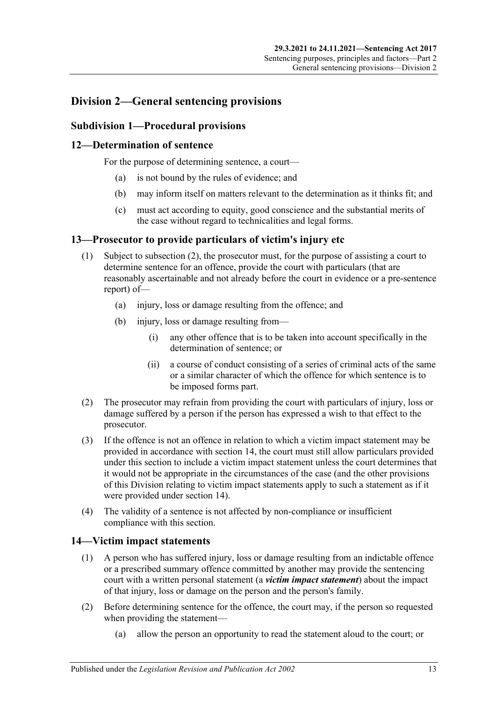# <span id="page-12-0"></span>**Division 2—General sentencing provisions**

# <span id="page-12-1"></span>**Subdivision 1—Procedural provisions**

# <span id="page-12-2"></span>**12—Determination of sentence**

For the purpose of determining sentence, a court—

- (a) is not bound by the rules of evidence; and
- (b) may inform itself on matters relevant to the determination as it thinks fit; and
- (c) must act according to equity, good conscience and the substantial merits of the case without regard to technicalities and legal forms.

## <span id="page-12-3"></span>**13—Prosecutor to provide particulars of victim's injury etc**

- (1) Subject to [subsection](#page-12-5) (2), the prosecutor must, for the purpose of assisting a court to determine sentence for an offence, provide the court with particulars (that are reasonably ascertainable and not already before the court in evidence or a pre-sentence report) of—
	- (a) injury, loss or damage resulting from the offence; and
	- (b) injury, loss or damage resulting from—
		- (i) any other offence that is to be taken into account specifically in the determination of sentence; or
		- (ii) a course of conduct consisting of a series of criminal acts of the same or a similar character of which the offence for which sentence is to be imposed forms part.
- <span id="page-12-5"></span>(2) The prosecutor may refrain from providing the court with particulars of injury, loss or damage suffered by a person if the person has expressed a wish to that effect to the prosecutor.
- (3) If the offence is not an offence in relation to which a victim impact statement may be provided in accordance with [section](#page-12-4) 14, the court must still allow particulars provided under this section to include a victim impact statement unless the court determines that it would not be appropriate in the circumstances of the case (and the other provisions of this Division relating to victim impact statements apply to such a statement as if it were provided under [section](#page-12-4) 14).
- (4) The validity of a sentence is not affected by non-compliance or insufficient compliance with this section.

# <span id="page-12-4"></span>**14—Victim impact statements**

- (1) A person who has suffered injury, loss or damage resulting from an indictable offence or a prescribed summary offence committed by another may provide the sentencing court with a written personal statement (a *victim impact statement*) about the impact of that injury, loss or damage on the person and the person's family.
- (2) Before determining sentence for the offence, the court may, if the person so requested when providing the statement—
	- (a) allow the person an opportunity to read the statement aloud to the court; or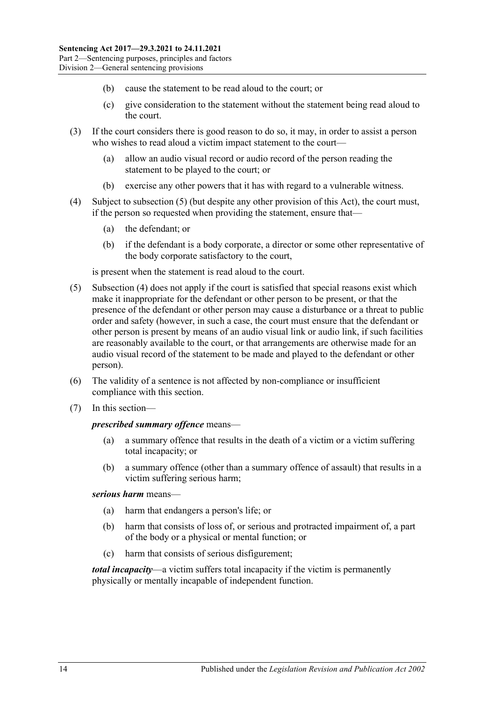- (b) cause the statement to be read aloud to the court; or
- (c) give consideration to the statement without the statement being read aloud to the court.
- (3) If the court considers there is good reason to do so, it may, in order to assist a person who wishes to read aloud a victim impact statement to the court—
	- (a) allow an audio visual record or audio record of the person reading the statement to be played to the court; or
	- (b) exercise any other powers that it has with regard to a vulnerable witness.
- <span id="page-13-1"></span>(4) Subject to [subsection](#page-13-0) (5) (but despite any other provision of this Act), the court must, if the person so requested when providing the statement, ensure that—
	- (a) the defendant; or
	- (b) if the defendant is a body corporate, a director or some other representative of the body corporate satisfactory to the court,

is present when the statement is read aloud to the court.

- <span id="page-13-0"></span>(5) [Subsection](#page-13-1) (4) does not apply if the court is satisfied that special reasons exist which make it inappropriate for the defendant or other person to be present, or that the presence of the defendant or other person may cause a disturbance or a threat to public order and safety (however, in such a case, the court must ensure that the defendant or other person is present by means of an audio visual link or audio link, if such facilities are reasonably available to the court, or that arrangements are otherwise made for an audio visual record of the statement to be made and played to the defendant or other person).
- (6) The validity of a sentence is not affected by non-compliance or insufficient compliance with this section.
- (7) In this section—

#### *prescribed summary offence* means—

- (a) a summary offence that results in the death of a victim or a victim suffering total incapacity; or
- (b) a summary offence (other than a summary offence of assault) that results in a victim suffering serious harm;

#### *serious harm* means—

- (a) harm that endangers a person's life; or
- (b) harm that consists of loss of, or serious and protracted impairment of, a part of the body or a physical or mental function; or
- (c) harm that consists of serious disfigurement;

*total incapacity*—a victim suffers total incapacity if the victim is permanently physically or mentally incapable of independent function.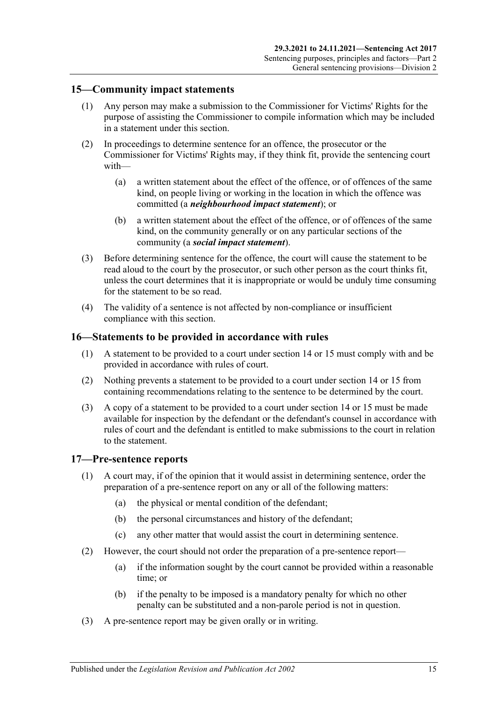## <span id="page-14-0"></span>**15—Community impact statements**

- (1) Any person may make a submission to the Commissioner for Victims' Rights for the purpose of assisting the Commissioner to compile information which may be included in a statement under this section.
- (2) In proceedings to determine sentence for an offence, the prosecutor or the Commissioner for Victims' Rights may, if they think fit, provide the sentencing court with—
	- (a) a written statement about the effect of the offence, or of offences of the same kind, on people living or working in the location in which the offence was committed (a *neighbourhood impact statement*); or
	- (b) a written statement about the effect of the offence, or of offences of the same kind, on the community generally or on any particular sections of the community (a *social impact statement*).
- (3) Before determining sentence for the offence, the court will cause the statement to be read aloud to the court by the prosecutor, or such other person as the court thinks fit, unless the court determines that it is inappropriate or would be unduly time consuming for the statement to be so read.
- (4) The validity of a sentence is not affected by non-compliance or insufficient compliance with this section.

#### <span id="page-14-1"></span>**16—Statements to be provided in accordance with rules**

- (1) A statement to be provided to a court under [section](#page-12-4) 14 or [15](#page-14-0) must comply with and be provided in accordance with rules of court.
- (2) Nothing prevents a statement to be provided to a court under [section](#page-12-4) 14 or [15](#page-14-0) from containing recommendations relating to the sentence to be determined by the court.
- (3) A copy of a statement to be provided to a court under [section](#page-12-4) 14 or [15](#page-14-0) must be made available for inspection by the defendant or the defendant's counsel in accordance with rules of court and the defendant is entitled to make submissions to the court in relation to the statement.

#### <span id="page-14-2"></span>**17—Pre-sentence reports**

- (1) A court may, if of the opinion that it would assist in determining sentence, order the preparation of a pre-sentence report on any or all of the following matters:
	- (a) the physical or mental condition of the defendant;
	- (b) the personal circumstances and history of the defendant;
	- (c) any other matter that would assist the court in determining sentence.
- (2) However, the court should not order the preparation of a pre-sentence report—
	- (a) if the information sought by the court cannot be provided within a reasonable time; or
	- (b) if the penalty to be imposed is a mandatory penalty for which no other penalty can be substituted and a non-parole period is not in question.
- (3) A pre-sentence report may be given orally or in writing.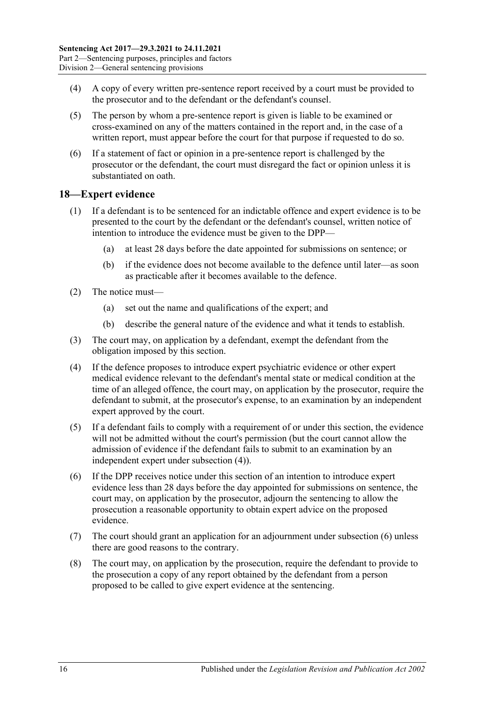- (4) A copy of every written pre-sentence report received by a court must be provided to the prosecutor and to the defendant or the defendant's counsel.
- (5) The person by whom a pre-sentence report is given is liable to be examined or cross-examined on any of the matters contained in the report and, in the case of a written report, must appear before the court for that purpose if requested to do so.
- (6) If a statement of fact or opinion in a pre-sentence report is challenged by the prosecutor or the defendant, the court must disregard the fact or opinion unless it is substantiated on oath.

## <span id="page-15-0"></span>**18—Expert evidence**

- (1) If a defendant is to be sentenced for an indictable offence and expert evidence is to be presented to the court by the defendant or the defendant's counsel, written notice of intention to introduce the evidence must be given to the DPP—
	- (a) at least 28 days before the date appointed for submissions on sentence; or
	- (b) if the evidence does not become available to the defence until later—as soon as practicable after it becomes available to the defence.
- (2) The notice must—
	- (a) set out the name and qualifications of the expert; and
	- (b) describe the general nature of the evidence and what it tends to establish.
- (3) The court may, on application by a defendant, exempt the defendant from the obligation imposed by this section.
- <span id="page-15-1"></span>(4) If the defence proposes to introduce expert psychiatric evidence or other expert medical evidence relevant to the defendant's mental state or medical condition at the time of an alleged offence, the court may, on application by the prosecutor, require the defendant to submit, at the prosecutor's expense, to an examination by an independent expert approved by the court.
- (5) If a defendant fails to comply with a requirement of or under this section, the evidence will not be admitted without the court's permission (but the court cannot allow the admission of evidence if the defendant fails to submit to an examination by an independent expert under [subsection](#page-15-1) (4)).
- <span id="page-15-2"></span>(6) If the DPP receives notice under this section of an intention to introduce expert evidence less than 28 days before the day appointed for submissions on sentence, the court may, on application by the prosecutor, adjourn the sentencing to allow the prosecution a reasonable opportunity to obtain expert advice on the proposed evidence.
- (7) The court should grant an application for an adjournment unde[r subsection](#page-15-2) (6) unless there are good reasons to the contrary.
- (8) The court may, on application by the prosecution, require the defendant to provide to the prosecution a copy of any report obtained by the defendant from a person proposed to be called to give expert evidence at the sentencing.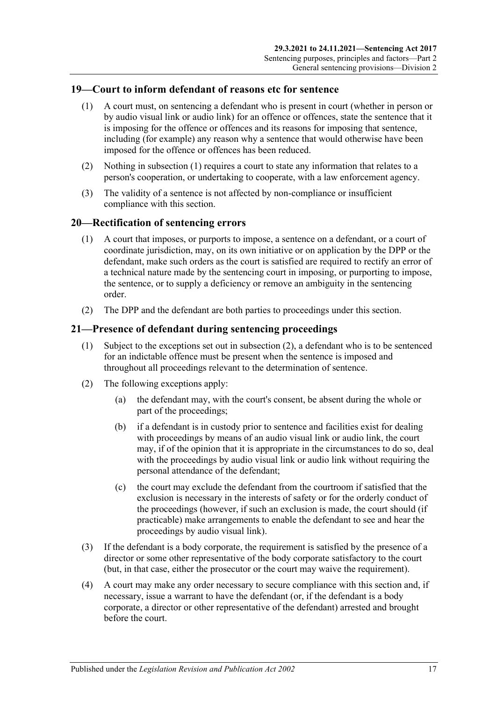# <span id="page-16-3"></span><span id="page-16-0"></span>**19—Court to inform defendant of reasons etc for sentence**

- (1) A court must, on sentencing a defendant who is present in court (whether in person or by audio visual link or audio link) for an offence or offences, state the sentence that it is imposing for the offence or offences and its reasons for imposing that sentence, including (for example) any reason why a sentence that would otherwise have been imposed for the offence or offences has been reduced.
- (2) Nothing in [subsection](#page-16-3) (1) requires a court to state any information that relates to a person's cooperation, or undertaking to cooperate, with a law enforcement agency.
- (3) The validity of a sentence is not affected by non-compliance or insufficient compliance with this section.

## <span id="page-16-1"></span>**20—Rectification of sentencing errors**

- (1) A court that imposes, or purports to impose, a sentence on a defendant, or a court of coordinate jurisdiction, may, on its own initiative or on application by the DPP or the defendant, make such orders as the court is satisfied are required to rectify an error of a technical nature made by the sentencing court in imposing, or purporting to impose, the sentence, or to supply a deficiency or remove an ambiguity in the sentencing order.
- (2) The DPP and the defendant are both parties to proceedings under this section.

## <span id="page-16-2"></span>**21—Presence of defendant during sentencing proceedings**

- (1) Subject to the exceptions set out in [subsection](#page-16-4) (2), a defendant who is to be sentenced for an indictable offence must be present when the sentence is imposed and throughout all proceedings relevant to the determination of sentence.
- <span id="page-16-4"></span>(2) The following exceptions apply:
	- (a) the defendant may, with the court's consent, be absent during the whole or part of the proceedings;
	- (b) if a defendant is in custody prior to sentence and facilities exist for dealing with proceedings by means of an audio visual link or audio link, the court may, if of the opinion that it is appropriate in the circumstances to do so, deal with the proceedings by audio visual link or audio link without requiring the personal attendance of the defendant;
	- (c) the court may exclude the defendant from the courtroom if satisfied that the exclusion is necessary in the interests of safety or for the orderly conduct of the proceedings (however, if such an exclusion is made, the court should (if practicable) make arrangements to enable the defendant to see and hear the proceedings by audio visual link).
- (3) If the defendant is a body corporate, the requirement is satisfied by the presence of a director or some other representative of the body corporate satisfactory to the court (but, in that case, either the prosecutor or the court may waive the requirement).
- (4) A court may make any order necessary to secure compliance with this section and, if necessary, issue a warrant to have the defendant (or, if the defendant is a body corporate, a director or other representative of the defendant) arrested and brought before the court.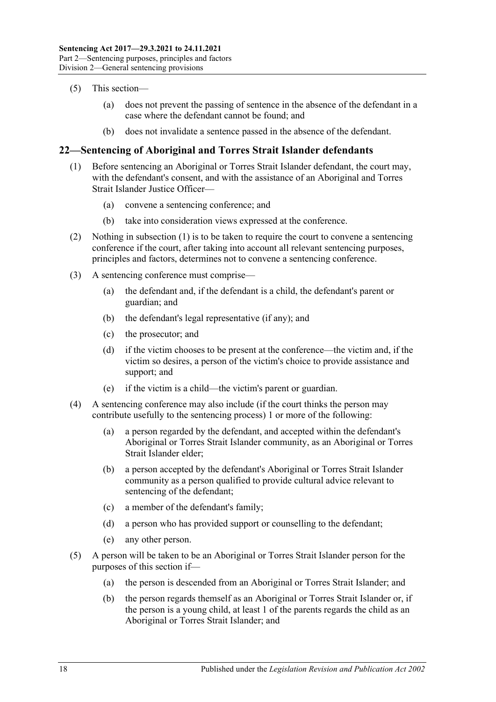- (5) This section—
	- (a) does not prevent the passing of sentence in the absence of the defendant in a case where the defendant cannot be found; and
	- (b) does not invalidate a sentence passed in the absence of the defendant.

# <span id="page-17-1"></span><span id="page-17-0"></span>**22—Sentencing of Aboriginal and Torres Strait Islander defendants**

- (1) Before sentencing an Aboriginal or Torres Strait Islander defendant, the court may, with the defendant's consent, and with the assistance of an Aboriginal and Torres Strait Islander Justice Officer—
	- (a) convene a sentencing conference; and
	- (b) take into consideration views expressed at the conference.
- (2) Nothing in [subsection](#page-17-1) (1) is to be taken to require the court to convene a sentencing conference if the court, after taking into account all relevant sentencing purposes, principles and factors, determines not to convene a sentencing conference.
- (3) A sentencing conference must comprise—
	- (a) the defendant and, if the defendant is a child, the defendant's parent or guardian; and
	- (b) the defendant's legal representative (if any); and
	- (c) the prosecutor; and
	- (d) if the victim chooses to be present at the conference—the victim and, if the victim so desires, a person of the victim's choice to provide assistance and support; and
	- (e) if the victim is a child—the victim's parent or guardian.
- (4) A sentencing conference may also include (if the court thinks the person may contribute usefully to the sentencing process) 1 or more of the following:
	- (a) a person regarded by the defendant, and accepted within the defendant's Aboriginal or Torres Strait Islander community, as an Aboriginal or Torres Strait Islander elder;
	- (b) a person accepted by the defendant's Aboriginal or Torres Strait Islander community as a person qualified to provide cultural advice relevant to sentencing of the defendant;
	- (c) a member of the defendant's family;
	- (d) a person who has provided support or counselling to the defendant;
	- (e) any other person.
- (5) A person will be taken to be an Aboriginal or Torres Strait Islander person for the purposes of this section if—
	- (a) the person is descended from an Aboriginal or Torres Strait Islander; and
	- (b) the person regards themself as an Aboriginal or Torres Strait Islander or, if the person is a young child, at least 1 of the parents regards the child as an Aboriginal or Torres Strait Islander; and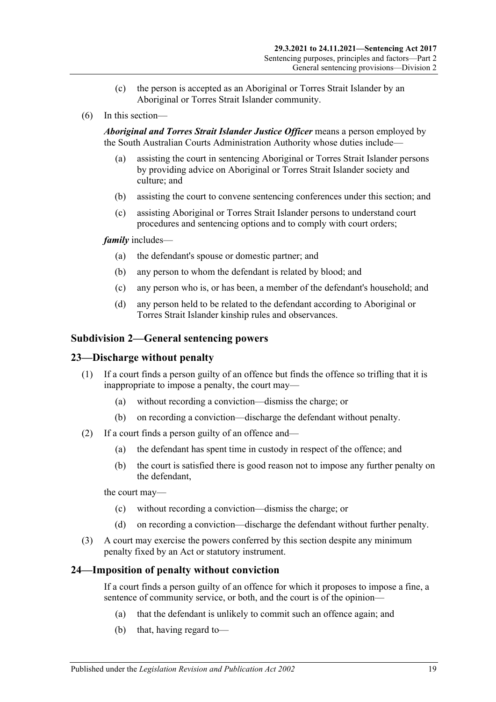- (c) the person is accepted as an Aboriginal or Torres Strait Islander by an Aboriginal or Torres Strait Islander community.
- (6) In this section—

*Aboriginal and Torres Strait Islander Justice Officer* means a person employed by the South Australian Courts Administration Authority whose duties include—

- (a) assisting the court in sentencing Aboriginal or Torres Strait Islander persons by providing advice on Aboriginal or Torres Strait Islander society and culture; and
- (b) assisting the court to convene sentencing conferences under this section; and
- (c) assisting Aboriginal or Torres Strait Islander persons to understand court procedures and sentencing options and to comply with court orders;

#### *family* includes—

- (a) the defendant's spouse or domestic partner; and
- (b) any person to whom the defendant is related by blood; and
- (c) any person who is, or has been, a member of the defendant's household; and
- (d) any person held to be related to the defendant according to Aboriginal or Torres Strait Islander kinship rules and observances.

#### <span id="page-18-0"></span>**Subdivision 2—General sentencing powers**

#### <span id="page-18-1"></span>**23—Discharge without penalty**

- (1) If a court finds a person guilty of an offence but finds the offence so trifling that it is inappropriate to impose a penalty, the court may—
	- (a) without recording a conviction—dismiss the charge; or
	- (b) on recording a conviction—discharge the defendant without penalty.
- (2) If a court finds a person guilty of an offence and—
	- (a) the defendant has spent time in custody in respect of the offence; and
	- (b) the court is satisfied there is good reason not to impose any further penalty on the defendant,

the court may—

- (c) without recording a conviction—dismiss the charge; or
- (d) on recording a conviction—discharge the defendant without further penalty.
- (3) A court may exercise the powers conferred by this section despite any minimum penalty fixed by an Act or statutory instrument.

#### <span id="page-18-2"></span>**24—Imposition of penalty without conviction**

If a court finds a person guilty of an offence for which it proposes to impose a fine, a sentence of community service, or both, and the court is of the opinion—

- (a) that the defendant is unlikely to commit such an offence again; and
- (b) that, having regard to—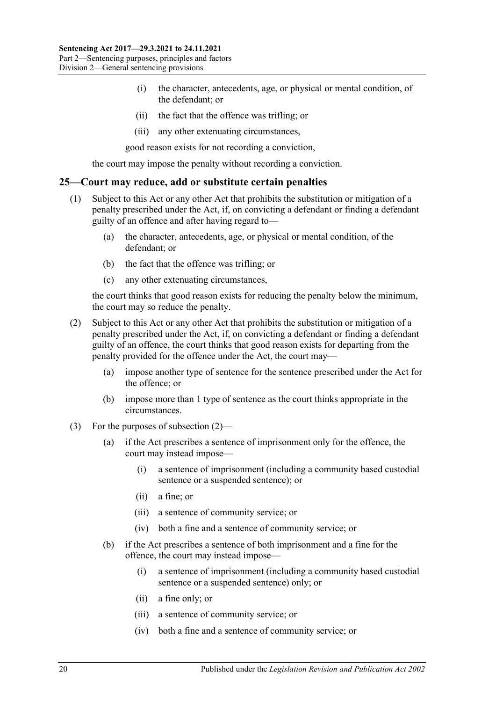- (i) the character, antecedents, age, or physical or mental condition, of the defendant; or
- (ii) the fact that the offence was trifling; or
- (iii) any other extenuating circumstances,

good reason exists for not recording a conviction,

the court may impose the penalty without recording a conviction.

#### <span id="page-19-0"></span>**25—Court may reduce, add or substitute certain penalties**

- (1) Subject to this Act or any other Act that prohibits the substitution or mitigation of a penalty prescribed under the Act, if, on convicting a defendant or finding a defendant guilty of an offence and after having regard to—
	- (a) the character, antecedents, age, or physical or mental condition, of the defendant; or
	- (b) the fact that the offence was trifling; or
	- (c) any other extenuating circumstances,

the court thinks that good reason exists for reducing the penalty below the minimum, the court may so reduce the penalty.

- <span id="page-19-1"></span>(2) Subject to this Act or any other Act that prohibits the substitution or mitigation of a penalty prescribed under the Act, if, on convicting a defendant or finding a defendant guilty of an offence, the court thinks that good reason exists for departing from the penalty provided for the offence under the Act, the court may—
	- (a) impose another type of sentence for the sentence prescribed under the Act for the offence; or
	- (b) impose more than 1 type of sentence as the court thinks appropriate in the circumstances.
- (3) For the purposes of [subsection](#page-19-1) (2)—
	- (a) if the Act prescribes a sentence of imprisonment only for the offence, the court may instead impose—
		- (i) a sentence of imprisonment (including a community based custodial sentence or a suspended sentence); or
		- (ii) a fine; or
		- (iii) a sentence of community service; or
		- (iv) both a fine and a sentence of community service; or
	- (b) if the Act prescribes a sentence of both imprisonment and a fine for the offence, the court may instead impose—
		- (i) a sentence of imprisonment (including a community based custodial sentence or a suspended sentence) only; or
		- (ii) a fine only; or
		- (iii) a sentence of community service; or
		- (iv) both a fine and a sentence of community service; or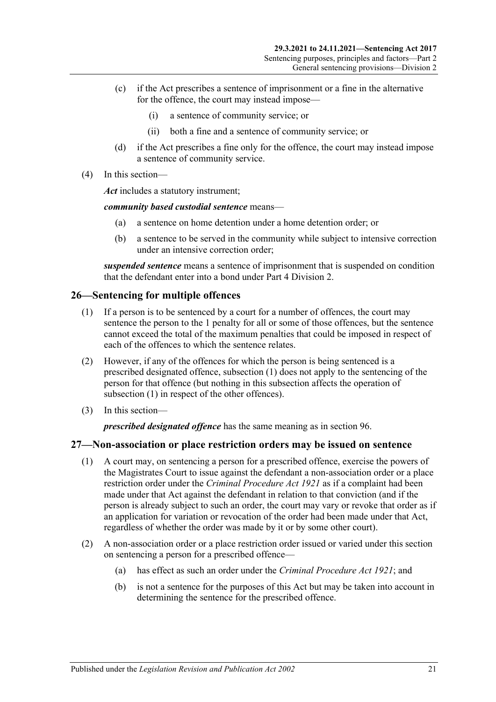- (c) if the Act prescribes a sentence of imprisonment or a fine in the alternative for the offence, the court may instead impose—
	- (i) a sentence of community service; or
	- (ii) both a fine and a sentence of community service; or
- (d) if the Act prescribes a fine only for the offence, the court may instead impose a sentence of community service.
- (4) In this section—

*Act* includes a statutory instrument;

*community based custodial sentence* means—

- (a) a sentence on home detention under a home detention order; or
- (b) a sentence to be served in the community while subject to intensive correction under an intensive correction order;

*suspended sentence* means a sentence of imprisonment that is suspended on condition that the defendant enter into a bond under Part [4 Division](#page-78-0) 2.

# <span id="page-20-2"></span><span id="page-20-0"></span>**26—Sentencing for multiple offences**

- (1) If a person is to be sentenced by a court for a number of offences, the court may sentence the person to the 1 penalty for all or some of those offences, but the sentence cannot exceed the total of the maximum penalties that could be imposed in respect of each of the offences to which the sentence relates.
- (2) However, if any of the offences for which the person is being sentenced is a prescribed designated offence, [subsection](#page-20-2) (1) does not apply to the sentencing of the person for that offence (but nothing in this subsection affects the operation of [subsection](#page-20-2) (1) in respect of the other offences).
- (3) In this section—

*prescribed designated offence* has the same meaning as in [section](#page-78-1) 96.

# <span id="page-20-1"></span>**27—Non-association or place restriction orders may be issued on sentence**

- (1) A court may, on sentencing a person for a prescribed offence, exercise the powers of the Magistrates Court to issue against the defendant a non-association order or a place restriction order under the *[Criminal Procedure Act](http://www.legislation.sa.gov.au/index.aspx?action=legref&type=act&legtitle=Criminal%20Procedure%20Act%201921) 1921* as if a complaint had been made under that Act against the defendant in relation to that conviction (and if the person is already subject to such an order, the court may vary or revoke that order as if an application for variation or revocation of the order had been made under that Act, regardless of whether the order was made by it or by some other court).
- (2) A non-association order or a place restriction order issued or varied under this section on sentencing a person for a prescribed offence—
	- (a) has effect as such an order under the *[Criminal Procedure Act](http://www.legislation.sa.gov.au/index.aspx?action=legref&type=act&legtitle=Criminal%20Procedure%20Act%201921) 1921*; and
	- (b) is not a sentence for the purposes of this Act but may be taken into account in determining the sentence for the prescribed offence.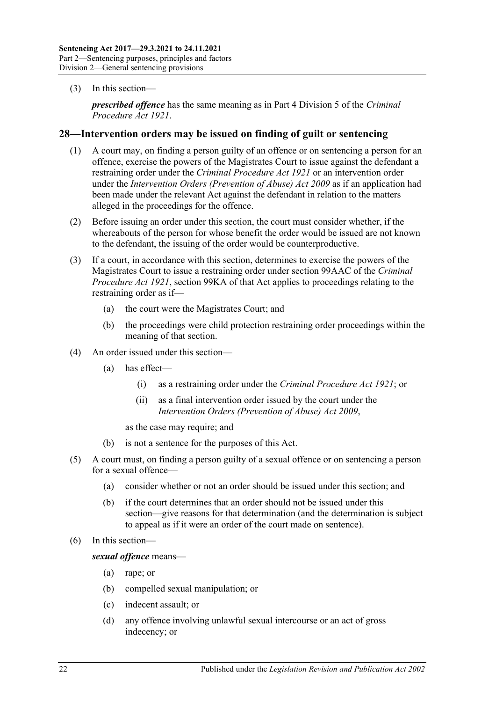(3) In this section—

*prescribed offence* has the same meaning as in Part 4 Division 5 of the *[Criminal](http://www.legislation.sa.gov.au/index.aspx?action=legref&type=act&legtitle=Criminal%20Procedure%20Act%201921)  [Procedure Act](http://www.legislation.sa.gov.au/index.aspx?action=legref&type=act&legtitle=Criminal%20Procedure%20Act%201921) 1921*.

#### <span id="page-21-0"></span>**28—Intervention orders may be issued on finding of guilt or sentencing**

- (1) A court may, on finding a person guilty of an offence or on sentencing a person for an offence, exercise the powers of the Magistrates Court to issue against the defendant a restraining order under the *[Criminal Procedure Act](http://www.legislation.sa.gov.au/index.aspx?action=legref&type=act&legtitle=Criminal%20Procedure%20Act%201921) 1921* or an intervention order under the *[Intervention Orders \(Prevention of Abuse\) Act](http://www.legislation.sa.gov.au/index.aspx?action=legref&type=act&legtitle=Intervention%20Orders%20(Prevention%20of%20Abuse)%20Act%202009) 2009* as if an application had been made under the relevant Act against the defendant in relation to the matters alleged in the proceedings for the offence.
- (2) Before issuing an order under this section, the court must consider whether, if the whereabouts of the person for whose benefit the order would be issued are not known to the defendant, the issuing of the order would be counterproductive.
- (3) If a court, in accordance with this section, determines to exercise the powers of the Magistrates Court to issue a restraining order under section 99AAC of the *[Criminal](http://www.legislation.sa.gov.au/index.aspx?action=legref&type=act&legtitle=Criminal%20Procedure%20Act%201921)  [Procedure Act](http://www.legislation.sa.gov.au/index.aspx?action=legref&type=act&legtitle=Criminal%20Procedure%20Act%201921) 1921*, section 99KA of that Act applies to proceedings relating to the restraining order as if—
	- (a) the court were the Magistrates Court; and
	- (b) the proceedings were child protection restraining order proceedings within the meaning of that section.
- (4) An order issued under this section—
	- (a) has effect—
		- (i) as a restraining order under the *[Criminal Procedure Act](http://www.legislation.sa.gov.au/index.aspx?action=legref&type=act&legtitle=Criminal%20Procedure%20Act%201921) 1921*; or
		- (ii) as a final intervention order issued by the court under the *[Intervention Orders \(Prevention of Abuse\) Act](http://www.legislation.sa.gov.au/index.aspx?action=legref&type=act&legtitle=Intervention%20Orders%20(Prevention%20of%20Abuse)%20Act%202009) 2009*,

as the case may require; and

- (b) is not a sentence for the purposes of this Act.
- (5) A court must, on finding a person guilty of a sexual offence or on sentencing a person for a sexual offence—
	- (a) consider whether or not an order should be issued under this section; and
	- (b) if the court determines that an order should not be issued under this section—give reasons for that determination (and the determination is subject to appeal as if it were an order of the court made on sentence).
- (6) In this section—

*sexual offence* means—

- (a) rape; or
- (b) compelled sexual manipulation; or
- (c) indecent assault; or
- (d) any offence involving unlawful sexual intercourse or an act of gross indecency; or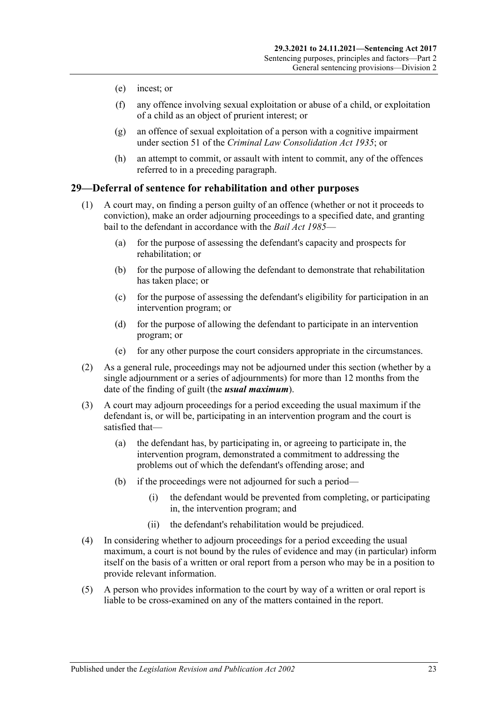- (e) incest; or
- (f) any offence involving sexual exploitation or abuse of a child, or exploitation of a child as an object of prurient interest; or
- (g) an offence of sexual exploitation of a person with a cognitive impairment under section 51 of the *[Criminal Law Consolidation Act](http://www.legislation.sa.gov.au/index.aspx?action=legref&type=act&legtitle=Criminal%20Law%20Consolidation%20Act%201935) 1935*; or
- (h) an attempt to commit, or assault with intent to commit, any of the offences referred to in a preceding paragraph.

## <span id="page-22-0"></span>**29—Deferral of sentence for rehabilitation and other purposes**

- (1) A court may, on finding a person guilty of an offence (whether or not it proceeds to conviction), make an order adjourning proceedings to a specified date, and granting bail to the defendant in accordance with the *[Bail Act](http://www.legislation.sa.gov.au/index.aspx?action=legref&type=act&legtitle=Bail%20Act%201985) 1985*—
	- (a) for the purpose of assessing the defendant's capacity and prospects for rehabilitation; or
	- (b) for the purpose of allowing the defendant to demonstrate that rehabilitation has taken place; or
	- (c) for the purpose of assessing the defendant's eligibility for participation in an intervention program; or
	- (d) for the purpose of allowing the defendant to participate in an intervention program; or
	- (e) for any other purpose the court considers appropriate in the circumstances.
- (2) As a general rule, proceedings may not be adjourned under this section (whether by a single adjournment or a series of adjournments) for more than 12 months from the date of the finding of guilt (the *usual maximum*).
- (3) A court may adjourn proceedings for a period exceeding the usual maximum if the defendant is, or will be, participating in an intervention program and the court is satisfied that—
	- (a) the defendant has, by participating in, or agreeing to participate in, the intervention program, demonstrated a commitment to addressing the problems out of which the defendant's offending arose; and
	- (b) if the proceedings were not adjourned for such a period—
		- (i) the defendant would be prevented from completing, or participating in, the intervention program; and
		- (ii) the defendant's rehabilitation would be prejudiced.
- (4) In considering whether to adjourn proceedings for a period exceeding the usual maximum, a court is not bound by the rules of evidence and may (in particular) inform itself on the basis of a written or oral report from a person who may be in a position to provide relevant information.
- (5) A person who provides information to the court by way of a written or oral report is liable to be cross-examined on any of the matters contained in the report.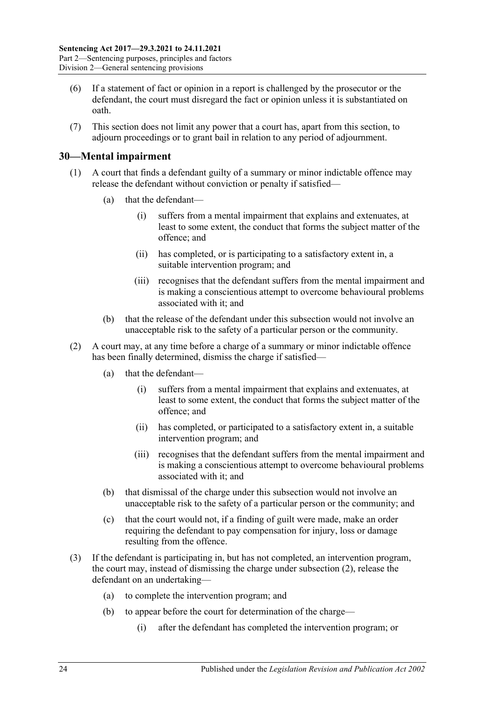- (6) If a statement of fact or opinion in a report is challenged by the prosecutor or the defendant, the court must disregard the fact or opinion unless it is substantiated on oath.
- (7) This section does not limit any power that a court has, apart from this section, to adjourn proceedings or to grant bail in relation to any period of adjournment.

# <span id="page-23-0"></span>**30—Mental impairment**

- (1) A court that finds a defendant guilty of a summary or minor indictable offence may release the defendant without conviction or penalty if satisfied—
	- (a) that the defendant—
		- (i) suffers from a mental impairment that explains and extenuates, at least to some extent, the conduct that forms the subject matter of the offence; and
		- (ii) has completed, or is participating to a satisfactory extent in, a suitable intervention program; and
		- (iii) recognises that the defendant suffers from the mental impairment and is making a conscientious attempt to overcome behavioural problems associated with it; and
	- (b) that the release of the defendant under this subsection would not involve an unacceptable risk to the safety of a particular person or the community.
- <span id="page-23-1"></span>(2) A court may, at any time before a charge of a summary or minor indictable offence has been finally determined, dismiss the charge if satisfied—
	- (a) that the defendant—
		- (i) suffers from a mental impairment that explains and extenuates, at least to some extent, the conduct that forms the subject matter of the offence; and
		- (ii) has completed, or participated to a satisfactory extent in, a suitable intervention program; and
		- (iii) recognises that the defendant suffers from the mental impairment and is making a conscientious attempt to overcome behavioural problems associated with it; and
	- (b) that dismissal of the charge under this subsection would not involve an unacceptable risk to the safety of a particular person or the community; and
	- (c) that the court would not, if a finding of guilt were made, make an order requiring the defendant to pay compensation for injury, loss or damage resulting from the offence.
- <span id="page-23-2"></span>(3) If the defendant is participating in, but has not completed, an intervention program, the court may, instead of dismissing the charge under [subsection](#page-23-1) (2), release the defendant on an undertaking—
	- (a) to complete the intervention program; and
	- (b) to appear before the court for determination of the charge—
		- (i) after the defendant has completed the intervention program; or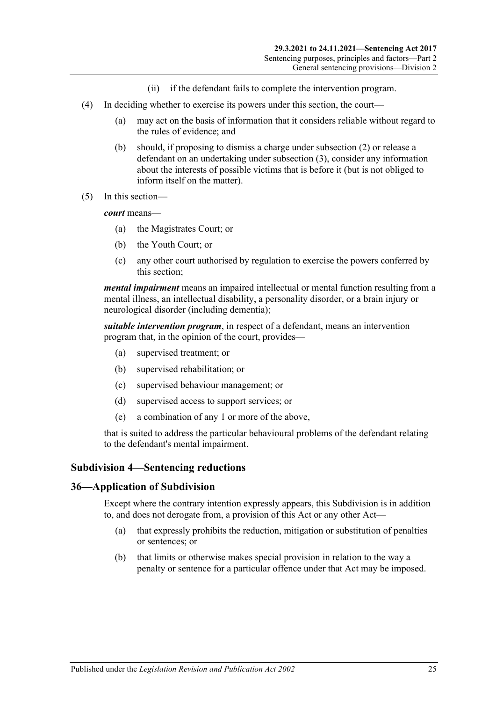- (ii) if the defendant fails to complete the intervention program.
- (4) In deciding whether to exercise its powers under this section, the court—
	- (a) may act on the basis of information that it considers reliable without regard to the rules of evidence; and
	- (b) should, if proposing to dismiss a charge under [subsection](#page-23-1) (2) or release a defendant on an undertaking under [subsection](#page-23-2) (3), consider any information about the interests of possible victims that is before it (but is not obliged to inform itself on the matter).
- (5) In this section—

*court* means—

- (a) the Magistrates Court; or
- (b) the Youth Court; or
- (c) any other court authorised by regulation to exercise the powers conferred by this section;

*mental impairment* means an impaired intellectual or mental function resulting from a mental illness, an intellectual disability, a personality disorder, or a brain injury or neurological disorder (including dementia);

*suitable intervention program*, in respect of a defendant, means an intervention program that, in the opinion of the court, provides—

- (a) supervised treatment; or
- (b) supervised rehabilitation; or
- (c) supervised behaviour management; or
- (d) supervised access to support services; or
- (e) a combination of any 1 or more of the above,

that is suited to address the particular behavioural problems of the defendant relating to the defendant's mental impairment.

#### <span id="page-24-0"></span>**Subdivision 4—Sentencing reductions**

#### <span id="page-24-1"></span>**36—Application of Subdivision**

Except where the contrary intention expressly appears, this Subdivision is in addition to, and does not derogate from, a provision of this Act or any other Act—

- (a) that expressly prohibits the reduction, mitigation or substitution of penalties or sentences; or
- (b) that limits or otherwise makes special provision in relation to the way a penalty or sentence for a particular offence under that Act may be imposed.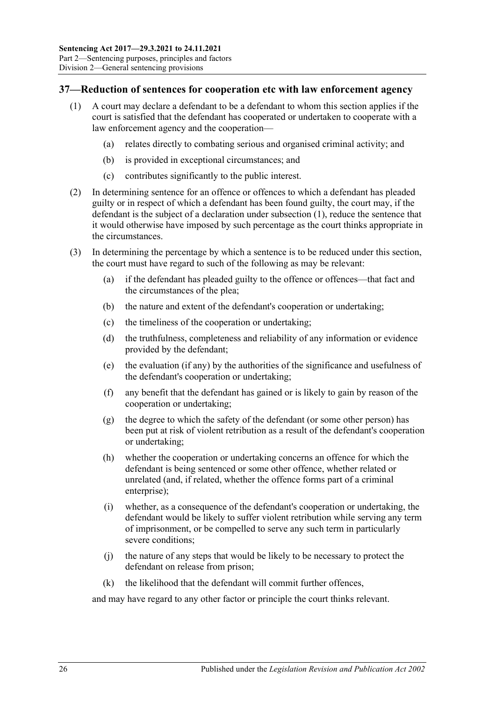# <span id="page-25-1"></span><span id="page-25-0"></span>**37—Reduction of sentences for cooperation etc with law enforcement agency**

- (1) A court may declare a defendant to be a defendant to whom this section applies if the court is satisfied that the defendant has cooperated or undertaken to cooperate with a law enforcement agency and the cooperation—
	- (a) relates directly to combating serious and organised criminal activity; and
	- (b) is provided in exceptional circumstances; and
	- (c) contributes significantly to the public interest.
- (2) In determining sentence for an offence or offences to which a defendant has pleaded guilty or in respect of which a defendant has been found guilty, the court may, if the defendant is the subject of a declaration under [subsection](#page-25-1) (1), reduce the sentence that it would otherwise have imposed by such percentage as the court thinks appropriate in the circumstances.
- (3) In determining the percentage by which a sentence is to be reduced under this section, the court must have regard to such of the following as may be relevant:
	- (a) if the defendant has pleaded guilty to the offence or offences—that fact and the circumstances of the plea;
	- (b) the nature and extent of the defendant's cooperation or undertaking;
	- (c) the timeliness of the cooperation or undertaking;
	- (d) the truthfulness, completeness and reliability of any information or evidence provided by the defendant;
	- (e) the evaluation (if any) by the authorities of the significance and usefulness of the defendant's cooperation or undertaking;
	- (f) any benefit that the defendant has gained or is likely to gain by reason of the cooperation or undertaking;
	- (g) the degree to which the safety of the defendant (or some other person) has been put at risk of violent retribution as a result of the defendant's cooperation or undertaking;
	- (h) whether the cooperation or undertaking concerns an offence for which the defendant is being sentenced or some other offence, whether related or unrelated (and, if related, whether the offence forms part of a criminal enterprise);
	- (i) whether, as a consequence of the defendant's cooperation or undertaking, the defendant would be likely to suffer violent retribution while serving any term of imprisonment, or be compelled to serve any such term in particularly severe conditions;
	- (j) the nature of any steps that would be likely to be necessary to protect the defendant on release from prison;
	- (k) the likelihood that the defendant will commit further offences,

and may have regard to any other factor or principle the court thinks relevant.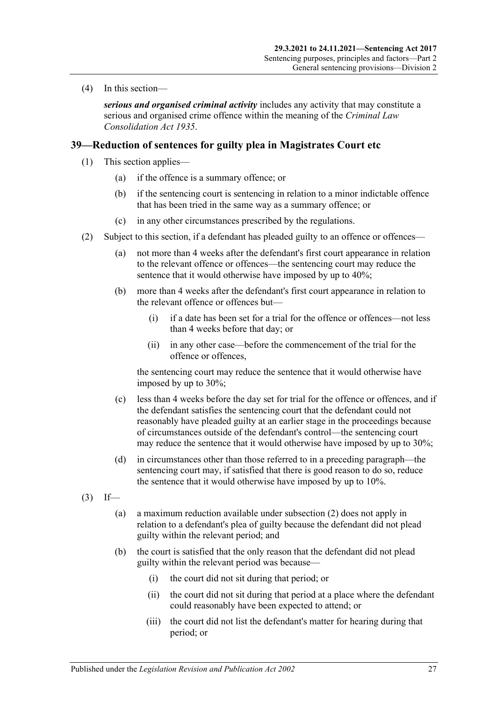(4) In this section—

*serious and organised criminal activity* includes any activity that may constitute a serious and organised crime offence within the meaning of the *[Criminal Law](http://www.legislation.sa.gov.au/index.aspx?action=legref&type=act&legtitle=Criminal%20Law%20Consolidation%20Act%201935)  [Consolidation Act](http://www.legislation.sa.gov.au/index.aspx?action=legref&type=act&legtitle=Criminal%20Law%20Consolidation%20Act%201935) 1935*.

# <span id="page-26-4"></span><span id="page-26-0"></span>**39—Reduction of sentences for guilty plea in Magistrates Court etc**

- (1) This section applies—
	- (a) if the offence is a summary offence; or
	- (b) if the sentencing court is sentencing in relation to a minor indictable offence that has been tried in the same way as a summary offence; or
	- (c) in any other circumstances prescribed by the regulations.
- <span id="page-26-3"></span><span id="page-26-1"></span>(2) Subject to this section, if a defendant has pleaded guilty to an offence or offences—
	- (a) not more than 4 weeks after the defendant's first court appearance in relation to the relevant offence or offences—the sentencing court may reduce the sentence that it would otherwise have imposed by up to 40%;
	- (b) more than 4 weeks after the defendant's first court appearance in relation to the relevant offence or offences but—
		- (i) if a date has been set for a trial for the offence or offences—not less than 4 weeks before that day; or
		- (ii) in any other case—before the commencement of the trial for the offence or offences,

the sentencing court may reduce the sentence that it would otherwise have imposed by up to 30%;

- (c) less than 4 weeks before the day set for trial for the offence or offences, and if the defendant satisfies the sentencing court that the defendant could not reasonably have pleaded guilty at an earlier stage in the proceedings because of circumstances outside of the defendant's control—the sentencing court may reduce the sentence that it would otherwise have imposed by up to 30%;
- (d) in circumstances other than those referred to in a preceding paragraph—the sentencing court may, if satisfied that there is good reason to do so, reduce the sentence that it would otherwise have imposed by up to 10%.
- <span id="page-26-2"></span> $(3)$  If—
	- (a) a maximum reduction available unde[r subsection](#page-26-1) (2) does not apply in relation to a defendant's plea of guilty because the defendant did not plead guilty within the relevant period; and
	- (b) the court is satisfied that the only reason that the defendant did not plead guilty within the relevant period was because—
		- (i) the court did not sit during that period; or
		- (ii) the court did not sit during that period at a place where the defendant could reasonably have been expected to attend; or
		- (iii) the court did not list the defendant's matter for hearing during that period; or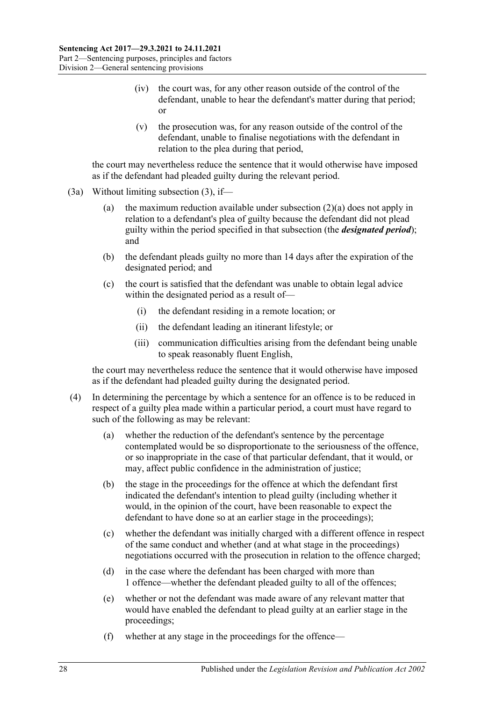- (iv) the court was, for any other reason outside of the control of the defendant, unable to hear the defendant's matter during that period; or
- (v) the prosecution was, for any reason outside of the control of the defendant, unable to finalise negotiations with the defendant in relation to the plea during that period,

the court may nevertheless reduce the sentence that it would otherwise have imposed as if the defendant had pleaded guilty during the relevant period.

- (3a) Without limiting [subsection](#page-26-2) (3), if
	- (a) the maximum reduction available under [subsection](#page-26-3)  $(2)(a)$  does not apply in relation to a defendant's plea of guilty because the defendant did not plead guilty within the period specified in that subsection (the *designated period*); and
	- (b) the defendant pleads guilty no more than 14 days after the expiration of the designated period; and
	- (c) the court is satisfied that the defendant was unable to obtain legal advice within the designated period as a result of—
		- (i) the defendant residing in a remote location; or
		- (ii) the defendant leading an itinerant lifestyle; or
		- (iii) communication difficulties arising from the defendant being unable to speak reasonably fluent English,

the court may nevertheless reduce the sentence that it would otherwise have imposed as if the defendant had pleaded guilty during the designated period.

- (4) In determining the percentage by which a sentence for an offence is to be reduced in respect of a guilty plea made within a particular period, a court must have regard to such of the following as may be relevant:
	- (a) whether the reduction of the defendant's sentence by the percentage contemplated would be so disproportionate to the seriousness of the offence, or so inappropriate in the case of that particular defendant, that it would, or may, affect public confidence in the administration of justice;
	- (b) the stage in the proceedings for the offence at which the defendant first indicated the defendant's intention to plead guilty (including whether it would, in the opinion of the court, have been reasonable to expect the defendant to have done so at an earlier stage in the proceedings);
	- (c) whether the defendant was initially charged with a different offence in respect of the same conduct and whether (and at what stage in the proceedings) negotiations occurred with the prosecution in relation to the offence charged;
	- (d) in the case where the defendant has been charged with more than 1 offence—whether the defendant pleaded guilty to all of the offences;
	- (e) whether or not the defendant was made aware of any relevant matter that would have enabled the defendant to plead guilty at an earlier stage in the proceedings;
	- (f) whether at any stage in the proceedings for the offence—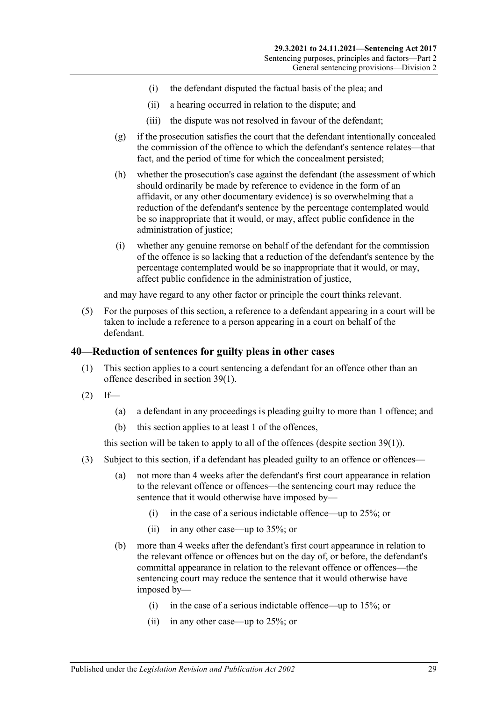- (i) the defendant disputed the factual basis of the plea; and
- (ii) a hearing occurred in relation to the dispute; and
- (iii) the dispute was not resolved in favour of the defendant;
- (g) if the prosecution satisfies the court that the defendant intentionally concealed the commission of the offence to which the defendant's sentence relates—that fact, and the period of time for which the concealment persisted;
- (h) whether the prosecution's case against the defendant (the assessment of which should ordinarily be made by reference to evidence in the form of an affidavit, or any other documentary evidence) is so overwhelming that a reduction of the defendant's sentence by the percentage contemplated would be so inappropriate that it would, or may, affect public confidence in the administration of justice;
- (i) whether any genuine remorse on behalf of the defendant for the commission of the offence is so lacking that a reduction of the defendant's sentence by the percentage contemplated would be so inappropriate that it would, or may, affect public confidence in the administration of justice,

and may have regard to any other factor or principle the court thinks relevant.

(5) For the purposes of this section, a reference to a defendant appearing in a court will be taken to include a reference to a person appearing in a court on behalf of the defendant.

#### <span id="page-28-0"></span>**40—Reduction of sentences for guilty pleas in other cases**

- (1) This section applies to a court sentencing a defendant for an offence other than an offence described in [section](#page-26-4) 39(1).
- $(2)$  If—
	- (a) a defendant in any proceedings is pleading guilty to more than 1 offence; and
	- (b) this section applies to at least 1 of the offences,

this section will be taken to apply to all of the offences (despite [section](#page-26-4) 39(1)).

- <span id="page-28-1"></span>(3) Subject to this section, if a defendant has pleaded guilty to an offence or offences—
	- (a) not more than 4 weeks after the defendant's first court appearance in relation to the relevant offence or offences—the sentencing court may reduce the sentence that it would otherwise have imposed by—
		- (i) in the case of a serious indictable offence—up to 25%; or
		- (ii) in any other case—up to 35%; or
	- (b) more than 4 weeks after the defendant's first court appearance in relation to the relevant offence or offences but on the day of, or before, the defendant's committal appearance in relation to the relevant offence or offences—the sentencing court may reduce the sentence that it would otherwise have imposed by—
		- (i) in the case of a serious indictable offence—up to 15%; or
		- (ii) in any other case—up to 25%; or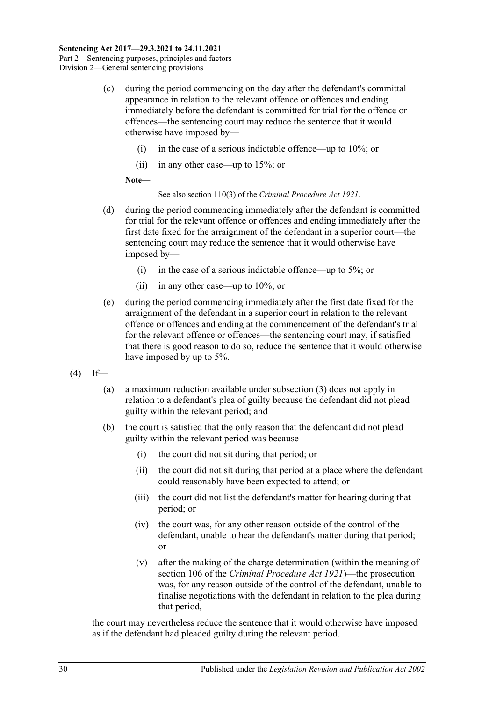- (c) during the period commencing on the day after the defendant's committal appearance in relation to the relevant offence or offences and ending immediately before the defendant is committed for trial for the offence or offences—the sentencing court may reduce the sentence that it would otherwise have imposed by—
	- (i) in the case of a serious indictable offence—up to 10%; or
	- (ii) in any other case—up to 15%; or

**Note—**

See also section 110(3) of the *[Criminal Procedure Act](http://www.legislation.sa.gov.au/index.aspx?action=legref&type=act&legtitle=Criminal%20Procedure%20Act%201921) 1921*.

- (d) during the period commencing immediately after the defendant is committed for trial for the relevant offence or offences and ending immediately after the first date fixed for the arraignment of the defendant in a superior court—the sentencing court may reduce the sentence that it would otherwise have imposed by—
	- (i) in the case of a serious indictable offence—up to 5%; or
	- (ii) in any other case—up to 10%; or
- (e) during the period commencing immediately after the first date fixed for the arraignment of the defendant in a superior court in relation to the relevant offence or offences and ending at the commencement of the defendant's trial for the relevant offence or offences—the sentencing court may, if satisfied that there is good reason to do so, reduce the sentence that it would otherwise have imposed by up to 5%.
- <span id="page-29-0"></span> $(4)$  If—
	- (a) a maximum reduction available under subsection (3) does not apply in relation to a defendant's plea of guilty because the defendant did not plead guilty within the relevant period; and
	- (b) the court is satisfied that the only reason that the defendant did not plead guilty within the relevant period was because—
		- (i) the court did not sit during that period; or
		- (ii) the court did not sit during that period at a place where the defendant could reasonably have been expected to attend; or
		- (iii) the court did not list the defendant's matter for hearing during that period; or
		- (iv) the court was, for any other reason outside of the control of the defendant, unable to hear the defendant's matter during that period; or
		- (v) after the making of the charge determination (within the meaning of section 106 of the *[Criminal Procedure Act](http://www.legislation.sa.gov.au/index.aspx?action=legref&type=act&legtitle=Criminal%20Procedure%20Act%201921) 1921*)—the prosecution was, for any reason outside of the control of the defendant, unable to finalise negotiations with the defendant in relation to the plea during that period,

the court may nevertheless reduce the sentence that it would otherwise have imposed as if the defendant had pleaded guilty during the relevant period.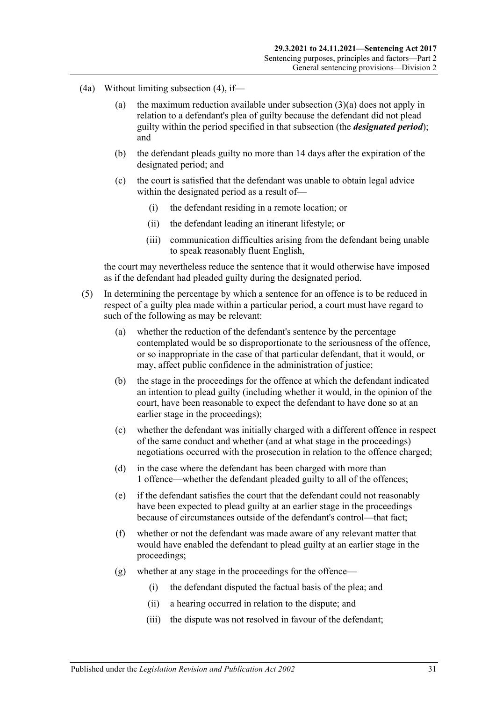- (4a) Without limiting [subsection](#page-29-0) (4), if
	- (a) the maximum reduction available under [subsection](#page-28-1)  $(3)(a)$  does not apply in relation to a defendant's plea of guilty because the defendant did not plead guilty within the period specified in that subsection (the *designated period*); and
	- (b) the defendant pleads guilty no more than 14 days after the expiration of the designated period; and
	- (c) the court is satisfied that the defendant was unable to obtain legal advice within the designated period as a result of—
		- (i) the defendant residing in a remote location; or
		- (ii) the defendant leading an itinerant lifestyle; or
		- (iii) communication difficulties arising from the defendant being unable to speak reasonably fluent English,

the court may nevertheless reduce the sentence that it would otherwise have imposed as if the defendant had pleaded guilty during the designated period.

- (5) In determining the percentage by which a sentence for an offence is to be reduced in respect of a guilty plea made within a particular period, a court must have regard to such of the following as may be relevant:
	- (a) whether the reduction of the defendant's sentence by the percentage contemplated would be so disproportionate to the seriousness of the offence, or so inappropriate in the case of that particular defendant, that it would, or may, affect public confidence in the administration of justice;
	- (b) the stage in the proceedings for the offence at which the defendant indicated an intention to plead guilty (including whether it would, in the opinion of the court, have been reasonable to expect the defendant to have done so at an earlier stage in the proceedings);
	- (c) whether the defendant was initially charged with a different offence in respect of the same conduct and whether (and at what stage in the proceedings) negotiations occurred with the prosecution in relation to the offence charged;
	- (d) in the case where the defendant has been charged with more than 1 offence—whether the defendant pleaded guilty to all of the offences;
	- (e) if the defendant satisfies the court that the defendant could not reasonably have been expected to plead guilty at an earlier stage in the proceedings because of circumstances outside of the defendant's control—that fact;
	- (f) whether or not the defendant was made aware of any relevant matter that would have enabled the defendant to plead guilty at an earlier stage in the proceedings;
	- (g) whether at any stage in the proceedings for the offence—
		- (i) the defendant disputed the factual basis of the plea; and
		- (ii) a hearing occurred in relation to the dispute; and
		- (iii) the dispute was not resolved in favour of the defendant;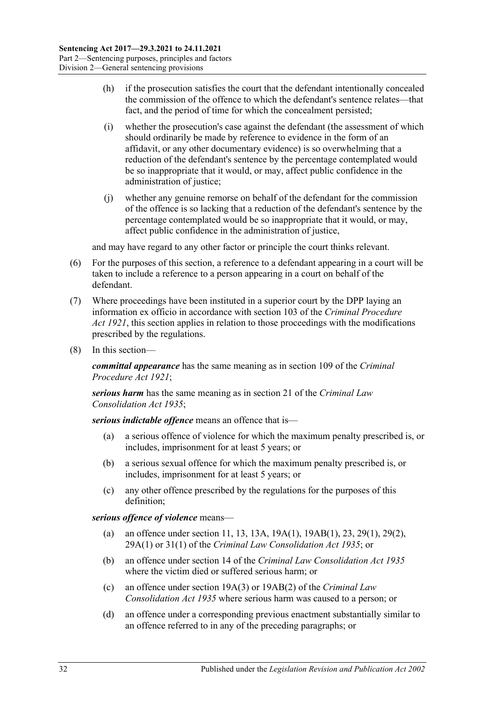- (h) if the prosecution satisfies the court that the defendant intentionally concealed the commission of the offence to which the defendant's sentence relates—that fact, and the period of time for which the concealment persisted;
- (i) whether the prosecution's case against the defendant (the assessment of which should ordinarily be made by reference to evidence in the form of an affidavit, or any other documentary evidence) is so overwhelming that a reduction of the defendant's sentence by the percentage contemplated would be so inappropriate that it would, or may, affect public confidence in the administration of justice;
- (j) whether any genuine remorse on behalf of the defendant for the commission of the offence is so lacking that a reduction of the defendant's sentence by the percentage contemplated would be so inappropriate that it would, or may, affect public confidence in the administration of justice,

and may have regard to any other factor or principle the court thinks relevant.

- (6) For the purposes of this section, a reference to a defendant appearing in a court will be taken to include a reference to a person appearing in a court on behalf of the defendant.
- (7) Where proceedings have been instituted in a superior court by the DPP laying an information ex officio in accordance with section 103 of the *[Criminal Procedure](http://www.legislation.sa.gov.au/index.aspx?action=legref&type=act&legtitle=Criminal%20Procedure%20Act%201921)  Act [1921](http://www.legislation.sa.gov.au/index.aspx?action=legref&type=act&legtitle=Criminal%20Procedure%20Act%201921)*, this section applies in relation to those proceedings with the modifications prescribed by the regulations.
- (8) In this section—

*committal appearance* has the same meaning as in section 109 of the *[Criminal](http://www.legislation.sa.gov.au/index.aspx?action=legref&type=act&legtitle=Criminal%20Procedure%20Act%201921)  [Procedure Act](http://www.legislation.sa.gov.au/index.aspx?action=legref&type=act&legtitle=Criminal%20Procedure%20Act%201921) 1921*;

*serious harm* has the same meaning as in section 21 of the *[Criminal Law](http://www.legislation.sa.gov.au/index.aspx?action=legref&type=act&legtitle=Criminal%20Law%20Consolidation%20Act%201935)  [Consolidation Act](http://www.legislation.sa.gov.au/index.aspx?action=legref&type=act&legtitle=Criminal%20Law%20Consolidation%20Act%201935) 1935*;

*serious indictable offence* means an offence that is—

- (a) a serious offence of violence for which the maximum penalty prescribed is, or includes, imprisonment for at least 5 years; or
- (b) a serious sexual offence for which the maximum penalty prescribed is, or includes, imprisonment for at least 5 years; or
- (c) any other offence prescribed by the regulations for the purposes of this definition;

*serious offence of violence* means—

- (a) an offence under section 11, 13, 13A, 19A(1), 19AB(1), 23, 29(1), 29(2), 29A(1) or 31(1) of the *[Criminal Law Consolidation Act](http://www.legislation.sa.gov.au/index.aspx?action=legref&type=act&legtitle=Criminal%20Law%20Consolidation%20Act%201935) 1935*; or
- (b) an offence under section 14 of the *[Criminal Law Consolidation Act](http://www.legislation.sa.gov.au/index.aspx?action=legref&type=act&legtitle=Criminal%20Law%20Consolidation%20Act%201935) 1935* where the victim died or suffered serious harm; or
- (c) an offence under section 19A(3) or 19AB(2) of the *[Criminal Law](http://www.legislation.sa.gov.au/index.aspx?action=legref&type=act&legtitle=Criminal%20Law%20Consolidation%20Act%201935)  [Consolidation Act](http://www.legislation.sa.gov.au/index.aspx?action=legref&type=act&legtitle=Criminal%20Law%20Consolidation%20Act%201935) 1935* where serious harm was caused to a person; or
- (d) an offence under a corresponding previous enactment substantially similar to an offence referred to in any of the preceding paragraphs; or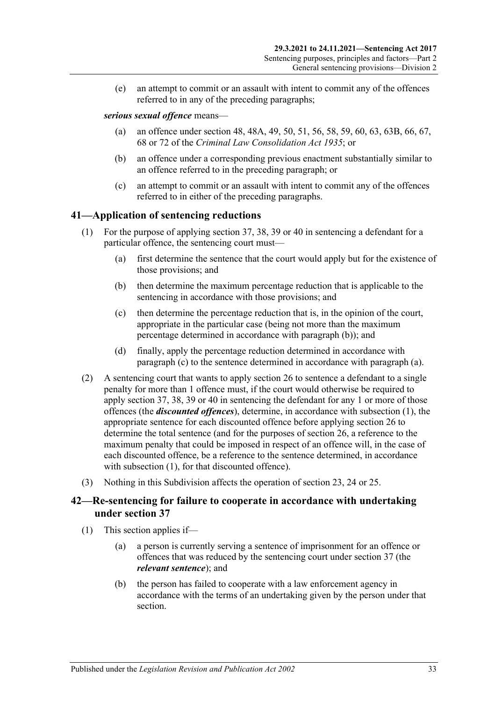(e) an attempt to commit or an assault with intent to commit any of the offences referred to in any of the preceding paragraphs;

#### *serious sexual offence* means—

- (a) an offence under section 48, 48A, 49, 50, 51, 56, 58, 59, 60, 63, 63B, 66, 67, 68 or 72 of the *[Criminal Law Consolidation Act](http://www.legislation.sa.gov.au/index.aspx?action=legref&type=act&legtitle=Criminal%20Law%20Consolidation%20Act%201935) 1935*; or
- (b) an offence under a corresponding previous enactment substantially similar to an offence referred to in the preceding paragraph; or
- (c) an attempt to commit or an assault with intent to commit any of the offences referred to in either of the preceding paragraphs.

# <span id="page-32-5"></span><span id="page-32-0"></span>**41—Application of sentencing reductions**

- <span id="page-32-4"></span><span id="page-32-2"></span>(1) For the purpose of applying [section](#page-25-0) 37, 38, [39](#page-26-0) or [40](#page-28-0) in sentencing a defendant for a particular offence, the sentencing court must—
	- (a) first determine the sentence that the court would apply but for the existence of those provisions; and
	- (b) then determine the maximum percentage reduction that is applicable to the sentencing in accordance with those provisions; and
	- (c) then determine the percentage reduction that is, in the opinion of the court, appropriate in the particular case (being not more than the maximum percentage determined in accordance with [paragraph](#page-32-2) (b)); and
	- (d) finally, apply the percentage reduction determined in accordance with [paragraph](#page-32-3) (c) to the sentence determined in accordance with [paragraph](#page-32-4) (a).
- <span id="page-32-3"></span>(2) A sentencing court that wants to apply [section](#page-20-0) 26 to sentence a defendant to a single penalty for more than 1 offence must, if the court would otherwise be required to apply [section](#page-25-0) 37, 38, [39](#page-26-0) or [40](#page-28-0) in sentencing the defendant for any 1 or more of those offences (the *discounted offences*), determine, in accordance with [subsection](#page-32-5) (1), the appropriate sentence for each discounted offence before applying [section](#page-20-0) 26 to determine the total sentence (and for the purposes of [section](#page-20-0) 26, a reference to the maximum penalty that could be imposed in respect of an offence will, in the case of each discounted offence, be a reference to the sentence determined, in accordance with [subsection](#page-32-5) (1), for that discounted offence).
- (3) Nothing in this Subdivision affects the operation of [section 23,](#page-18-1) [24](#page-18-2) or [25.](#page-19-0)

# <span id="page-32-1"></span>**42—Re-sentencing for failure to cooperate in accordance with undertaking under [section](#page-25-0) 37**

- (1) This section applies if—
	- (a) a person is currently serving a sentence of imprisonment for an offence or offences that was reduced by the sentencing court under [section](#page-25-0) 37 (the *relevant sentence*); and
	- (b) the person has failed to cooperate with a law enforcement agency in accordance with the terms of an undertaking given by the person under that section.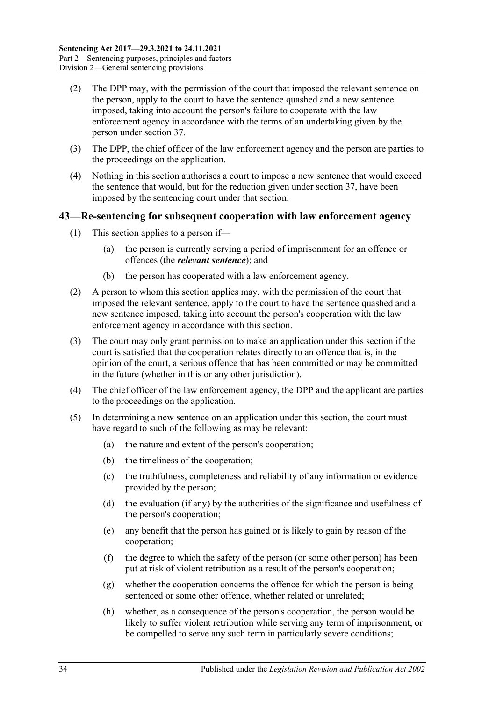- (2) The DPP may, with the permission of the court that imposed the relevant sentence on the person, apply to the court to have the sentence quashed and a new sentence imposed, taking into account the person's failure to cooperate with the law enforcement agency in accordance with the terms of an undertaking given by the person under [section](#page-25-0) 37.
- (3) The DPP, the chief officer of the law enforcement agency and the person are parties to the proceedings on the application.
- (4) Nothing in this section authorises a court to impose a new sentence that would exceed the sentence that would, but for the reduction given under [section](#page-25-0) 37, have been imposed by the sentencing court under that section.

## <span id="page-33-0"></span>**43—Re-sentencing for subsequent cooperation with law enforcement agency**

- (1) This section applies to a person if—
	- (a) the person is currently serving a period of imprisonment for an offence or offences (the *relevant sentence*); and
	- (b) the person has cooperated with a law enforcement agency.
- (2) A person to whom this section applies may, with the permission of the court that imposed the relevant sentence, apply to the court to have the sentence quashed and a new sentence imposed, taking into account the person's cooperation with the law enforcement agency in accordance with this section.
- (3) The court may only grant permission to make an application under this section if the court is satisfied that the cooperation relates directly to an offence that is, in the opinion of the court, a serious offence that has been committed or may be committed in the future (whether in this or any other jurisdiction).
- (4) The chief officer of the law enforcement agency, the DPP and the applicant are parties to the proceedings on the application.
- (5) In determining a new sentence on an application under this section, the court must have regard to such of the following as may be relevant:
	- (a) the nature and extent of the person's cooperation;
	- (b) the timeliness of the cooperation;
	- (c) the truthfulness, completeness and reliability of any information or evidence provided by the person;
	- (d) the evaluation (if any) by the authorities of the significance and usefulness of the person's cooperation;
	- (e) any benefit that the person has gained or is likely to gain by reason of the cooperation;
	- (f) the degree to which the safety of the person (or some other person) has been put at risk of violent retribution as a result of the person's cooperation;
	- (g) whether the cooperation concerns the offence for which the person is being sentenced or some other offence, whether related or unrelated;
	- (h) whether, as a consequence of the person's cooperation, the person would be likely to suffer violent retribution while serving any term of imprisonment, or be compelled to serve any such term in particularly severe conditions;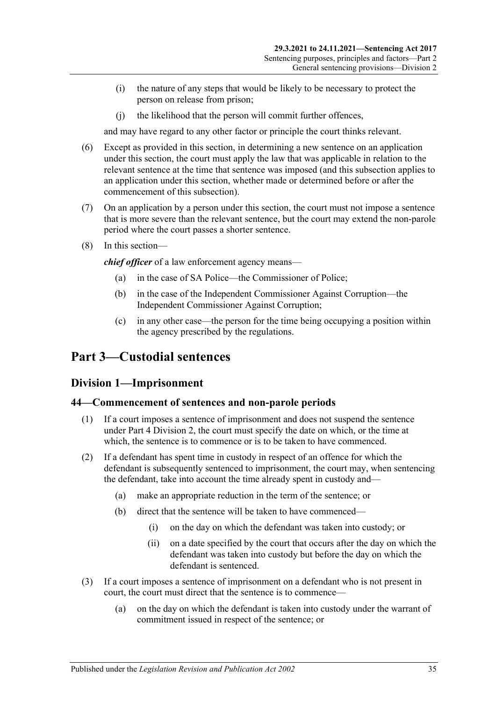- (i) the nature of any steps that would be likely to be necessary to protect the person on release from prison;
- (j) the likelihood that the person will commit further offences,

and may have regard to any other factor or principle the court thinks relevant.

- (6) Except as provided in this section, in determining a new sentence on an application under this section, the court must apply the law that was applicable in relation to the relevant sentence at the time that sentence was imposed (and this subsection applies to an application under this section, whether made or determined before or after the commencement of this subsection).
- (7) On an application by a person under this section, the court must not impose a sentence that is more severe than the relevant sentence, but the court may extend the non-parole period where the court passes a shorter sentence.
- (8) In this section—

*chief officer* of a law enforcement agency means—

- (a) in the case of SA Police—the Commissioner of Police;
- (b) in the case of the Independent Commissioner Against Corruption—the Independent Commissioner Against Corruption;
- (c) in any other case—the person for the time being occupying a position within the agency prescribed by the regulations.

# <span id="page-34-1"></span><span id="page-34-0"></span>**Part 3—Custodial sentences**

# **Division 1—Imprisonment**

#### <span id="page-34-2"></span>**44—Commencement of sentences and non-parole periods**

- (1) If a court imposes a sentence of imprisonment and does not suspend the sentence under Part [4 Division](#page-78-0) 2, the court must specify the date on which, or the time at which, the sentence is to commence or is to be taken to have commenced.
- (2) If a defendant has spent time in custody in respect of an offence for which the defendant is subsequently sentenced to imprisonment, the court may, when sentencing the defendant, take into account the time already spent in custody and—
	- (a) make an appropriate reduction in the term of the sentence; or
	- (b) direct that the sentence will be taken to have commenced—
		- (i) on the day on which the defendant was taken into custody; or
		- (ii) on a date specified by the court that occurs after the day on which the defendant was taken into custody but before the day on which the defendant is sentenced.
- (3) If a court imposes a sentence of imprisonment on a defendant who is not present in court, the court must direct that the sentence is to commence—
	- (a) on the day on which the defendant is taken into custody under the warrant of commitment issued in respect of the sentence; or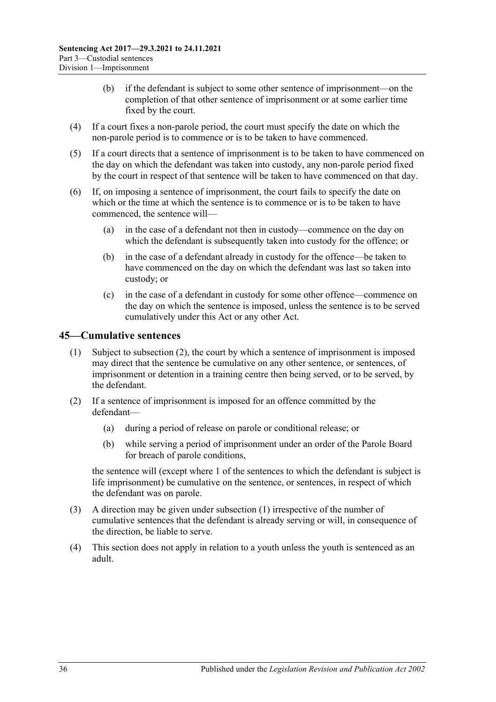- (b) if the defendant is subject to some other sentence of imprisonment—on the completion of that other sentence of imprisonment or at some earlier time fixed by the court.
- (4) If a court fixes a non-parole period, the court must specify the date on which the non-parole period is to commence or is to be taken to have commenced.
- (5) If a court directs that a sentence of imprisonment is to be taken to have commenced on the day on which the defendant was taken into custody, any non-parole period fixed by the court in respect of that sentence will be taken to have commenced on that day.
- (6) If, on imposing a sentence of imprisonment, the court fails to specify the date on which or the time at which the sentence is to commence or is to be taken to have commenced, the sentence will—
	- (a) in the case of a defendant not then in custody—commence on the day on which the defendant is subsequently taken into custody for the offence; or
	- (b) in the case of a defendant already in custody for the offence—be taken to have commenced on the day on which the defendant was last so taken into custody; or
	- (c) in the case of a defendant in custody for some other offence—commence on the day on which the sentence is imposed, unless the sentence is to be served cumulatively under this Act or any other Act.

# <span id="page-35-2"></span><span id="page-35-0"></span>**45—Cumulative sentences**

- (1) Subject to [subsection](#page-35-1) (2), the court by which a sentence of imprisonment is imposed may direct that the sentence be cumulative on any other sentence, or sentences, of imprisonment or detention in a training centre then being served, or to be served, by the defendant.
- <span id="page-35-1"></span>(2) If a sentence of imprisonment is imposed for an offence committed by the defendant—
	- (a) during a period of release on parole or conditional release; or
	- (b) while serving a period of imprisonment under an order of the Parole Board for breach of parole conditions,

the sentence will (except where 1 of the sentences to which the defendant is subject is life imprisonment) be cumulative on the sentence, or sentences, in respect of which the defendant was on parole.

- (3) A direction may be given under [subsection](#page-35-2) (1) irrespective of the number of cumulative sentences that the defendant is already serving or will, in consequence of the direction, be liable to serve.
- (4) This section does not apply in relation to a youth unless the youth is sentenced as an adult.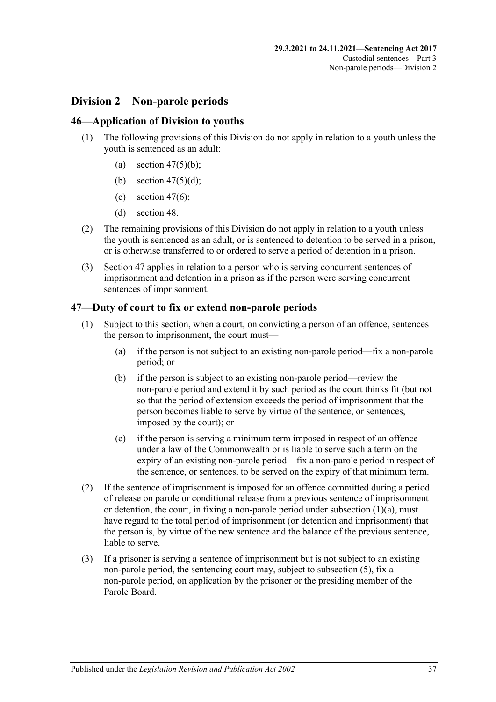# **Division 2—Non-parole periods**

## **46—Application of Division to youths**

- (1) The following provisions of this Division do not apply in relation to a youth unless the youth is sentenced as an adult:
	- (a) section  $47(5)(b)$ ;
	- (b) section  $47(5)(d)$ ;
	- (c) [section](#page-37-2) 47(6);
	- (d) [section](#page-39-0) 48.
- (2) The remaining provisions of this Division do not apply in relation to a youth unless the youth is sentenced as an adult, or is sentenced to detention to be served in a prison, or is otherwise transferred to or ordered to serve a period of detention in a prison.
- (3) [Section](#page-36-0) 47 applies in relation to a person who is serving concurrent sentences of imprisonment and detention in a prison as if the person were serving concurrent sentences of imprisonment.

## <span id="page-36-0"></span>**47—Duty of court to fix or extend non-parole periods**

- <span id="page-36-1"></span>(1) Subject to this section, when a court, on convicting a person of an offence, sentences the person to imprisonment, the court must—
	- (a) if the person is not subject to an existing non-parole period—fix a non-parole period; or
	- (b) if the person is subject to an existing non-parole period—review the non-parole period and extend it by such period as the court thinks fit (but not so that the period of extension exceeds the period of imprisonment that the person becomes liable to serve by virtue of the sentence, or sentences, imposed by the court); or
	- (c) if the person is serving a minimum term imposed in respect of an offence under a law of the Commonwealth or is liable to serve such a term on the expiry of an existing non-parole period—fix a non-parole period in respect of the sentence, or sentences, to be served on the expiry of that minimum term.
- (2) If the sentence of imprisonment is imposed for an offence committed during a period of release on parole or conditional release from a previous sentence of imprisonment or detention, the court, in fixing a non-parole period under [subsection](#page-36-1)  $(1)(a)$ , must have regard to the total period of imprisonment (or detention and imprisonment) that the person is, by virtue of the new sentence and the balance of the previous sentence, liable to serve.
- <span id="page-36-2"></span>(3) If a prisoner is serving a sentence of imprisonment but is not subject to an existing non-parole period, the sentencing court may, subject to [subsection](#page-37-3) (5), fix a non-parole period, on application by the prisoner or the presiding member of the Parole Board.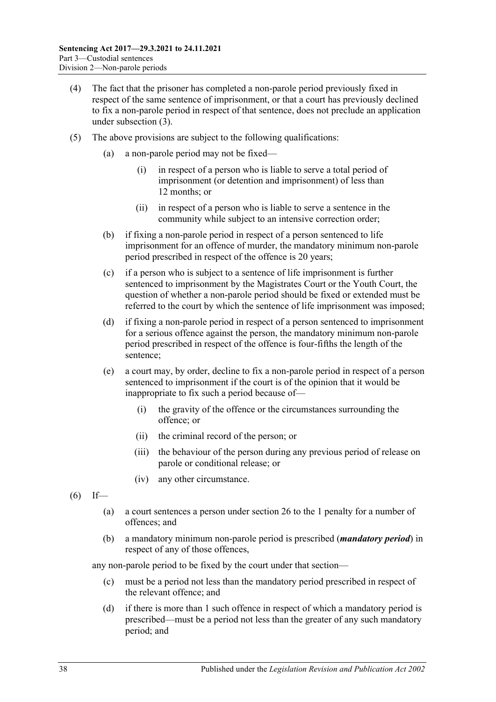- (4) The fact that the prisoner has completed a non-parole period previously fixed in respect of the same sentence of imprisonment, or that a court has previously declined to fix a non-parole period in respect of that sentence, does not preclude an application under [subsection](#page-36-2) (3).
- <span id="page-37-3"></span><span id="page-37-1"></span><span id="page-37-0"></span>(5) The above provisions are subject to the following qualifications:
	- (a) a non-parole period may not be fixed—
		- (i) in respect of a person who is liable to serve a total period of imprisonment (or detention and imprisonment) of less than 12 months; or
		- (ii) in respect of a person who is liable to serve a sentence in the community while subject to an intensive correction order;
	- (b) if fixing a non-parole period in respect of a person sentenced to life imprisonment for an offence of murder, the mandatory minimum non-parole period prescribed in respect of the offence is 20 years;
	- (c) if a person who is subject to a sentence of life imprisonment is further sentenced to imprisonment by the Magistrates Court or the Youth Court, the question of whether a non-parole period should be fixed or extended must be referred to the court by which the sentence of life imprisonment was imposed;
	- (d) if fixing a non-parole period in respect of a person sentenced to imprisonment for a serious offence against the person, the mandatory minimum non-parole period prescribed in respect of the offence is four-fifths the length of the sentence;
	- (e) a court may, by order, decline to fix a non-parole period in respect of a person sentenced to imprisonment if the court is of the opinion that it would be inappropriate to fix such a period because of—
		- (i) the gravity of the offence or the circumstances surrounding the offence; or
		- (ii) the criminal record of the person; or
		- (iii) the behaviour of the person during any previous period of release on parole or conditional release; or
		- (iv) any other circumstance.
- <span id="page-37-2"></span> $(6)$  If—
	- (a) a court sentences a person under [section](#page-20-0) 26 to the 1 penalty for a number of offences; and
	- (b) a mandatory minimum non-parole period is prescribed (*mandatory period*) in respect of any of those offences,

any non-parole period to be fixed by the court under that section—

- (c) must be a period not less than the mandatory period prescribed in respect of the relevant offence; and
- (d) if there is more than 1 such offence in respect of which a mandatory period is prescribed—must be a period not less than the greater of any such mandatory period; and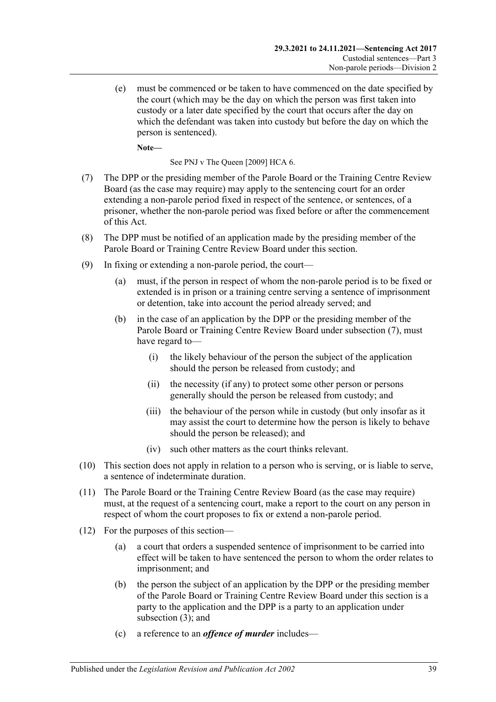(e) must be commenced or be taken to have commenced on the date specified by the court (which may be the day on which the person was first taken into custody or a later date specified by the court that occurs after the day on which the defendant was taken into custody but before the day on which the person is sentenced).

**Note—**

See PNJ v The Queen [2009] HCA 6.

- <span id="page-38-0"></span>(7) The DPP or the presiding member of the Parole Board or the Training Centre Review Board (as the case may require) may apply to the sentencing court for an order extending a non-parole period fixed in respect of the sentence, or sentences, of a prisoner, whether the non-parole period was fixed before or after the commencement of this Act.
- (8) The DPP must be notified of an application made by the presiding member of the Parole Board or Training Centre Review Board under this section.
- (9) In fixing or extending a non-parole period, the court—
	- (a) must, if the person in respect of whom the non-parole period is to be fixed or extended is in prison or a training centre serving a sentence of imprisonment or detention, take into account the period already served; and
	- (b) in the case of an application by the DPP or the presiding member of the Parole Board or Training Centre Review Board under [subsection](#page-38-0) (7), must have regard to—
		- (i) the likely behaviour of the person the subject of the application should the person be released from custody; and
		- (ii) the necessity (if any) to protect some other person or persons generally should the person be released from custody; and
		- (iii) the behaviour of the person while in custody (but only insofar as it may assist the court to determine how the person is likely to behave should the person be released); and
		- (iv) such other matters as the court thinks relevant.
- (10) This section does not apply in relation to a person who is serving, or is liable to serve, a sentence of indeterminate duration.
- (11) The Parole Board or the Training Centre Review Board (as the case may require) must, at the request of a sentencing court, make a report to the court on any person in respect of whom the court proposes to fix or extend a non-parole period.
- (12) For the purposes of this section—
	- (a) a court that orders a suspended sentence of imprisonment to be carried into effect will be taken to have sentenced the person to whom the order relates to imprisonment; and
	- (b) the person the subject of an application by the DPP or the presiding member of the Parole Board or Training Centre Review Board under this section is a party to the application and the DPP is a party to an application under [subsection](#page-36-2) (3); and
	- (c) a reference to an *offence of murder* includes—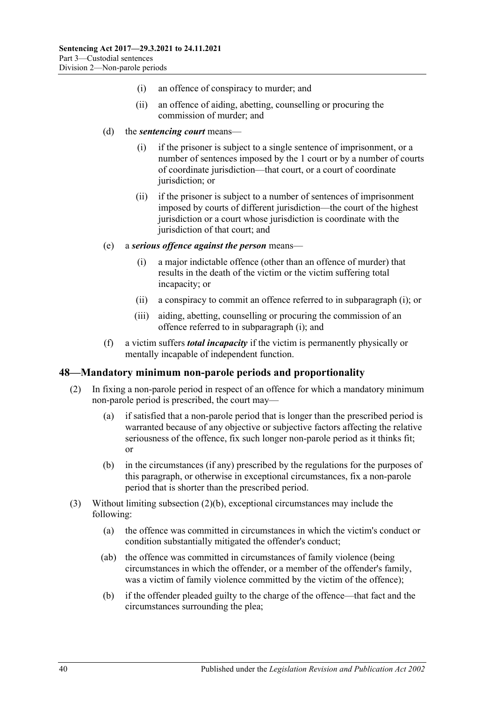- (i) an offence of conspiracy to murder; and
- (ii) an offence of aiding, abetting, counselling or procuring the commission of murder; and
- (d) the *sentencing court* means—
	- (i) if the prisoner is subject to a single sentence of imprisonment, or a number of sentences imposed by the 1 court or by a number of courts of coordinate jurisdiction—that court, or a court of coordinate jurisdiction; or
	- (ii) if the prisoner is subject to a number of sentences of imprisonment imposed by courts of different jurisdiction—the court of the highest jurisdiction or a court whose jurisdiction is coordinate with the jurisdiction of that court; and
- <span id="page-39-1"></span>(e) a *serious offence against the person* means—
	- (i) a major indictable offence (other than an offence of murder) that results in the death of the victim or the victim suffering total incapacity; or
	- (ii) a conspiracy to commit an offence referred to in [subparagraph](#page-39-1) (i); or
	- (iii) aiding, abetting, counselling or procuring the commission of an offence referred to in [subparagraph](#page-39-1) (i); and
- (f) a victim suffers *total incapacity* if the victim is permanently physically or mentally incapable of independent function.

#### <span id="page-39-0"></span>**48—Mandatory minimum non-parole periods and proportionality**

- (2) In fixing a non-parole period in respect of an offence for which a mandatory minimum non-parole period is prescribed, the court may—
	- (a) if satisfied that a non-parole period that is longer than the prescribed period is warranted because of any objective or subjective factors affecting the relative seriousness of the offence, fix such longer non-parole period as it thinks fit; or
	- (b) in the circumstances (if any) prescribed by the regulations for the purposes of this paragraph, or otherwise in exceptional circumstances, fix a non-parole period that is shorter than the prescribed period.
- <span id="page-39-2"></span>(3) Without limiting [subsection](#page-39-2) (2)(b), exceptional circumstances may include the following:
	- (a) the offence was committed in circumstances in which the victim's conduct or condition substantially mitigated the offender's conduct;
	- (ab) the offence was committed in circumstances of family violence (being circumstances in which the offender, or a member of the offender's family, was a victim of family violence committed by the victim of the offence);
	- (b) if the offender pleaded guilty to the charge of the offence—that fact and the circumstances surrounding the plea;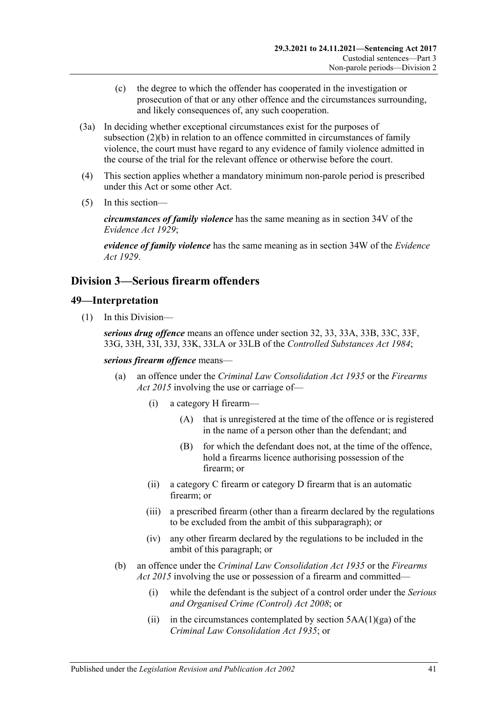- (c) the degree to which the offender has cooperated in the investigation or prosecution of that or any other offence and the circumstances surrounding, and likely consequences of, any such cooperation.
- (3a) In deciding whether exceptional circumstances exist for the purposes of [subsection](#page-39-2) (2)(b) in relation to an offence committed in circumstances of family violence, the court must have regard to any evidence of family violence admitted in the course of the trial for the relevant offence or otherwise before the court.
- (4) This section applies whether a mandatory minimum non-parole period is prescribed under this Act or some other Act.
- (5) In this section—

*circumstances of family violence* has the same meaning as in section 34V of the *[Evidence Act](http://www.legislation.sa.gov.au/index.aspx?action=legref&type=act&legtitle=Evidence%20Act%201929) 1929*;

*evidence of family violence* has the same meaning as in section 34W of the *[Evidence](http://www.legislation.sa.gov.au/index.aspx?action=legref&type=act&legtitle=Evidence%20Act%201929)  Act [1929](http://www.legislation.sa.gov.au/index.aspx?action=legref&type=act&legtitle=Evidence%20Act%201929)*.

# **Division 3—Serious firearm offenders**

#### **49—Interpretation**

(1) In this Division—

*serious drug offence* means an offence under section 32, 33, 33A, 33B, 33C, 33F, 33G, 33H, 33I, 33J, 33K, 33LA or 33LB of the *[Controlled Substances Act](http://www.legislation.sa.gov.au/index.aspx?action=legref&type=act&legtitle=Controlled%20Substances%20Act%201984) 1984*;

*serious firearm offence* means—

- (a) an offence under the *[Criminal Law Consolidation Act](http://www.legislation.sa.gov.au/index.aspx?action=legref&type=act&legtitle=Criminal%20Law%20Consolidation%20Act%201935) 1935* or the *[Firearms](http://www.legislation.sa.gov.au/index.aspx?action=legref&type=act&legtitle=Firearms%20Act%202015)  Act [2015](http://www.legislation.sa.gov.au/index.aspx?action=legref&type=act&legtitle=Firearms%20Act%202015)* involving the use or carriage of—
	- (i) a category H firearm—
		- (A) that is unregistered at the time of the offence or is registered in the name of a person other than the defendant; and
		- (B) for which the defendant does not, at the time of the offence, hold a firearms licence authorising possession of the firearm; or
	- (ii) a category C firearm or category D firearm that is an automatic firearm; or
	- (iii) a prescribed firearm (other than a firearm declared by the regulations to be excluded from the ambit of this subparagraph); or
	- (iv) any other firearm declared by the regulations to be included in the ambit of this paragraph; or
- (b) an offence under the *[Criminal Law Consolidation Act](http://www.legislation.sa.gov.au/index.aspx?action=legref&type=act&legtitle=Criminal%20Law%20Consolidation%20Act%201935) 1935* or the *[Firearms](http://www.legislation.sa.gov.au/index.aspx?action=legref&type=act&legtitle=Firearms%20Act%202015)  Act [2015](http://www.legislation.sa.gov.au/index.aspx?action=legref&type=act&legtitle=Firearms%20Act%202015)* involving the use or possession of a firearm and committed—
	- (i) while the defendant is the subject of a control order under the *[Serious](http://www.legislation.sa.gov.au/index.aspx?action=legref&type=act&legtitle=Serious%20and%20Organised%20Crime%20(Control)%20Act%202008)  [and Organised Crime \(Control\) Act](http://www.legislation.sa.gov.au/index.aspx?action=legref&type=act&legtitle=Serious%20and%20Organised%20Crime%20(Control)%20Act%202008) 2008*; or
	- (ii) in the circumstances contemplated by section  $5AA(1)(ga)$  of the *[Criminal Law Consolidation Act](http://www.legislation.sa.gov.au/index.aspx?action=legref&type=act&legtitle=Criminal%20Law%20Consolidation%20Act%201935) 1935*; or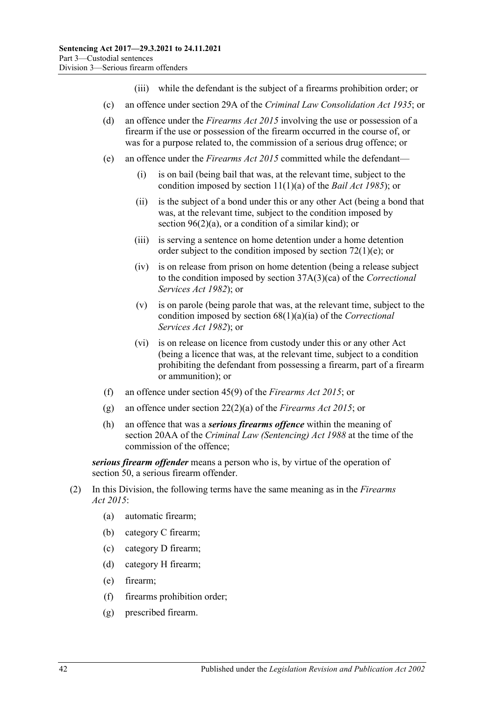- (iii) while the defendant is the subject of a firearms prohibition order; or
- (c) an offence under section 29A of the *[Criminal Law Consolidation Act](http://www.legislation.sa.gov.au/index.aspx?action=legref&type=act&legtitle=Criminal%20Law%20Consolidation%20Act%201935) 1935*; or
- (d) an offence under the *[Firearms Act](http://www.legislation.sa.gov.au/index.aspx?action=legref&type=act&legtitle=Firearms%20Act%202015) 2015* involving the use or possession of a firearm if the use or possession of the firearm occurred in the course of, or was for a purpose related to, the commission of a serious drug offence; or
- (e) an offence under the *[Firearms Act](http://www.legislation.sa.gov.au/index.aspx?action=legref&type=act&legtitle=Firearms%20Act%202015) 2015* committed while the defendant—
	- (i) is on bail (being bail that was, at the relevant time, subject to the condition imposed by section 11(1)(a) of the *[Bail Act](http://www.legislation.sa.gov.au/index.aspx?action=legref&type=act&legtitle=Bail%20Act%201985) 1985*); or
	- (ii) is the subject of a bond under this or any other Act (being a bond that was, at the relevant time, subject to the condition imposed by section [96\(2\)\(a\),](#page-78-0) or a condition of a similar kind); or
	- (iii) is serving a sentence on home detention under a home detention order subject to the condition imposed by section [72\(1\)\(e\);](#page-60-0) or
	- (iv) is on release from prison on home detention (being a release subject to the condition imposed by section 37A(3)(ca) of the *[Correctional](http://www.legislation.sa.gov.au/index.aspx?action=legref&type=act&legtitle=Correctional%20Services%20Act%201982)  [Services Act](http://www.legislation.sa.gov.au/index.aspx?action=legref&type=act&legtitle=Correctional%20Services%20Act%201982) 1982*); or
	- (v) is on parole (being parole that was, at the relevant time, subject to the condition imposed by section 68(1)(a)(ia) of the *[Correctional](http://www.legislation.sa.gov.au/index.aspx?action=legref&type=act&legtitle=Correctional%20Services%20Act%201982)  [Services Act](http://www.legislation.sa.gov.au/index.aspx?action=legref&type=act&legtitle=Correctional%20Services%20Act%201982) 1982*); or
	- (vi) is on release on licence from custody under this or any other Act (being a licence that was, at the relevant time, subject to a condition prohibiting the defendant from possessing a firearm, part of a firearm or ammunition); or
- (f) an offence under section 45(9) of the *[Firearms Act](http://www.legislation.sa.gov.au/index.aspx?action=legref&type=act&legtitle=Firearms%20Act%202015) 2015*; or
- (g) an offence under section 22(2)(a) of the *[Firearms Act](http://www.legislation.sa.gov.au/index.aspx?action=legref&type=act&legtitle=Firearms%20Act%202015) 2015*; or
- (h) an offence that was a *serious firearms offence* within the meaning of section 20AA of the *[Criminal Law \(Sentencing\) Act](http://www.legislation.sa.gov.au/index.aspx?action=legref&type=act&legtitle=Criminal%20Law%20(Sentencing)%20Act%201988) 1988* at the time of the commission of the offence;

*serious firearm offender* means a person who is, by virtue of the operation of [section](#page-42-0) 50, a serious firearm offender.

- (2) In this Division, the following terms have the same meaning as in the *[Firearms](http://www.legislation.sa.gov.au/index.aspx?action=legref&type=act&legtitle=Firearms%20Act%202015)  Act [2015](http://www.legislation.sa.gov.au/index.aspx?action=legref&type=act&legtitle=Firearms%20Act%202015)*:
	- (a) automatic firearm;
	- (b) category C firearm;
	- (c) category D firearm;
	- (d) category H firearm;
	- (e) firearm;
	- (f) firearms prohibition order;
	- (g) prescribed firearm.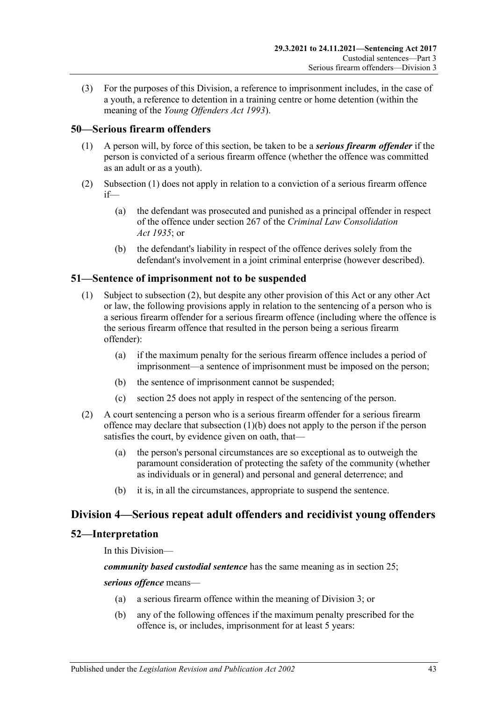(3) For the purposes of this Division, a reference to imprisonment includes, in the case of a youth, a reference to detention in a training centre or home detention (within the meaning of the *[Young Offenders Act](http://www.legislation.sa.gov.au/index.aspx?action=legref&type=act&legtitle=Young%20Offenders%20Act%201993) 1993*).

## <span id="page-42-1"></span><span id="page-42-0"></span>**50—Serious firearm offenders**

- (1) A person will, by force of this section, be taken to be a *serious firearm offender* if the person is convicted of a serious firearm offence (whether the offence was committed as an adult or as a youth).
- (2) [Subsection](#page-42-1) (1) does not apply in relation to a conviction of a serious firearm offence if—
	- (a) the defendant was prosecuted and punished as a principal offender in respect of the offence under section 267 of the *[Criminal Law Consolidation](http://www.legislation.sa.gov.au/index.aspx?action=legref&type=act&legtitle=Criminal%20Law%20Consolidation%20Act%201935)  Act [1935](http://www.legislation.sa.gov.au/index.aspx?action=legref&type=act&legtitle=Criminal%20Law%20Consolidation%20Act%201935)*; or
	- (b) the defendant's liability in respect of the offence derives solely from the defendant's involvement in a joint criminal enterprise (however described).

### **51—Sentence of imprisonment not to be suspended**

- (1) Subject to [subsection](#page-42-2) (2), but despite any other provision of this Act or any other Act or law, the following provisions apply in relation to the sentencing of a person who is a serious firearm offender for a serious firearm offence (including where the offence is the serious firearm offence that resulted in the person being a serious firearm offender):
	- (a) if the maximum penalty for the serious firearm offence includes a period of imprisonment—a sentence of imprisonment must be imposed on the person;
	- (b) the sentence of imprisonment cannot be suspended;
	- (c) [section](#page-19-0) 25 does not apply in respect of the sentencing of the person.
- <span id="page-42-3"></span><span id="page-42-2"></span>(2) A court sentencing a person who is a serious firearm offender for a serious firearm offence may declare that [subsection](#page-42-3) (1)(b) does not apply to the person if the person satisfies the court, by evidence given on oath, that—
	- (a) the person's personal circumstances are so exceptional as to outweigh the paramount consideration of protecting the safety of the community (whether as individuals or in general) and personal and general deterrence; and
	- (b) it is, in all the circumstances, appropriate to suspend the sentence.

## **Division 4—Serious repeat adult offenders and recidivist young offenders**

### **52—Interpretation**

In this Division—

*community based custodial sentence* has the same meaning as in section 25;

#### <span id="page-42-5"></span><span id="page-42-4"></span>*serious offence* means—

- (a) a serious firearm offence within the meaning of Division 3; or
- (b) any of the following offences if the maximum penalty prescribed for the offence is, or includes, imprisonment for at least 5 years: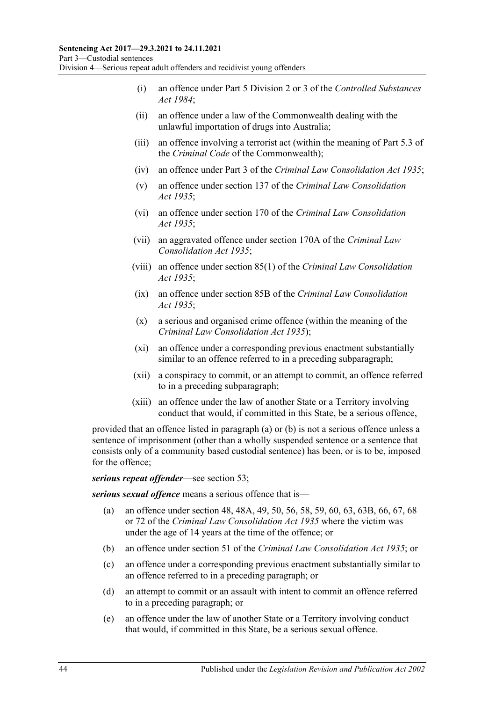- (i) an offence under Part 5 Division 2 or 3 of the *[Controlled Substances](http://www.legislation.sa.gov.au/index.aspx?action=legref&type=act&legtitle=Controlled%20Substances%20Act%201984)  Act [1984](http://www.legislation.sa.gov.au/index.aspx?action=legref&type=act&legtitle=Controlled%20Substances%20Act%201984)*;
- (ii) an offence under a law of the Commonwealth dealing with the unlawful importation of drugs into Australia;
- (iii) an offence involving a terrorist act (within the meaning of Part 5.3 of the *Criminal Code* of the Commonwealth);
- (iv) an offence under Part 3 of the *[Criminal Law Consolidation Act](http://www.legislation.sa.gov.au/index.aspx?action=legref&type=act&legtitle=Criminal%20Law%20Consolidation%20Act%201935) 1935*;
- (v) an offence under section 137 of the *[Criminal Law Consolidation](http://www.legislation.sa.gov.au/index.aspx?action=legref&type=act&legtitle=Criminal%20Law%20Consolidation%20Act%201935)  Act [1935](http://www.legislation.sa.gov.au/index.aspx?action=legref&type=act&legtitle=Criminal%20Law%20Consolidation%20Act%201935)*;
- (vi) an offence under section 170 of the *[Criminal Law Consolidation](http://www.legislation.sa.gov.au/index.aspx?action=legref&type=act&legtitle=Criminal%20Law%20Consolidation%20Act%201935)  Act [1935](http://www.legislation.sa.gov.au/index.aspx?action=legref&type=act&legtitle=Criminal%20Law%20Consolidation%20Act%201935)*;
- (vii) an aggravated offence under section 170A of the *[Criminal Law](http://www.legislation.sa.gov.au/index.aspx?action=legref&type=act&legtitle=Criminal%20Law%20Consolidation%20Act%201935)  [Consolidation Act](http://www.legislation.sa.gov.au/index.aspx?action=legref&type=act&legtitle=Criminal%20Law%20Consolidation%20Act%201935) 1935*;
- (viii) an offence under section 85(1) of the *[Criminal Law Consolidation](http://www.legislation.sa.gov.au/index.aspx?action=legref&type=act&legtitle=Criminal%20Law%20Consolidation%20Act%201935)  Act [1935](http://www.legislation.sa.gov.au/index.aspx?action=legref&type=act&legtitle=Criminal%20Law%20Consolidation%20Act%201935)*;
- (ix) an offence under section 85B of the *[Criminal Law Consolidation](http://www.legislation.sa.gov.au/index.aspx?action=legref&type=act&legtitle=Criminal%20Law%20Consolidation%20Act%201935)  Act [1935](http://www.legislation.sa.gov.au/index.aspx?action=legref&type=act&legtitle=Criminal%20Law%20Consolidation%20Act%201935)*;
- (x) a serious and organised crime offence (within the meaning of the *[Criminal Law Consolidation Act](http://www.legislation.sa.gov.au/index.aspx?action=legref&type=act&legtitle=Criminal%20Law%20Consolidation%20Act%201935) 1935*);
- (xi) an offence under a corresponding previous enactment substantially similar to an offence referred to in a preceding subparagraph;
- (xii) a conspiracy to commit, or an attempt to commit, an offence referred to in a preceding subparagraph;
- (xiii) an offence under the law of another State or a Territory involving conduct that would, if committed in this State, be a serious offence,

provided that an offence listed in [paragraph](#page-42-4) (a) or [\(b\)](#page-42-5) is not a serious offence unless a sentence of imprisonment (other than a wholly suspended sentence or a sentence that consists only of a community based custodial sentence) has been, or is to be, imposed for the offence;

#### *serious repeat offender*—see [section](#page-44-0) 53;

*serious sexual offence* means a serious offence that is—

- (a) an offence under section 48, 48A, 49, 50, 56, 58, 59, 60, 63, 63B, 66, 67, 68 or 72 of the *[Criminal Law Consolidation Act](http://www.legislation.sa.gov.au/index.aspx?action=legref&type=act&legtitle=Criminal%20Law%20Consolidation%20Act%201935) 1935* where the victim was under the age of 14 years at the time of the offence; or
- (b) an offence under section 51 of the *[Criminal Law Consolidation Act](http://www.legislation.sa.gov.au/index.aspx?action=legref&type=act&legtitle=Criminal%20Law%20Consolidation%20Act%201935) 1935*; or
- (c) an offence under a corresponding previous enactment substantially similar to an offence referred to in a preceding paragraph; or
- (d) an attempt to commit or an assault with intent to commit an offence referred to in a preceding paragraph; or
- (e) an offence under the law of another State or a Territory involving conduct that would, if committed in this State, be a serious sexual offence.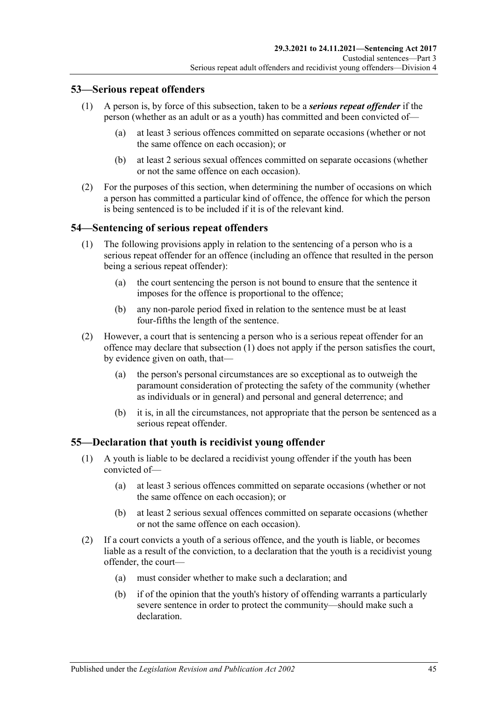### <span id="page-44-0"></span>**53—Serious repeat offenders**

- (1) A person is, by force of this subsection, taken to be a *serious repeat offender* if the person (whether as an adult or as a youth) has committed and been convicted of—
	- (a) at least 3 serious offences committed on separate occasions (whether or not the same offence on each occasion); or
	- (b) at least 2 serious sexual offences committed on separate occasions (whether or not the same offence on each occasion).
- (2) For the purposes of this section, when determining the number of occasions on which a person has committed a particular kind of offence, the offence for which the person is being sentenced is to be included if it is of the relevant kind.

## <span id="page-44-1"></span>**54—Sentencing of serious repeat offenders**

- (1) The following provisions apply in relation to the sentencing of a person who is a serious repeat offender for an offence (including an offence that resulted in the person being a serious repeat offender):
	- (a) the court sentencing the person is not bound to ensure that the sentence it imposes for the offence is proportional to the offence;
	- (b) any non-parole period fixed in relation to the sentence must be at least four-fifths the length of the sentence.
- (2) However, a court that is sentencing a person who is a serious repeat offender for an offence may declare that [subsection](#page-44-1) (1) does not apply if the person satisfies the court, by evidence given on oath, that—
	- (a) the person's personal circumstances are so exceptional as to outweigh the paramount consideration of protecting the safety of the community (whether as individuals or in general) and personal and general deterrence; and
	- (b) it is, in all the circumstances, not appropriate that the person be sentenced as a serious repeat offender.

### **55—Declaration that youth is recidivist young offender**

- (1) A youth is liable to be declared a recidivist young offender if the youth has been convicted of—
	- (a) at least 3 serious offences committed on separate occasions (whether or not the same offence on each occasion); or
	- (b) at least 2 serious sexual offences committed on separate occasions (whether or not the same offence on each occasion).
- (2) If a court convicts a youth of a serious offence, and the youth is liable, or becomes liable as a result of the conviction, to a declaration that the youth is a recidivist young offender, the court—
	- (a) must consider whether to make such a declaration; and
	- (b) if of the opinion that the youth's history of offending warrants a particularly severe sentence in order to protect the community—should make such a declaration.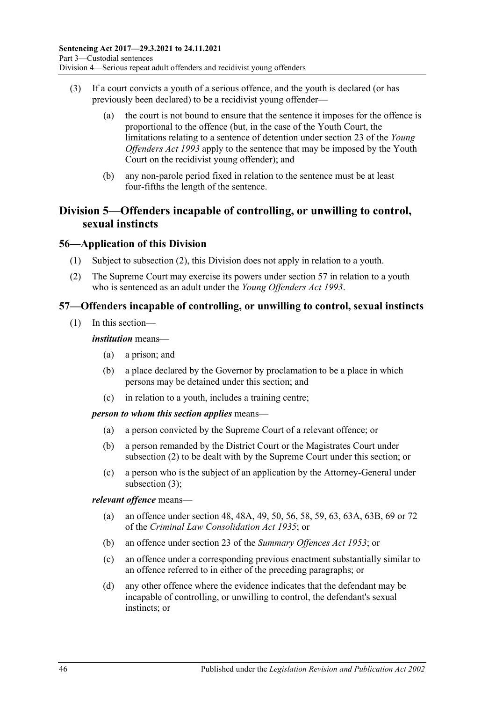- (3) If a court convicts a youth of a serious offence, and the youth is declared (or has previously been declared) to be a recidivist young offender—
	- (a) the court is not bound to ensure that the sentence it imposes for the offence is proportional to the offence (but, in the case of the Youth Court, the limitations relating to a sentence of detention under section 23 of the *[Young](http://www.legislation.sa.gov.au/index.aspx?action=legref&type=act&legtitle=Young%20Offenders%20Act%201993)  [Offenders Act](http://www.legislation.sa.gov.au/index.aspx?action=legref&type=act&legtitle=Young%20Offenders%20Act%201993) 1993* apply to the sentence that may be imposed by the Youth Court on the recidivist young offender); and
	- (b) any non-parole period fixed in relation to the sentence must be at least four-fifths the length of the sentence.

# **Division 5—Offenders incapable of controlling, or unwilling to control, sexual instincts**

## **56—Application of this Division**

- (1) Subject to [subsection](#page-45-0) (2), this Division does not apply in relation to a youth.
- <span id="page-45-0"></span>(2) The Supreme Court may exercise its powers under [section](#page-45-1) 57 in relation to a youth who is sentenced as an adult under the *[Young Offenders Act](http://www.legislation.sa.gov.au/index.aspx?action=legref&type=act&legtitle=Young%20Offenders%20Act%201993) 1993*.

## <span id="page-45-1"></span>**57—Offenders incapable of controlling, or unwilling to control, sexual instincts**

(1) In this section—

#### *institution* means—

- (a) a prison; and
- (b) a place declared by the Governor by proclamation to be a place in which persons may be detained under this section; and
- (c) in relation to a youth, includes a training centre;

#### *person to whom this section applies* means—

- (a) a person convicted by the Supreme Court of a relevant offence; or
- (b) a person remanded by the District Court or the Magistrates Court under [subsection](#page-46-0) (2) to be dealt with by the Supreme Court under this section; or
- (c) a person who is the subject of an application by the Attorney-General under [subsection](#page-46-1) (3);

#### *relevant offence* means—

- (a) an offence under section 48, 48A, 49, 50, 56, 58, 59, 63, 63A, 63B, 69 or 72 of the *[Criminal Law Consolidation Act](http://www.legislation.sa.gov.au/index.aspx?action=legref&type=act&legtitle=Criminal%20Law%20Consolidation%20Act%201935) 1935*; or
- (b) an offence under section 23 of the *[Summary Offences Act](http://www.legislation.sa.gov.au/index.aspx?action=legref&type=act&legtitle=Summary%20Offences%20Act%201953) 1953*; or
- (c) an offence under a corresponding previous enactment substantially similar to an offence referred to in either of the preceding paragraphs; or
- (d) any other offence where the evidence indicates that the defendant may be incapable of controlling, or unwilling to control, the defendant's sexual instincts; or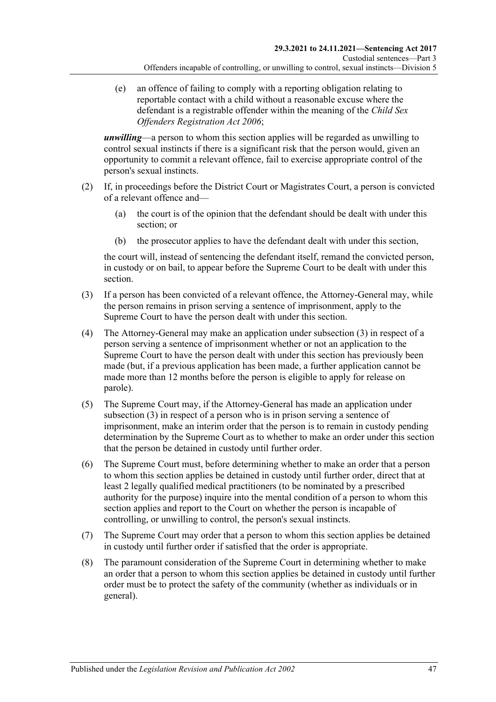(e) an offence of failing to comply with a reporting obligation relating to reportable contact with a child without a reasonable excuse where the defendant is a registrable offender within the meaning of the *[Child Sex](http://www.legislation.sa.gov.au/index.aspx?action=legref&type=act&legtitle=Child%20Sex%20Offenders%20Registration%20Act%202006)  [Offenders Registration Act](http://www.legislation.sa.gov.au/index.aspx?action=legref&type=act&legtitle=Child%20Sex%20Offenders%20Registration%20Act%202006) 2006*;

*unwilling*—a person to whom this section applies will be regarded as unwilling to control sexual instincts if there is a significant risk that the person would, given an opportunity to commit a relevant offence, fail to exercise appropriate control of the person's sexual instincts.

- <span id="page-46-0"></span>(2) If, in proceedings before the District Court or Magistrates Court, a person is convicted of a relevant offence and—
	- (a) the court is of the opinion that the defendant should be dealt with under this section; or
	- (b) the prosecutor applies to have the defendant dealt with under this section,

the court will, instead of sentencing the defendant itself, remand the convicted person, in custody or on bail, to appear before the Supreme Court to be dealt with under this section.

- <span id="page-46-1"></span>(3) If a person has been convicted of a relevant offence, the Attorney-General may, while the person remains in prison serving a sentence of imprisonment, apply to the Supreme Court to have the person dealt with under this section.
- (4) The Attorney-General may make an application under [subsection](#page-46-1) (3) in respect of a person serving a sentence of imprisonment whether or not an application to the Supreme Court to have the person dealt with under this section has previously been made (but, if a previous application has been made, a further application cannot be made more than 12 months before the person is eligible to apply for release on parole).
- (5) The Supreme Court may, if the Attorney-General has made an application under [subsection](#page-46-1) (3) in respect of a person who is in prison serving a sentence of imprisonment, make an interim order that the person is to remain in custody pending determination by the Supreme Court as to whether to make an order under this section that the person be detained in custody until further order.
- <span id="page-46-2"></span>(6) The Supreme Court must, before determining whether to make an order that a person to whom this section applies be detained in custody until further order, direct that at least 2 legally qualified medical practitioners (to be nominated by a prescribed authority for the purpose) inquire into the mental condition of a person to whom this section applies and report to the Court on whether the person is incapable of controlling, or unwilling to control, the person's sexual instincts.
- (7) The Supreme Court may order that a person to whom this section applies be detained in custody until further order if satisfied that the order is appropriate.
- (8) The paramount consideration of the Supreme Court in determining whether to make an order that a person to whom this section applies be detained in custody until further order must be to protect the safety of the community (whether as individuals or in general).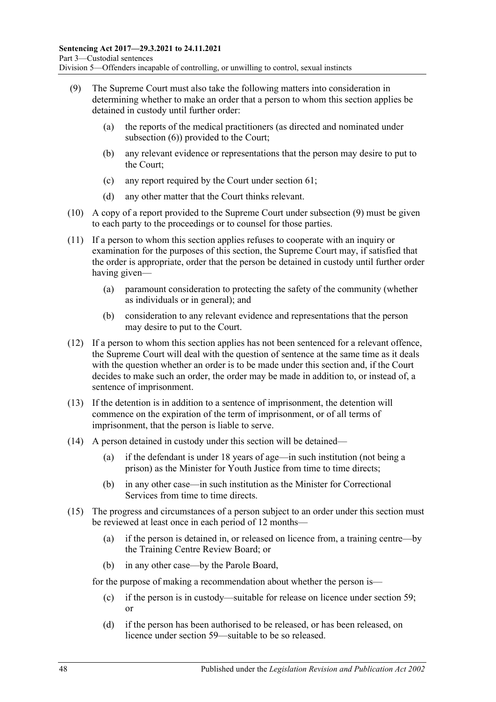- <span id="page-47-0"></span>(9) The Supreme Court must also take the following matters into consideration in determining whether to make an order that a person to whom this section applies be detained in custody until further order:
	- (a) the reports of the medical practitioners (as directed and nominated under [subsection](#page-46-2) (6)) provided to the Court;
	- (b) any relevant evidence or representations that the person may desire to put to the Court;
	- (c) any report required by the Court under [section](#page-52-0) 61;
	- (d) any other matter that the Court thinks relevant.
- (10) A copy of a report provided to the Supreme Court under [subsection](#page-47-0) (9) must be given to each party to the proceedings or to counsel for those parties.
- (11) If a person to whom this section applies refuses to cooperate with an inquiry or examination for the purposes of this section, the Supreme Court may, if satisfied that the order is appropriate, order that the person be detained in custody until further order having given—
	- (a) paramount consideration to protecting the safety of the community (whether as individuals or in general); and
	- (b) consideration to any relevant evidence and representations that the person may desire to put to the Court.
- (12) If a person to whom this section applies has not been sentenced for a relevant offence, the Supreme Court will deal with the question of sentence at the same time as it deals with the question whether an order is to be made under this section and, if the Court decides to make such an order, the order may be made in addition to, or instead of, a sentence of imprisonment.
- (13) If the detention is in addition to a sentence of imprisonment, the detention will commence on the expiration of the term of imprisonment, or of all terms of imprisonment, that the person is liable to serve.
- (14) A person detained in custody under this section will be detained—
	- (a) if the defendant is under 18 years of age—in such institution (not being a prison) as the Minister for Youth Justice from time to time directs;
	- (b) in any other case—in such institution as the Minister for Correctional Services from time to time directs.
- <span id="page-47-1"></span>(15) The progress and circumstances of a person subject to an order under this section must be reviewed at least once in each period of 12 months—
	- (a) if the person is detained in, or released on licence from, a training centre—by the Training Centre Review Board; or
	- (b) in any other case—by the Parole Board,

for the purpose of making a recommendation about whether the person is—

- (c) if the person is in custody—suitable for release on licence under [section](#page-49-0) 59; or
- (d) if the person has been authorised to be released, or has been released, on licence under [section](#page-49-0) 59—suitable to be so released.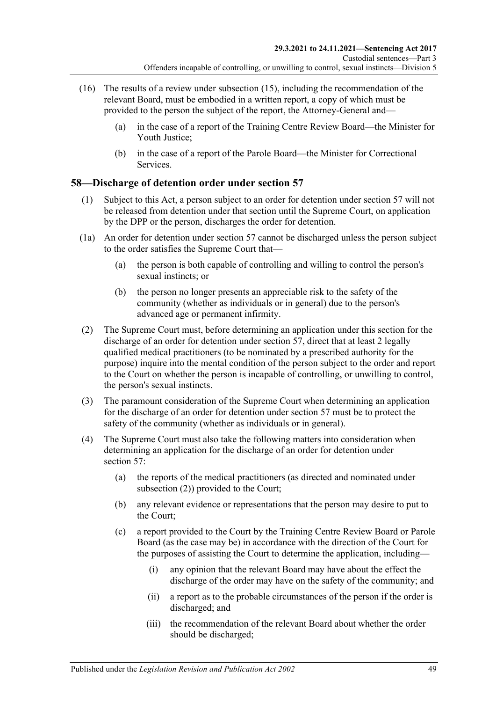- (16) The results of a review under [subsection](#page-47-1) (15), including the recommendation of the relevant Board, must be embodied in a written report, a copy of which must be provided to the person the subject of the report, the Attorney-General and—
	- (a) in the case of a report of the Training Centre Review Board—the Minister for Youth Justice;
	- (b) in the case of a report of the Parole Board—the Minister for Correctional Services.

## **58—Discharge of detention order under [section](#page-45-1) 57**

- (1) Subject to this Act, a person subject to an order for detention under [section](#page-45-1) 57 will not be released from detention under that section until the Supreme Court, on application by the DPP or the person, discharges the order for detention.
- (1a) An order for detention under [section](#page-45-1) 57 cannot be discharged unless the person subject to the order satisfies the Supreme Court that—
	- (a) the person is both capable of controlling and willing to control the person's sexual instincts; or
	- (b) the person no longer presents an appreciable risk to the safety of the community (whether as individuals or in general) due to the person's advanced age or permanent infirmity.
- <span id="page-48-0"></span>(2) The Supreme Court must, before determining an application under this section for the discharge of an order for detention under [section](#page-45-1) 57, direct that at least 2 legally qualified medical practitioners (to be nominated by a prescribed authority for the purpose) inquire into the mental condition of the person subject to the order and report to the Court on whether the person is incapable of controlling, or unwilling to control, the person's sexual instincts.
- (3) The paramount consideration of the Supreme Court when determining an application for the discharge of an order for detention under [section](#page-45-1) 57 must be to protect the safety of the community (whether as individuals or in general).
- <span id="page-48-1"></span>(4) The Supreme Court must also take the following matters into consideration when determining an application for the discharge of an order for detention under [section](#page-45-1) 57:
	- (a) the reports of the medical practitioners (as directed and nominated under [subsection](#page-48-0) (2)) provided to the Court;
	- (b) any relevant evidence or representations that the person may desire to put to the Court;
	- (c) a report provided to the Court by the Training Centre Review Board or Parole Board (as the case may be) in accordance with the direction of the Court for the purposes of assisting the Court to determine the application, including—
		- (i) any opinion that the relevant Board may have about the effect the discharge of the order may have on the safety of the community; and
		- (ii) a report as to the probable circumstances of the person if the order is discharged; and
		- (iii) the recommendation of the relevant Board about whether the order should be discharged;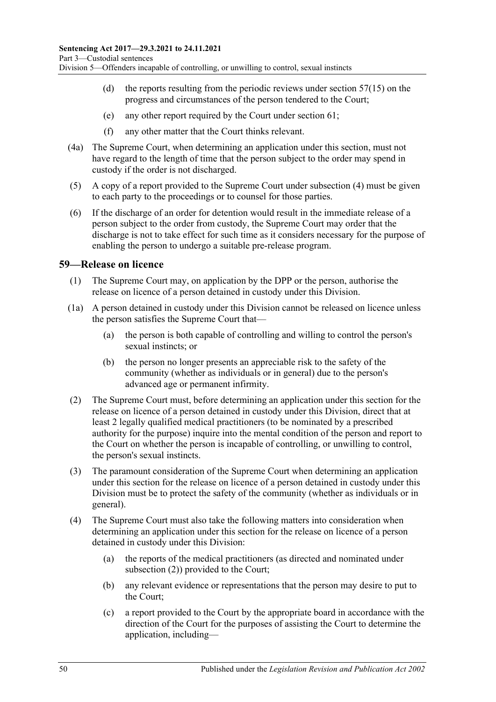- (d) the reports resulting from the periodic reviews under [section](#page-47-1)  $57(15)$  on the progress and circumstances of the person tendered to the Court;
- (e) any other report required by the Court under [section](#page-52-0) 61;
- (f) any other matter that the Court thinks relevant.
- (4a) The Supreme Court, when determining an application under this section, must not have regard to the length of time that the person subject to the order may spend in custody if the order is not discharged.
- (5) A copy of a report provided to the Supreme Court under [subsection](#page-48-1) (4) must be given to each party to the proceedings or to counsel for those parties.
- (6) If the discharge of an order for detention would result in the immediate release of a person subject to the order from custody, the Supreme Court may order that the discharge is not to take effect for such time as it considers necessary for the purpose of enabling the person to undergo a suitable pre-release program.

#### <span id="page-49-3"></span><span id="page-49-0"></span>**59—Release on licence**

- (1) The Supreme Court may, on application by the DPP or the person, authorise the release on licence of a person detained in custody under this Division.
- (1a) A person detained in custody under this Division cannot be released on licence unless the person satisfies the Supreme Court that—
	- (a) the person is both capable of controlling and willing to control the person's sexual instincts; or
	- (b) the person no longer presents an appreciable risk to the safety of the community (whether as individuals or in general) due to the person's advanced age or permanent infirmity.
- <span id="page-49-4"></span><span id="page-49-1"></span>(2) The Supreme Court must, before determining an application under this section for the release on licence of a person detained in custody under this Division, direct that at least 2 legally qualified medical practitioners (to be nominated by a prescribed authority for the purpose) inquire into the mental condition of the person and report to the Court on whether the person is incapable of controlling, or unwilling to control, the person's sexual instincts.
- (3) The paramount consideration of the Supreme Court when determining an application under this section for the release on licence of a person detained in custody under this Division must be to protect the safety of the community (whether as individuals or in general).
- <span id="page-49-2"></span>(4) The Supreme Court must also take the following matters into consideration when determining an application under this section for the release on licence of a person detained in custody under this Division:
	- (a) the reports of the medical practitioners (as directed and nominated under [subsection](#page-49-1) (2)) provided to the Court;
	- (b) any relevant evidence or representations that the person may desire to put to the Court;
	- (c) a report provided to the Court by the appropriate board in accordance with the direction of the Court for the purposes of assisting the Court to determine the application, including—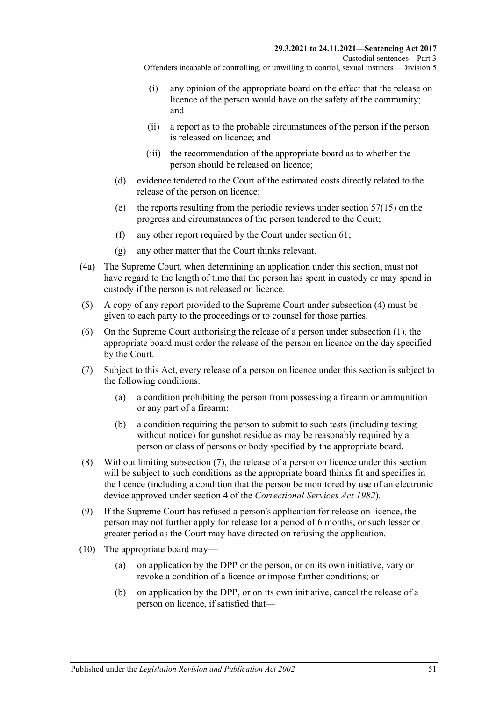- (i) any opinion of the appropriate board on the effect that the release on licence of the person would have on the safety of the community; and
- (ii) a report as to the probable circumstances of the person if the person is released on licence; and
- (iii) the recommendation of the appropriate board as to whether the person should be released on licence;
- (d) evidence tendered to the Court of the estimated costs directly related to the release of the person on licence;
- (e) the reports resulting from the periodic reviews under [section](#page-47-1) 57(15) on the progress and circumstances of the person tendered to the Court;
- (f) any other report required by the Court under [section](#page-52-0) 61;
- (g) any other matter that the Court thinks relevant.
- (4a) The Supreme Court, when determining an application under this section, must not have regard to the length of time that the person has spent in custody or may spend in custody if the person is not released on licence.
- (5) A copy of any report provided to the Supreme Court under [subsection](#page-49-2) (4) must be given to each party to the proceedings or to counsel for those parties.
- (6) On the Supreme Court authorising the release of a person under [subsection](#page-49-3) (1), the appropriate board must order the release of the person on licence on the day specified by the Court.
- <span id="page-50-2"></span><span id="page-50-0"></span>(7) Subject to this Act, every release of a person on licence under this section is subject to the following conditions:
	- (a) a condition prohibiting the person from possessing a firearm or ammunition or any part of a firearm;
	- (b) a condition requiring the person to submit to such tests (including testing without notice) for gunshot residue as may be reasonably required by a person or class of persons or body specified by the appropriate board.
- (8) Without limiting [subsection](#page-50-0) (7), the release of a person on licence under this section will be subject to such conditions as the appropriate board thinks fit and specifies in the licence (including a condition that the person be monitored by use of an electronic device approved under section 4 of the *[Correctional Services Act](http://www.legislation.sa.gov.au/index.aspx?action=legref&type=act&legtitle=Correctional%20Services%20Act%201982) 1982*).
- (9) If the Supreme Court has refused a person's application for release on licence, the person may not further apply for release for a period of 6 months, or such lesser or greater period as the Court may have directed on refusing the application.
- <span id="page-50-1"></span>(10) The appropriate board may—
	- (a) on application by the DPP or the person, or on its own initiative, vary or revoke a condition of a licence or impose further conditions; or
	- (b) on application by the DPP, or on its own initiative, cancel the release of a person on licence, if satisfied that—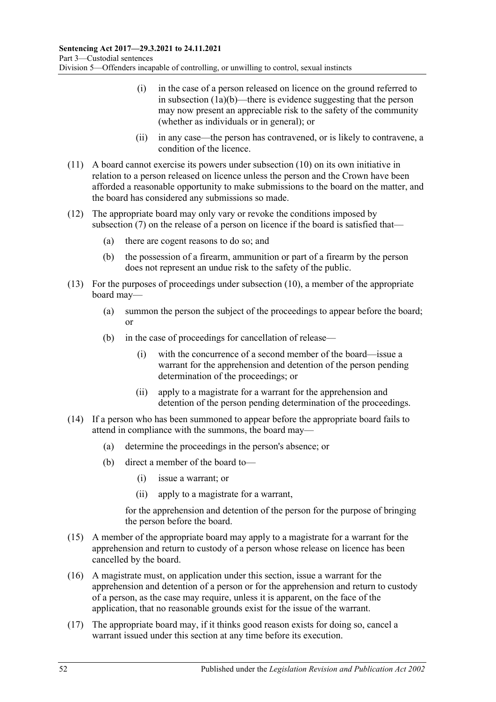- (i) in the case of a person released on licence on the ground referred to in [subsection](#page-49-4) (1a)(b)—there is evidence suggesting that the person may now present an appreciable risk to the safety of the community (whether as individuals or in general); or
- (ii) in any case—the person has contravened, or is likely to contravene, a condition of the licence.
- (11) A board cannot exercise its powers under [subsection](#page-50-1) (10) on its own initiative in relation to a person released on licence unless the person and the Crown have been afforded a reasonable opportunity to make submissions to the board on the matter, and the board has considered any submissions so made.
- (12) The appropriate board may only vary or revoke the conditions imposed by [subsection](#page-50-0) (7) on the release of a person on licence if the board is satisfied that—
	- (a) there are cogent reasons to do so; and
	- (b) the possession of a firearm, ammunition or part of a firearm by the person does not represent an undue risk to the safety of the public.
- (13) For the purposes of proceedings under [subsection](#page-50-1) (10), a member of the appropriate board may—
	- (a) summon the person the subject of the proceedings to appear before the board; or
	- (b) in the case of proceedings for cancellation of release—
		- (i) with the concurrence of a second member of the board—issue a warrant for the apprehension and detention of the person pending determination of the proceedings; or
		- (ii) apply to a magistrate for a warrant for the apprehension and detention of the person pending determination of the proceedings.
- (14) If a person who has been summoned to appear before the appropriate board fails to attend in compliance with the summons, the board may—
	- (a) determine the proceedings in the person's absence; or
	- (b) direct a member of the board to—
		- (i) issue a warrant; or
		- (ii) apply to a magistrate for a warrant,

for the apprehension and detention of the person for the purpose of bringing the person before the board.

- (15) A member of the appropriate board may apply to a magistrate for a warrant for the apprehension and return to custody of a person whose release on licence has been cancelled by the board.
- (16) A magistrate must, on application under this section, issue a warrant for the apprehension and detention of a person or for the apprehension and return to custody of a person, as the case may require, unless it is apparent, on the face of the application, that no reasonable grounds exist for the issue of the warrant.
- (17) The appropriate board may, if it thinks good reason exists for doing so, cancel a warrant issued under this section at any time before its execution.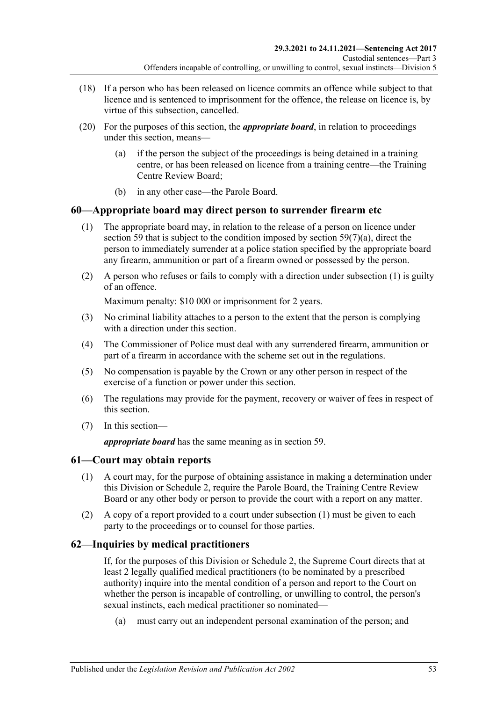- (18) If a person who has been released on licence commits an offence while subject to that licence and is sentenced to imprisonment for the offence, the release on licence is, by virtue of this subsection, cancelled.
- (20) For the purposes of this section, the *appropriate board*, in relation to proceedings under this section, means—
	- (a) if the person the subject of the proceedings is being detained in a training centre, or has been released on licence from a training centre—the Training Centre Review Board;
	- (b) in any other case—the Parole Board.

## <span id="page-52-1"></span>**60—Appropriate board may direct person to surrender firearm etc**

- (1) The appropriate board may, in relation to the release of a person on licence under [section](#page-49-0) 59 that is subject to the condition imposed by section [59\(7\)\(a\),](#page-50-2) direct the person to immediately surrender at a police station specified by the appropriate board any firearm, ammunition or part of a firearm owned or possessed by the person.
- (2) A person who refuses or fails to comply with a direction under [subsection](#page-52-1) (1) is guilty of an offence.

Maximum penalty: \$10 000 or imprisonment for 2 years.

- (3) No criminal liability attaches to a person to the extent that the person is complying with a direction under this section.
- (4) The Commissioner of Police must deal with any surrendered firearm, ammunition or part of a firearm in accordance with the scheme set out in the regulations.
- (5) No compensation is payable by the Crown or any other person in respect of the exercise of a function or power under this section.
- (6) The regulations may provide for the payment, recovery or waiver of fees in respect of this section.
- (7) In this section—

*appropriate board* has the same meaning as in [section](#page-49-0) 59.

### <span id="page-52-2"></span><span id="page-52-0"></span>**61—Court may obtain reports**

- (1) A court may, for the purpose of obtaining assistance in making a determination under this Division or [Schedule 2,](#page-102-0) require the Parole Board, the Training Centre Review Board or any other body or person to provide the court with a report on any matter.
- (2) A copy of a report provided to a court under [subsection](#page-52-2) (1) must be given to each party to the proceedings or to counsel for those parties.

## **62—Inquiries by medical practitioners**

If, for the purposes of this Division or [Schedule 2,](#page-102-0) the Supreme Court directs that at least 2 legally qualified medical practitioners (to be nominated by a prescribed authority) inquire into the mental condition of a person and report to the Court on whether the person is incapable of controlling, or unwilling to control, the person's sexual instincts, each medical practitioner so nominated—

(a) must carry out an independent personal examination of the person; and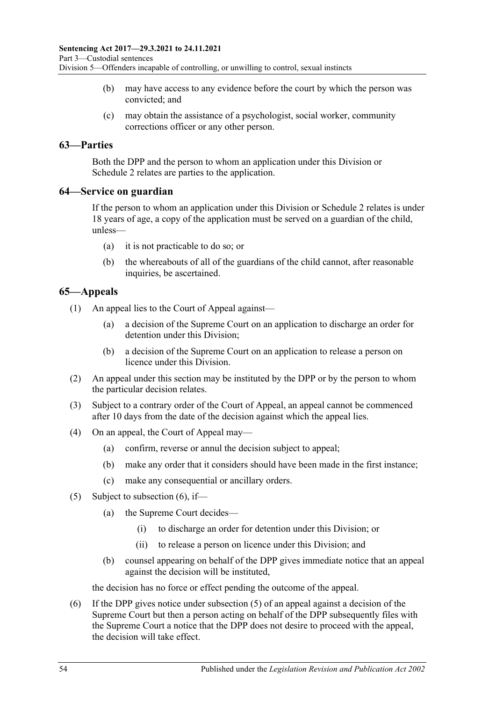- (b) may have access to any evidence before the court by which the person was convicted; and
- (c) may obtain the assistance of a psychologist, social worker, community corrections officer or any other person.

### **63—Parties**

Both the DPP and the person to whom an application under this Division or [Schedule](#page-102-0) 2 relates are parties to the application.

#### **64—Service on guardian**

If the person to whom an application under this Division or [Schedule 2](#page-102-0) relates is under 18 years of age, a copy of the application must be served on a guardian of the child, unless—

- (a) it is not practicable to do so; or
- (b) the whereabouts of all of the guardians of the child cannot, after reasonable inquiries, be ascertained.

### **65—Appeals**

(1) An appeal lies to the Court of Appeal against—

- (a) a decision of the Supreme Court on an application to discharge an order for detention under this Division;
- (b) a decision of the Supreme Court on an application to release a person on licence under this Division.
- (2) An appeal under this section may be instituted by the DPP or by the person to whom the particular decision relates.
- (3) Subject to a contrary order of the Court of Appeal, an appeal cannot be commenced after 10 days from the date of the decision against which the appeal lies.
- (4) On an appeal, the Court of Appeal may—
	- (a) confirm, reverse or annul the decision subject to appeal;
	- (b) make any order that it considers should have been made in the first instance;
	- (c) make any consequential or ancillary orders.
- <span id="page-53-1"></span>(5) Subject to [subsection](#page-53-0)  $(6)$ , if—
	- (a) the Supreme Court decides—
		- (i) to discharge an order for detention under this Division; or
		- (ii) to release a person on licence under this Division; and
	- (b) counsel appearing on behalf of the DPP gives immediate notice that an appeal against the decision will be instituted,

the decision has no force or effect pending the outcome of the appeal.

<span id="page-53-0"></span>(6) If the DPP gives notice under [subsection](#page-53-1) (5) of an appeal against a decision of the Supreme Court but then a person acting on behalf of the DPP subsequently files with the Supreme Court a notice that the DPP does not desire to proceed with the appeal, the decision will take effect.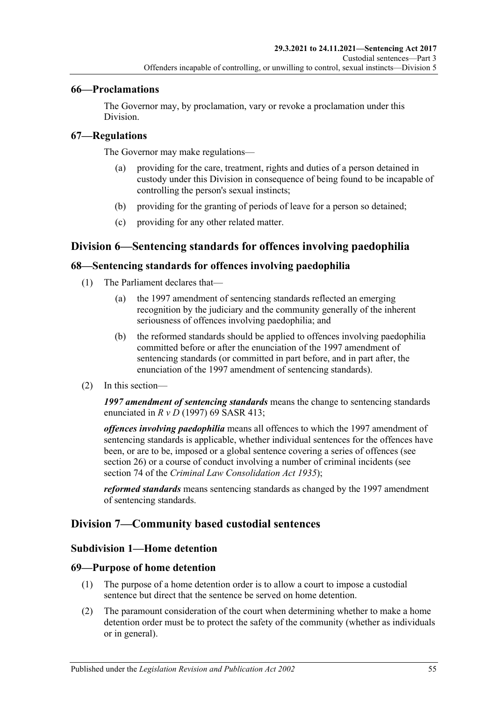### **66—Proclamations**

The Governor may, by proclamation, vary or revoke a proclamation under this Division.

### **67—Regulations**

The Governor may make regulations—

- (a) providing for the care, treatment, rights and duties of a person detained in custody under this Division in consequence of being found to be incapable of controlling the person's sexual instincts;
- (b) providing for the granting of periods of leave for a person so detained;
- (c) providing for any other related matter.

## **Division 6—Sentencing standards for offences involving paedophilia**

#### **68—Sentencing standards for offences involving paedophilia**

- (1) The Parliament declares that—
	- (a) the 1997 amendment of sentencing standards reflected an emerging recognition by the judiciary and the community generally of the inherent seriousness of offences involving paedophilia; and
	- (b) the reformed standards should be applied to offences involving paedophilia committed before or after the enunciation of the 1997 amendment of sentencing standards (or committed in part before, and in part after, the enunciation of the 1997 amendment of sentencing standards).
- (2) In this section—

*1997 amendment of sentencing standards* means the change to sentencing standards enunciated in *R v D* (1997) 69 SASR 413;

*offences involving paedophilia* means all offences to which the 1997 amendment of sentencing standards is applicable, whether individual sentences for the offences have been, or are to be, imposed or a global sentence covering a series of offences (see [section](#page-20-0) 26) or a course of conduct involving a number of criminal incidents (see section 74 of the *[Criminal Law Consolidation Act](http://www.legislation.sa.gov.au/index.aspx?action=legref&type=act&legtitle=Criminal%20Law%20Consolidation%20Act%201935) 1935*);

*reformed standards* means sentencing standards as changed by the 1997 amendment of sentencing standards.

### **Division 7—Community based custodial sentences**

#### **Subdivision 1—Home detention**

#### **69—Purpose of home detention**

- (1) The purpose of a home detention order is to allow a court to impose a custodial sentence but direct that the sentence be served on home detention.
- (2) The paramount consideration of the court when determining whether to make a home detention order must be to protect the safety of the community (whether as individuals or in general).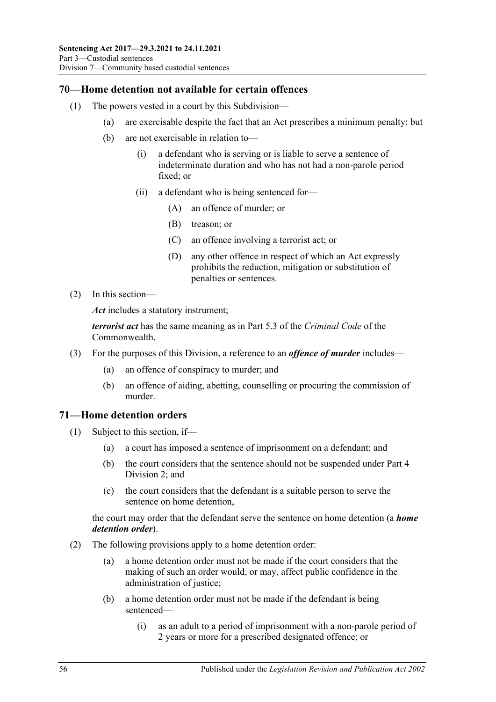## **70—Home detention not available for certain offences**

- (1) The powers vested in a court by this Subdivision—
	- (a) are exercisable despite the fact that an Act prescribes a minimum penalty; but
	- (b) are not exercisable in relation to—
		- (i) a defendant who is serving or is liable to serve a sentence of indeterminate duration and who has not had a non-parole period fixed; or
		- (ii) a defendant who is being sentenced for—
			- (A) an offence of murder; or
			- (B) treason; or
			- (C) an offence involving a terrorist act; or
			- (D) any other offence in respect of which an Act expressly prohibits the reduction, mitigation or substitution of penalties or sentences.
- (2) In this section—

*Act* includes a statutory instrument;

*terrorist act* has the same meaning as in Part 5.3 of the *Criminal Code* of the Commonwealth.

- (3) For the purposes of this Division, a reference to an *offence of murder* includes—
	- (a) an offence of conspiracy to murder; and
	- (b) an offence of aiding, abetting, counselling or procuring the commission of murder.

### **71—Home detention orders**

- (1) Subject to this section, if—
	- (a) a court has imposed a sentence of imprisonment on a defendant; and
	- (b) the court considers that the sentence should not be suspended under [Part](#page-78-1) 4 [Division](#page-78-1) 2; and
	- (c) the court considers that the defendant is a suitable person to serve the sentence on home detention,

the court may order that the defendant serve the sentence on home detention (a *home detention order*).

- (2) The following provisions apply to a home detention order:
	- (a) a home detention order must not be made if the court considers that the making of such an order would, or may, affect public confidence in the administration of justice;
	- (b) a home detention order must not be made if the defendant is being sentenced—
		- (i) as an adult to a period of imprisonment with a non-parole period of 2 years or more for a prescribed designated offence; or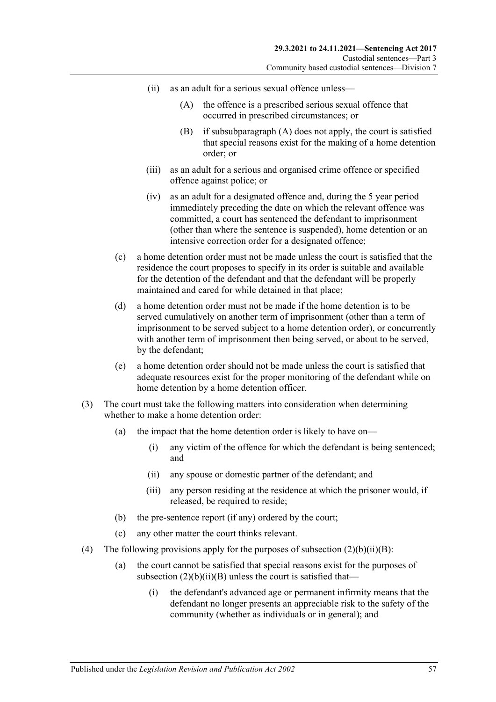- <span id="page-56-1"></span><span id="page-56-0"></span>(ii) as an adult for a serious sexual offence unless—
	- (A) the offence is a prescribed serious sexual offence that occurred in prescribed circumstances; or
	- (B) if [subsubparagraph](#page-56-0) (A) does not apply, the court is satisfied that special reasons exist for the making of a home detention order; or
- (iii) as an adult for a serious and organised crime offence or specified offence against police; or
- (iv) as an adult for a designated offence and, during the 5 year period immediately preceding the date on which the relevant offence was committed, a court has sentenced the defendant to imprisonment (other than where the sentence is suspended), home detention or an intensive correction order for a designated offence;
- (c) a home detention order must not be made unless the court is satisfied that the residence the court proposes to specify in its order is suitable and available for the detention of the defendant and that the defendant will be properly maintained and cared for while detained in that place;
- (d) a home detention order must not be made if the home detention is to be served cumulatively on another term of imprisonment (other than a term of imprisonment to be served subject to a home detention order), or concurrently with another term of imprisonment then being served, or about to be served, by the defendant;
- (e) a home detention order should not be made unless the court is satisfied that adequate resources exist for the proper monitoring of the defendant while on home detention by a home detention officer.
- (3) The court must take the following matters into consideration when determining whether to make a home detention order:
	- (a) the impact that the home detention order is likely to have on—
		- (i) any victim of the offence for which the defendant is being sentenced; and
		- (ii) any spouse or domestic partner of the defendant; and
		- (iii) any person residing at the residence at which the prisoner would, if released, be required to reside;
	- (b) the pre-sentence report (if any) ordered by the court;
	- (c) any other matter the court thinks relevant.
- (4) The following provisions apply for the purposes of subsection  $(2)(b)(ii)(B)$ :
	- (a) the court cannot be satisfied that special reasons exist for the purposes of subsection  $(2)(b)(ii)(B)$  unless the court is satisfied that—
		- (i) the defendant's advanced age or permanent infirmity means that the defendant no longer presents an appreciable risk to the safety of the community (whether as individuals or in general); and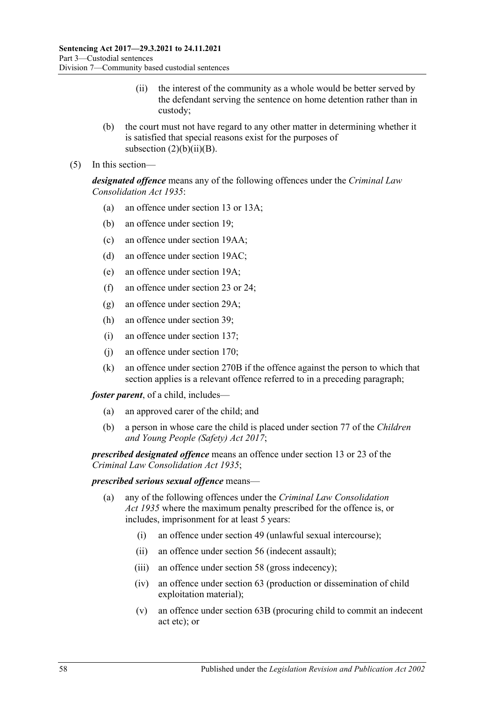- (ii) the interest of the community as a whole would be better served by the defendant serving the sentence on home detention rather than in custody;
- (b) the court must not have regard to any other matter in determining whether it is satisfied that special reasons exist for the purposes of subsection  $(2)(b)(ii)(B)$ .
- (5) In this section—

*designated offence* means any of the following offences under the *[Criminal Law](http://www.legislation.sa.gov.au/index.aspx?action=legref&type=act&legtitle=Criminal%20Law%20Consolidation%20Act%201935) [Consolidation Act](http://www.legislation.sa.gov.au/index.aspx?action=legref&type=act&legtitle=Criminal%20Law%20Consolidation%20Act%201935) 1935*:

- (a) an offence under section 13 or 13A;
- (b) an offence under section 19;
- (c) an offence under section 19AA;
- (d) an offence under section 19AC;
- (e) an offence under section 19A;
- (f) an offence under section 23 or 24;
- (g) an offence under section 29A;
- (h) an offence under section 39;
- (i) an offence under section 137;
- (j) an offence under section 170;
- (k) an offence under section 270B if the offence against the person to which that section applies is a relevant offence referred to in a preceding paragraph;

*foster parent*, of a child, includes—

- (a) an approved carer of the child; and
- (b) a person in whose care the child is placed under section 77 of the *[Children](http://www.legislation.sa.gov.au/index.aspx?action=legref&type=act&legtitle=Children%20and%20Young%20People%20(Safety)%20Act%202017)  [and Young People \(Safety\) Act](http://www.legislation.sa.gov.au/index.aspx?action=legref&type=act&legtitle=Children%20and%20Young%20People%20(Safety)%20Act%202017) 2017*;

*prescribed designated offence* means an offence under section 13 or 23 of the *[Criminal Law Consolidation Act](http://www.legislation.sa.gov.au/index.aspx?action=legref&type=act&legtitle=Criminal%20Law%20Consolidation%20Act%201935) 1935*;

#### *prescribed serious sexual offence* means—

- (a) any of the following offences under the *[Criminal Law Consolidation](http://www.legislation.sa.gov.au/index.aspx?action=legref&type=act&legtitle=Criminal%20Law%20Consolidation%20Act%201935)  Act [1935](http://www.legislation.sa.gov.au/index.aspx?action=legref&type=act&legtitle=Criminal%20Law%20Consolidation%20Act%201935)* where the maximum penalty prescribed for the offence is, or includes, imprisonment for at least 5 years:
	- (i) an offence under section 49 (unlawful sexual intercourse);
	- (ii) an offence under section 56 (indecent assault);
	- (iii) an offence under section 58 (gross indecency);
	- (iv) an offence under section 63 (production or dissemination of child exploitation material);
	- (v) an offence under section 63B (procuring child to commit an indecent act etc); or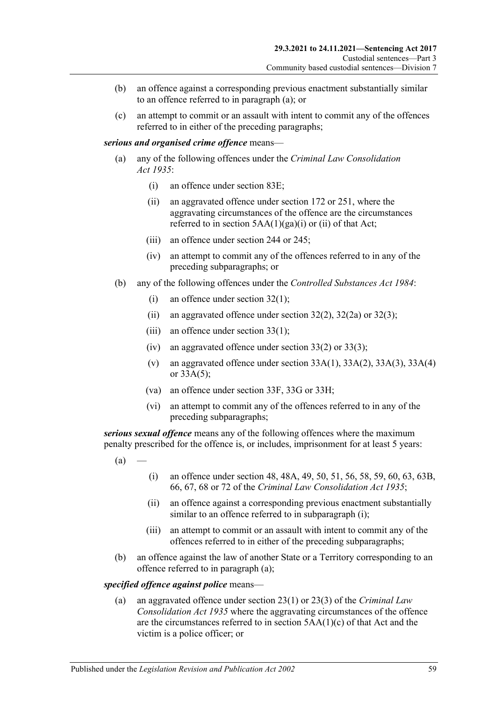- (b) an offence against a corresponding previous enactment substantially similar to an offence referred to in paragraph (a); or
- (c) an attempt to commit or an assault with intent to commit any of the offences referred to in either of the preceding paragraphs;

#### *serious and organised crime offence* means—

- (a) any of the following offences under the *[Criminal Law Consolidation](http://www.legislation.sa.gov.au/index.aspx?action=legref&type=act&legtitle=Criminal%20Law%20Consolidation%20Act%201935)  Act [1935](http://www.legislation.sa.gov.au/index.aspx?action=legref&type=act&legtitle=Criminal%20Law%20Consolidation%20Act%201935)*:
	- (i) an offence under section 83E;
	- (ii) an aggravated offence under section 172 or 251, where the aggravating circumstances of the offence are the circumstances referred to in section  $5AA(1)(ga)(i)$  or (ii) of that Act;
	- (iii) an offence under section 244 or 245;
	- (iv) an attempt to commit any of the offences referred to in any of the preceding subparagraphs; or
- (b) any of the following offences under the *[Controlled Substances Act](http://www.legislation.sa.gov.au/index.aspx?action=legref&type=act&legtitle=Controlled%20Substances%20Act%201984) 1984*:
	- (i) an offence under section 32(1);
	- (ii) an aggravated offence under section  $32(2)$ ,  $32(2a)$  or  $32(3)$ ;
	- (iii) an offence under section  $33(1)$ ;
	- (iv) an aggravated offence under section 33(2) or 33(3);
	- (v) an aggravated offence under section  $33A(1)$ ,  $33A(2)$ ,  $33A(3)$ ,  $33A(4)$ or 33A(5);
	- (va) an offence under section 33F, 33G or 33H;
	- (vi) an attempt to commit any of the offences referred to in any of the preceding subparagraphs;

<span id="page-58-1"></span>*serious sexual offence* means any of the following offences where the maximum penalty prescribed for the offence is, or includes, imprisonment for at least 5 years:

- <span id="page-58-0"></span> $(a)$
- (i) an offence under section 48, 48A, 49, 50, 51, 56, 58, 59, 60, 63, 63B, 66, 67, 68 or 72 of the *[Criminal Law Consolidation Act](http://www.legislation.sa.gov.au/index.aspx?action=legref&type=act&legtitle=Criminal%20Law%20Consolidation%20Act%201935) 1935*;
- (ii) an offence against a corresponding previous enactment substantially similar to an offence referred to in [subparagraph](#page-58-0) (i);
- (iii) an attempt to commit or an assault with intent to commit any of the offences referred to in either of the preceding subparagraphs;
- (b) an offence against the law of another State or a Territory corresponding to an offence referred to in [paragraph](#page-58-1) (a);

#### *specified offence against police* means—

(a) an aggravated offence under section 23(1) or 23(3) of the *[Criminal Law](http://www.legislation.sa.gov.au/index.aspx?action=legref&type=act&legtitle=Criminal%20Law%20Consolidation%20Act%201935)  [Consolidation Act](http://www.legislation.sa.gov.au/index.aspx?action=legref&type=act&legtitle=Criminal%20Law%20Consolidation%20Act%201935) 1935* where the aggravating circumstances of the offence are the circumstances referred to in section 5AA(1)(c) of that Act and the victim is a police officer; or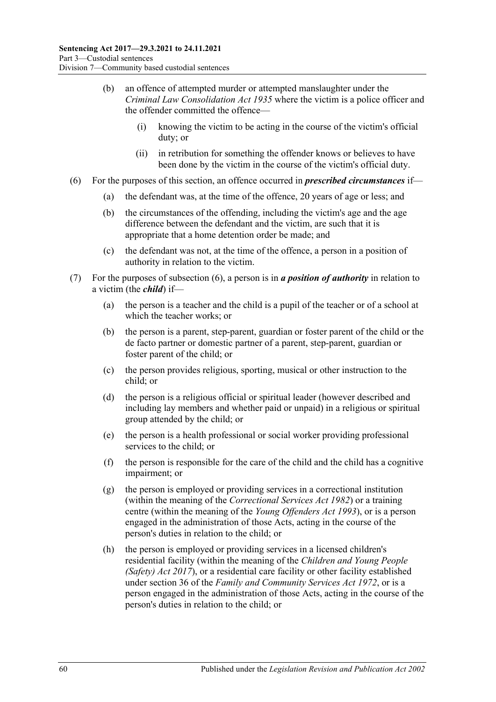- (b) an offence of attempted murder or attempted manslaughter under the *[Criminal Law Consolidation Act](http://www.legislation.sa.gov.au/index.aspx?action=legref&type=act&legtitle=Criminal%20Law%20Consolidation%20Act%201935) 1935* where the victim is a police officer and the offender committed the offence—
	- (i) knowing the victim to be acting in the course of the victim's official duty; or
	- (ii) in retribution for something the offender knows or believes to have been done by the victim in the course of the victim's official duty.
- <span id="page-59-0"></span>(6) For the purposes of this section, an offence occurred in *prescribed circumstances* if—
	- (a) the defendant was, at the time of the offence, 20 years of age or less; and
	- (b) the circumstances of the offending, including the victim's age and the age difference between the defendant and the victim, are such that it is appropriate that a home detention order be made; and
	- (c) the defendant was not, at the time of the offence, a person in a position of authority in relation to the victim.
- (7) For the purposes of [subsection](#page-59-0) (6), a person is in *a position of authority* in relation to a victim (the *child*) if—
	- (a) the person is a teacher and the child is a pupil of the teacher or of a school at which the teacher works; or
	- (b) the person is a parent, step-parent, guardian or foster parent of the child or the de facto partner or domestic partner of a parent, step-parent, guardian or foster parent of the child; or
	- (c) the person provides religious, sporting, musical or other instruction to the child; or
	- (d) the person is a religious official or spiritual leader (however described and including lay members and whether paid or unpaid) in a religious or spiritual group attended by the child; or
	- (e) the person is a health professional or social worker providing professional services to the child; or
	- (f) the person is responsible for the care of the child and the child has a cognitive impairment; or
	- (g) the person is employed or providing services in a correctional institution (within the meaning of the *[Correctional Services Act](http://www.legislation.sa.gov.au/index.aspx?action=legref&type=act&legtitle=Correctional%20Services%20Act%201982) 1982*) or a training centre (within the meaning of the *[Young Offenders Act](http://www.legislation.sa.gov.au/index.aspx?action=legref&type=act&legtitle=Young%20Offenders%20Act%201993) 1993*), or is a person engaged in the administration of those Acts, acting in the course of the person's duties in relation to the child; or
	- (h) the person is employed or providing services in a licensed children's residential facility (within the meaning of the *[Children and Young People](http://www.legislation.sa.gov.au/index.aspx?action=legref&type=act&legtitle=Children%20and%20Young%20People%20(Safety)%20Act%202017)  [\(Safety\) Act](http://www.legislation.sa.gov.au/index.aspx?action=legref&type=act&legtitle=Children%20and%20Young%20People%20(Safety)%20Act%202017) 2017*), or a residential care facility or other facility established under section 36 of the *[Family and Community Services Act](http://www.legislation.sa.gov.au/index.aspx?action=legref&type=act&legtitle=Family%20and%20Community%20Services%20Act%201972) 1972*, or is a person engaged in the administration of those Acts, acting in the course of the person's duties in relation to the child; or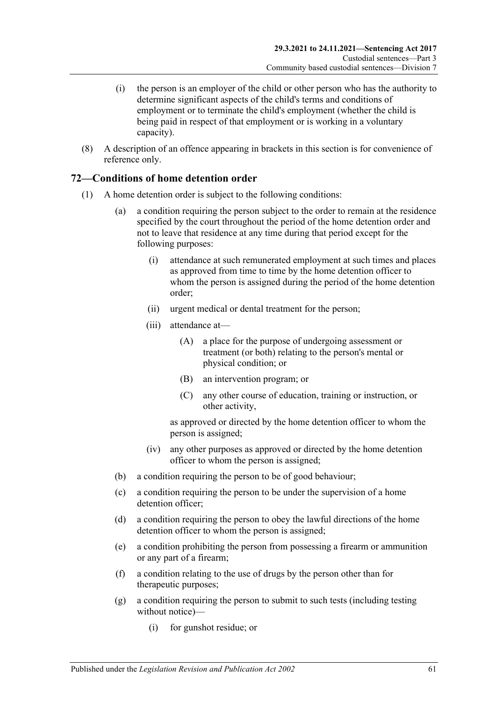- (i) the person is an employer of the child or other person who has the authority to determine significant aspects of the child's terms and conditions of employment or to terminate the child's employment (whether the child is being paid in respect of that employment or is working in a voluntary capacity).
- (8) A description of an offence appearing in brackets in this section is for convenience of reference only.

## **72—Conditions of home detention order**

- (1) A home detention order is subject to the following conditions:
	- (a) a condition requiring the person subject to the order to remain at the residence specified by the court throughout the period of the home detention order and not to leave that residence at any time during that period except for the following purposes:
		- (i) attendance at such remunerated employment at such times and places as approved from time to time by the home detention officer to whom the person is assigned during the period of the home detention order;
		- (ii) urgent medical or dental treatment for the person;
		- (iii) attendance at—
			- (A) a place for the purpose of undergoing assessment or treatment (or both) relating to the person's mental or physical condition; or
			- (B) an intervention program; or
			- (C) any other course of education, training or instruction, or other activity,

as approved or directed by the home detention officer to whom the person is assigned;

- (iv) any other purposes as approved or directed by the home detention officer to whom the person is assigned;
- (b) a condition requiring the person to be of good behaviour;
- (c) a condition requiring the person to be under the supervision of a home detention officer;
- (d) a condition requiring the person to obey the lawful directions of the home detention officer to whom the person is assigned;
- <span id="page-60-0"></span>(e) a condition prohibiting the person from possessing a firearm or ammunition or any part of a firearm;
- (f) a condition relating to the use of drugs by the person other than for therapeutic purposes;
- <span id="page-60-1"></span>(g) a condition requiring the person to submit to such tests (including testing without notice)—
	- (i) for gunshot residue; or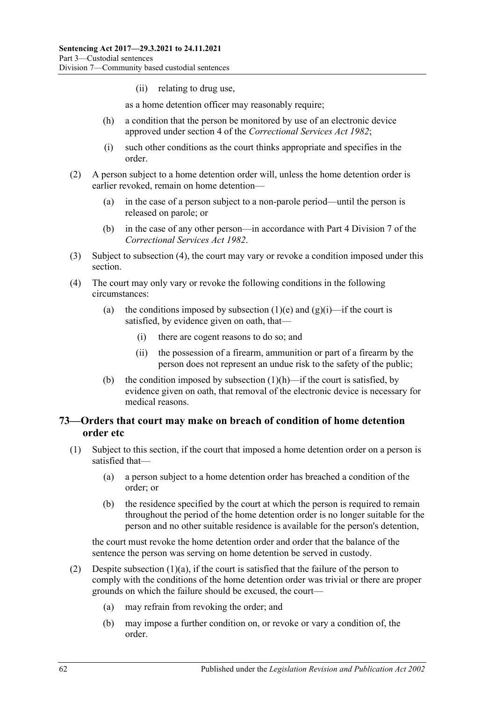(ii) relating to drug use,

as a home detention officer may reasonably require;

- <span id="page-61-1"></span>(h) a condition that the person be monitored by use of an electronic device approved under section 4 of the *[Correctional Services Act](http://www.legislation.sa.gov.au/index.aspx?action=legref&type=act&legtitle=Correctional%20Services%20Act%201982) 1982*;
- (i) such other conditions as the court thinks appropriate and specifies in the order.
- (2) A person subject to a home detention order will, unless the home detention order is earlier revoked, remain on home detention—
	- (a) in the case of a person subject to a non-parole period—until the person is released on parole; or
	- (b) in the case of any other person—in accordance with Part 4 Division 7 of the *[Correctional Services Act](http://www.legislation.sa.gov.au/index.aspx?action=legref&type=act&legtitle=Correctional%20Services%20Act%201982) 1982*.
- (3) Subject to [subsection](#page-61-0) (4), the court may vary or revoke a condition imposed under this section.
- <span id="page-61-0"></span>(4) The court may only vary or revoke the following conditions in the following circumstances:
	- (a) the conditions imposed by [subsection](#page-60-0) (1)(e) and [\(g\)\(i\)—](#page-60-1)if the court is satisfied, by evidence given on oath, that—
		- (i) there are cogent reasons to do so; and
		- (ii) the possession of a firearm, ammunition or part of a firearm by the person does not represent an undue risk to the safety of the public;
	- (b) the condition imposed by [subsection](#page-61-1)  $(1)(h)$ —if the court is satisfied, by evidence given on oath, that removal of the electronic device is necessary for medical reasons.

### <span id="page-61-4"></span>**73—Orders that court may make on breach of condition of home detention order etc**

- <span id="page-61-3"></span><span id="page-61-2"></span>(1) Subject to this section, if the court that imposed a home detention order on a person is satisfied that—
	- (a) a person subject to a home detention order has breached a condition of the order; or
	- (b) the residence specified by the court at which the person is required to remain throughout the period of the home detention order is no longer suitable for the person and no other suitable residence is available for the person's detention,

the court must revoke the home detention order and order that the balance of the sentence the person was serving on home detention be served in custody.

- (2) Despite [subsection](#page-61-2)  $(1)(a)$ , if the court is satisfied that the failure of the person to comply with the conditions of the home detention order was trivial or there are proper grounds on which the failure should be excused, the court—
	- (a) may refrain from revoking the order; and
	- (b) may impose a further condition on, or revoke or vary a condition of, the order.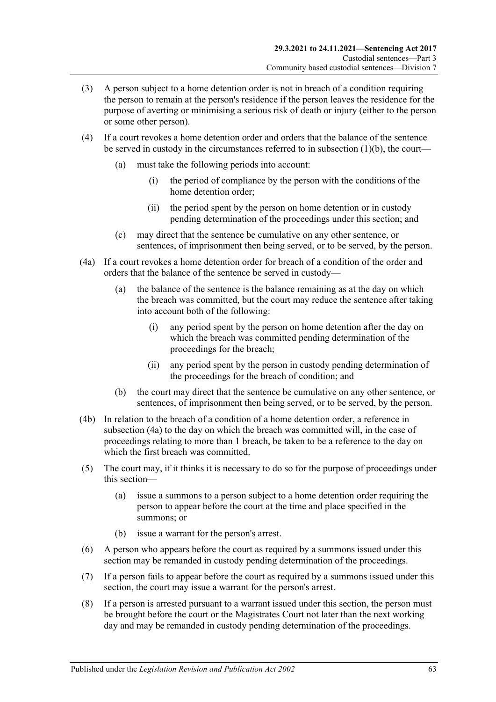- (3) A person subject to a home detention order is not in breach of a condition requiring the person to remain at the person's residence if the person leaves the residence for the purpose of averting or minimising a serious risk of death or injury (either to the person or some other person).
- (4) If a court revokes a home detention order and orders that the balance of the sentence be served in custody in the circumstances referred to in [subsection](#page-61-3) (1)(b), the court—
	- (a) must take the following periods into account:
		- (i) the period of compliance by the person with the conditions of the home detention order;
		- (ii) the period spent by the person on home detention or in custody pending determination of the proceedings under this section; and
	- (c) may direct that the sentence be cumulative on any other sentence, or sentences, of imprisonment then being served, or to be served, by the person.
- <span id="page-62-0"></span>(4a) If a court revokes a home detention order for breach of a condition of the order and orders that the balance of the sentence be served in custody—
	- (a) the balance of the sentence is the balance remaining as at the day on which the breach was committed, but the court may reduce the sentence after taking into account both of the following:
		- (i) any period spent by the person on home detention after the day on which the breach was committed pending determination of the proceedings for the breach;
		- (ii) any period spent by the person in custody pending determination of the proceedings for the breach of condition; and
	- (b) the court may direct that the sentence be cumulative on any other sentence, or sentences, of imprisonment then being served, or to be served, by the person.
- (4b) In relation to the breach of a condition of a home detention order, a reference in [subsection](#page-62-0) (4a) to the day on which the breach was committed will, in the case of proceedings relating to more than 1 breach, be taken to be a reference to the day on which the first breach was committed.
- (5) The court may, if it thinks it is necessary to do so for the purpose of proceedings under this section—
	- (a) issue a summons to a person subject to a home detention order requiring the person to appear before the court at the time and place specified in the summons; or
	- (b) issue a warrant for the person's arrest.
- (6) A person who appears before the court as required by a summons issued under this section may be remanded in custody pending determination of the proceedings.
- (7) If a person fails to appear before the court as required by a summons issued under this section, the court may issue a warrant for the person's arrest.
- <span id="page-62-1"></span>(8) If a person is arrested pursuant to a warrant issued under this section, the person must be brought before the court or the Magistrates Court not later than the next working day and may be remanded in custody pending determination of the proceedings.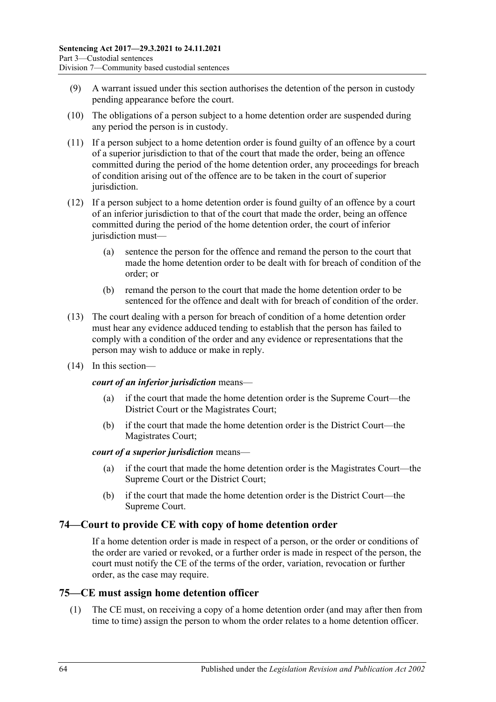- (9) A warrant issued under this section authorises the detention of the person in custody pending appearance before the court.
- <span id="page-63-0"></span>(10) The obligations of a person subject to a home detention order are suspended during any period the person is in custody.
- (11) If a person subject to a home detention order is found guilty of an offence by a court of a superior jurisdiction to that of the court that made the order, being an offence committed during the period of the home detention order, any proceedings for breach of condition arising out of the offence are to be taken in the court of superior jurisdiction.
- (12) If a person subject to a home detention order is found guilty of an offence by a court of an inferior jurisdiction to that of the court that made the order, being an offence committed during the period of the home detention order, the court of inferior jurisdiction must—
	- (a) sentence the person for the offence and remand the person to the court that made the home detention order to be dealt with for breach of condition of the order; or
	- (b) remand the person to the court that made the home detention order to be sentenced for the offence and dealt with for breach of condition of the order.
- (13) The court dealing with a person for breach of condition of a home detention order must hear any evidence adduced tending to establish that the person has failed to comply with a condition of the order and any evidence or representations that the person may wish to adduce or make in reply.
- (14) In this section—

#### *court of an inferior jurisdiction* means—

- (a) if the court that made the home detention order is the Supreme Court—the District Court or the Magistrates Court;
- (b) if the court that made the home detention order is the District Court—the Magistrates Court;

#### *court of a superior jurisdiction* means—

- (a) if the court that made the home detention order is the Magistrates Court—the Supreme Court or the District Court;
- (b) if the court that made the home detention order is the District Court—the Supreme Court.

### **74—Court to provide CE with copy of home detention order**

If a home detention order is made in respect of a person, or the order or conditions of the order are varied or revoked, or a further order is made in respect of the person, the court must notify the CE of the terms of the order, variation, revocation or further order, as the case may require.

### **75—CE must assign home detention officer**

(1) The CE must, on receiving a copy of a home detention order (and may after then from time to time) assign the person to whom the order relates to a home detention officer.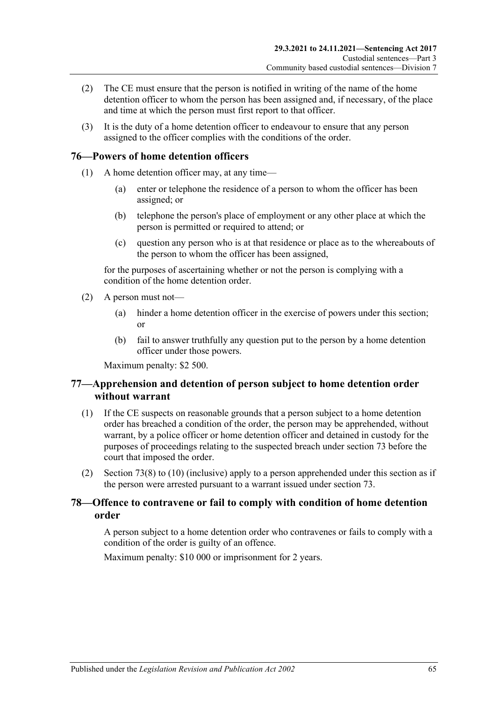- (2) The CE must ensure that the person is notified in writing of the name of the home detention officer to whom the person has been assigned and, if necessary, of the place and time at which the person must first report to that officer.
- (3) It is the duty of a home detention officer to endeavour to ensure that any person assigned to the officer complies with the conditions of the order.

## **76—Powers of home detention officers**

- (1) A home detention officer may, at any time—
	- (a) enter or telephone the residence of a person to whom the officer has been assigned; or
	- (b) telephone the person's place of employment or any other place at which the person is permitted or required to attend; or
	- (c) question any person who is at that residence or place as to the whereabouts of the person to whom the officer has been assigned,

for the purposes of ascertaining whether or not the person is complying with a condition of the home detention order.

- (2) A person must not—
	- (a) hinder a home detention officer in the exercise of powers under this section; or
	- (b) fail to answer truthfully any question put to the person by a home detention officer under those powers.

Maximum penalty: \$2 500.

## **77—Apprehension and detention of person subject to home detention order without warrant**

- (1) If the CE suspects on reasonable grounds that a person subject to a home detention order has breached a condition of the order, the person may be apprehended, without warrant, by a police officer or home detention officer and detained in custody for the purposes of proceedings relating to the suspected breach under [section](#page-61-4) 73 before the court that imposed the order.
- (2) [Section](#page-62-1) 73(8) to [\(10\)](#page-63-0) (inclusive) apply to a person apprehended under this section as if the person were arrested pursuant to a warrant issued under [section](#page-61-4) 73.

## **78—Offence to contravene or fail to comply with condition of home detention order**

A person subject to a home detention order who contravenes or fails to comply with a condition of the order is guilty of an offence.

Maximum penalty: \$10 000 or imprisonment for 2 years.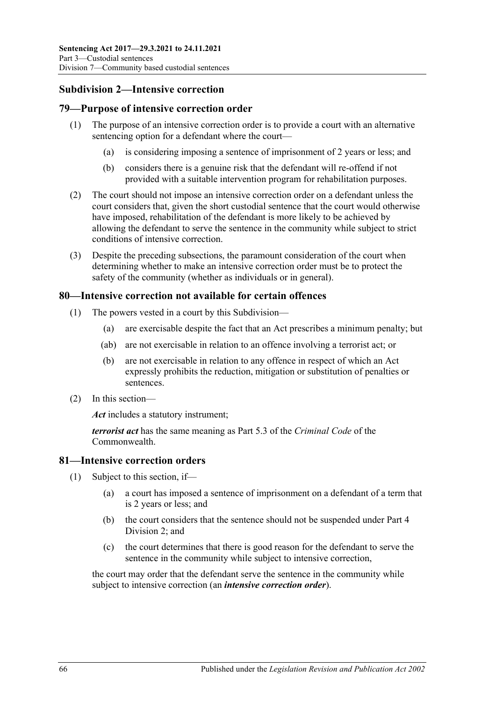# **Subdivision 2—Intensive correction**

### **79—Purpose of intensive correction order**

- (1) The purpose of an intensive correction order is to provide a court with an alternative sentencing option for a defendant where the court—
	- (a) is considering imposing a sentence of imprisonment of 2 years or less; and
	- (b) considers there is a genuine risk that the defendant will re-offend if not provided with a suitable intervention program for rehabilitation purposes.
- (2) The court should not impose an intensive correction order on a defendant unless the court considers that, given the short custodial sentence that the court would otherwise have imposed, rehabilitation of the defendant is more likely to be achieved by allowing the defendant to serve the sentence in the community while subject to strict conditions of intensive correction.
- (3) Despite the preceding subsections, the paramount consideration of the court when determining whether to make an intensive correction order must be to protect the safety of the community (whether as individuals or in general).

#### **80—Intensive correction not available for certain offences**

- (1) The powers vested in a court by this Subdivision—
	- (a) are exercisable despite the fact that an Act prescribes a minimum penalty; but
	- (ab) are not exercisable in relation to an offence involving a terrorist act; or
	- (b) are not exercisable in relation to any offence in respect of which an Act expressly prohibits the reduction, mitigation or substitution of penalties or sentences.
- (2) In this section—

*Act* includes a statutory instrument;

*terrorist act* has the same meaning as Part 5.3 of the *Criminal Code* of the Commonwealth.

### **81—Intensive correction orders**

- (1) Subject to this section, if—
	- (a) a court has imposed a sentence of imprisonment on a defendant of a term that is 2 years or less; and
	- (b) the court considers that the sentence should not be suspended under [Part](#page-78-1) 4 [Division](#page-78-1) 2; and
	- (c) the court determines that there is good reason for the defendant to serve the sentence in the community while subject to intensive correction,

<span id="page-65-0"></span>the court may order that the defendant serve the sentence in the community while subject to intensive correction (an *intensive correction order*).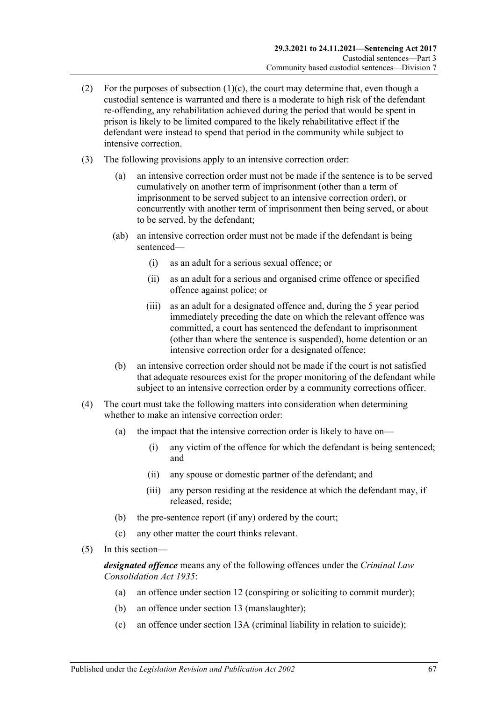- (2) For the purposes of [subsection](#page-65-0)  $(1)(c)$ , the court may determine that, even though a custodial sentence is warranted and there is a moderate to high risk of the defendant re-offending, any rehabilitation achieved during the period that would be spent in prison is likely to be limited compared to the likely rehabilitative effect if the defendant were instead to spend that period in the community while subject to intensive correction.
- (3) The following provisions apply to an intensive correction order:
	- (a) an intensive correction order must not be made if the sentence is to be served cumulatively on another term of imprisonment (other than a term of imprisonment to be served subject to an intensive correction order), or concurrently with another term of imprisonment then being served, or about to be served, by the defendant;
	- (ab) an intensive correction order must not be made if the defendant is being sentenced—
		- (i) as an adult for a serious sexual offence; or
		- (ii) as an adult for a serious and organised crime offence or specified offence against police; or
		- (iii) as an adult for a designated offence and, during the 5 year period immediately preceding the date on which the relevant offence was committed, a court has sentenced the defendant to imprisonment (other than where the sentence is suspended), home detention or an intensive correction order for a designated offence;
	- (b) an intensive correction order should not be made if the court is not satisfied that adequate resources exist for the proper monitoring of the defendant while subject to an intensive correction order by a community corrections officer.
- (4) The court must take the following matters into consideration when determining whether to make an intensive correction order:
	- (a) the impact that the intensive correction order is likely to have on—
		- (i) any victim of the offence for which the defendant is being sentenced; and
		- (ii) any spouse or domestic partner of the defendant; and
		- (iii) any person residing at the residence at which the defendant may, if released, reside;
	- (b) the pre-sentence report (if any) ordered by the court;
	- (c) any other matter the court thinks relevant.
- (5) In this section—

*designated offence* means any of the following offences under the *[Criminal Law](http://www.legislation.sa.gov.au/index.aspx?action=legref&type=act&legtitle=Criminal%20Law%20Consolidation%20Act%201935)  [Consolidation Act](http://www.legislation.sa.gov.au/index.aspx?action=legref&type=act&legtitle=Criminal%20Law%20Consolidation%20Act%201935) 1935*:

- (a) an offence under section 12 (conspiring or soliciting to commit murder);
- (b) an offence under section 13 (manslaughter);
- (c) an offence under section 13A (criminal liability in relation to suicide);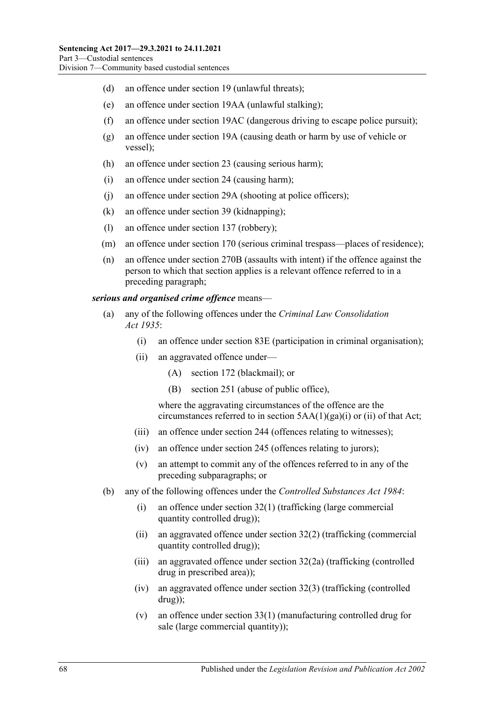- (d) an offence under section 19 (unlawful threats);
- (e) an offence under section 19AA (unlawful stalking);
- (f) an offence under section 19AC (dangerous driving to escape police pursuit);
- (g) an offence under section 19A (causing death or harm by use of vehicle or vessel);
- (h) an offence under section 23 (causing serious harm);
- (i) an offence under section 24 (causing harm);
- (j) an offence under section 29A (shooting at police officers);
- (k) an offence under section 39 (kidnapping);
- (l) an offence under section 137 (robbery);
- (m) an offence under section 170 (serious criminal trespass—places of residence);
- (n) an offence under section 270B (assaults with intent) if the offence against the person to which that section applies is a relevant offence referred to in a preceding paragraph;

#### *serious and organised crime offence* means—

- (a) any of the following offences under the *[Criminal Law Consolidation](http://www.legislation.sa.gov.au/index.aspx?action=legref&type=act&legtitle=Criminal%20Law%20Consolidation%20Act%201935)  Act [1935](http://www.legislation.sa.gov.au/index.aspx?action=legref&type=act&legtitle=Criminal%20Law%20Consolidation%20Act%201935)*:
	- (i) an offence under section 83E (participation in criminal organisation);
	- (ii) an aggravated offence under—
		- (A) section 172 (blackmail); or
		- (B) section 251 (abuse of public office),

where the aggravating circumstances of the offence are the circumstances referred to in section 5AA(1)(ga)(i) or (ii) of that Act;

- (iii) an offence under section 244 (offences relating to witnesses);
- (iv) an offence under section 245 (offences relating to jurors);
- (v) an attempt to commit any of the offences referred to in any of the preceding subparagraphs; or
- (b) any of the following offences under the *[Controlled Substances Act](http://www.legislation.sa.gov.au/index.aspx?action=legref&type=act&legtitle=Controlled%20Substances%20Act%201984) 1984*:
	- (i) an offence under section 32(1) (trafficking (large commercial quantity controlled drug));
	- (ii) an aggravated offence under section 32(2) (trafficking (commercial quantity controlled drug));
	- (iii) an aggravated offence under section 32(2a) (trafficking (controlled drug in prescribed area));
	- (iv) an aggravated offence under section 32(3) (trafficking (controlled drug));
	- (v) an offence under section 33(1) (manufacturing controlled drug for sale (large commercial quantity));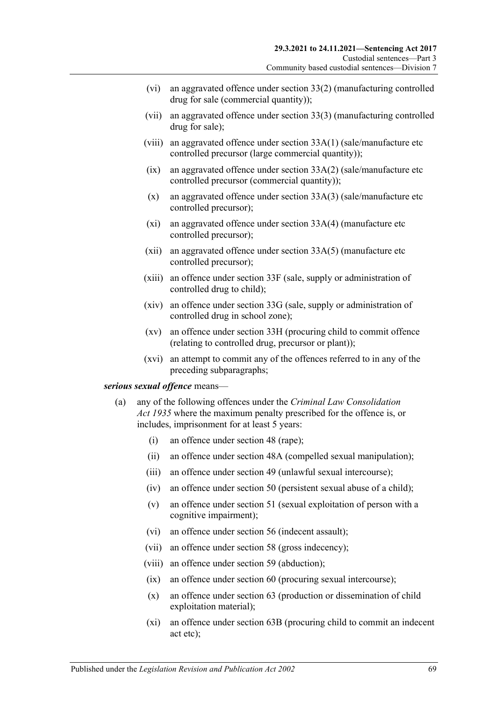- (vi) an aggravated offence under section 33(2) (manufacturing controlled drug for sale (commercial quantity));
- (vii) an aggravated offence under section 33(3) (manufacturing controlled drug for sale);
- (viii) an aggravated offence under section 33A(1) (sale/manufacture etc controlled precursor (large commercial quantity));
- $(ix)$  an aggravated offence under section 33A(2) (sale/manufacture etc controlled precursor (commercial quantity));
- (x) an aggravated offence under section 33A(3) (sale/manufacture etc controlled precursor);
- (xi) an aggravated offence under section 33A(4) (manufacture etc controlled precursor);
- (xii) an aggravated offence under section 33A(5) (manufacture etc controlled precursor);
- (xiii) an offence under section 33F (sale, supply or administration of controlled drug to child);
- (xiv) an offence under section 33G (sale, supply or administration of controlled drug in school zone);
- (xv) an offence under section 33H (procuring child to commit offence (relating to controlled drug, precursor or plant));
- (xvi) an attempt to commit any of the offences referred to in any of the preceding subparagraphs;

#### <span id="page-68-0"></span>*serious sexual offence* means—

- (a) any of the following offences under the *[Criminal Law Consolidation](http://www.legislation.sa.gov.au/index.aspx?action=legref&type=act&legtitle=Criminal%20Law%20Consolidation%20Act%201935)  Act [1935](http://www.legislation.sa.gov.au/index.aspx?action=legref&type=act&legtitle=Criminal%20Law%20Consolidation%20Act%201935)* where the maximum penalty prescribed for the offence is, or includes, imprisonment for at least 5 years:
	- (i) an offence under section 48 (rape);
	- (ii) an offence under section 48A (compelled sexual manipulation);
	- (iii) an offence under section 49 (unlawful sexual intercourse);
	- (iv) an offence under section 50 (persistent sexual abuse of a child);
	- (v) an offence under section 51 (sexual exploitation of person with a cognitive impairment);
	- (vi) an offence under section 56 (indecent assault);
	- (vii) an offence under section 58 (gross indecency);
	- (viii) an offence under section 59 (abduction);
	- (ix) an offence under section 60 (procuring sexual intercourse);
	- (x) an offence under section 63 (production or dissemination of child exploitation material);
	- (xi) an offence under section 63B (procuring child to commit an indecent act etc);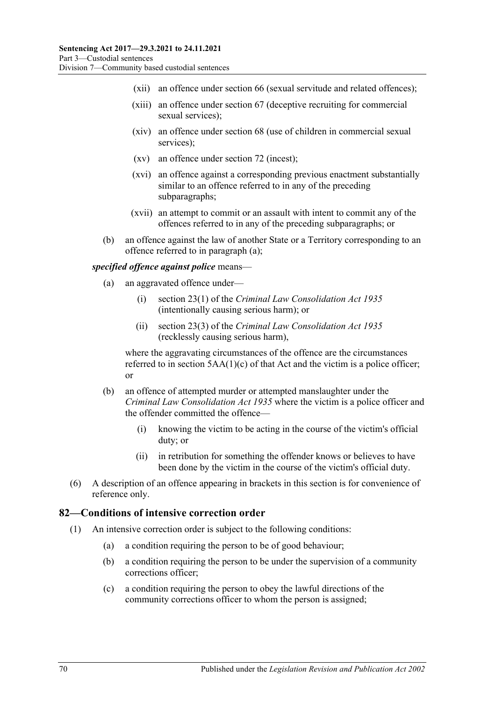- (xii) an offence under section 66 (sexual servitude and related offences);
- (xiii) an offence under section 67 (deceptive recruiting for commercial sexual services);
- (xiv) an offence under section 68 (use of children in commercial sexual services);
- (xv) an offence under section 72 (incest);
- (xvi) an offence against a corresponding previous enactment substantially similar to an offence referred to in any of the preceding subparagraphs;
- (xvii) an attempt to commit or an assault with intent to commit any of the offences referred to in any of the preceding subparagraphs; or
- (b) an offence against the law of another State or a Territory corresponding to an offence referred to in [paragraph](#page-68-0) (a);

#### *specified offence against police* means—

- (a) an aggravated offence under—
	- (i) section 23(1) of the *[Criminal Law Consolidation Act](http://www.legislation.sa.gov.au/index.aspx?action=legref&type=act&legtitle=Criminal%20Law%20Consolidation%20Act%201935) 1935* (intentionally causing serious harm); or
	- (ii) section 23(3) of the *[Criminal Law Consolidation](http://www.legislation.sa.gov.au/index.aspx?action=legref&type=act&legtitle=Criminal%20Law%20Consolidation%20Act%201935) Act 1935* (recklessly causing serious harm),

where the aggravating circumstances of the offence are the circumstances referred to in section  $5AA(1)(c)$  of that Act and the victim is a police officer; or

- (b) an offence of attempted murder or attempted manslaughter under the *[Criminal Law Consolidation Act](http://www.legislation.sa.gov.au/index.aspx?action=legref&type=act&legtitle=Criminal%20Law%20Consolidation%20Act%201935) 1935* where the victim is a police officer and the offender committed the offence—
	- (i) knowing the victim to be acting in the course of the victim's official duty; or
	- (ii) in retribution for something the offender knows or believes to have been done by the victim in the course of the victim's official duty.
- (6) A description of an offence appearing in brackets in this section is for convenience of reference only.

#### **82—Conditions of intensive correction order**

- (1) An intensive correction order is subject to the following conditions:
	- (a) a condition requiring the person to be of good behaviour;
	- (b) a condition requiring the person to be under the supervision of a community corrections officer;
	- (c) a condition requiring the person to obey the lawful directions of the community corrections officer to whom the person is assigned;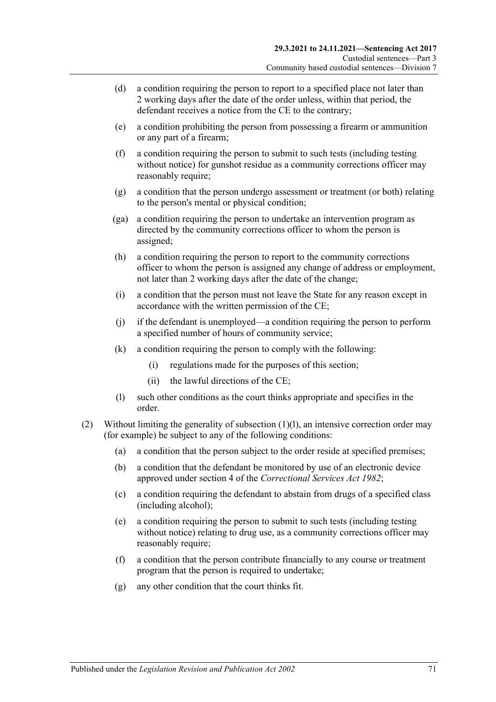- (d) a condition requiring the person to report to a specified place not later than 2 working days after the date of the order unless, within that period, the defendant receives a notice from the CE to the contrary;
- <span id="page-70-2"></span>(e) a condition prohibiting the person from possessing a firearm or ammunition or any part of a firearm;
- <span id="page-70-3"></span>(f) a condition requiring the person to submit to such tests (including testing without notice) for gunshot residue as a community corrections officer may reasonably require;
- (g) a condition that the person undergo assessment or treatment (or both) relating to the person's mental or physical condition;
- (ga) a condition requiring the person to undertake an intervention program as directed by the community corrections officer to whom the person is assigned;
- (h) a condition requiring the person to report to the community corrections officer to whom the person is assigned any change of address or employment, not later than 2 working days after the date of the change;
- (i) a condition that the person must not leave the State for any reason except in accordance with the written permission of the CE;
- (j) if the defendant is unemployed—a condition requiring the person to perform a specified number of hours of community service;
- (k) a condition requiring the person to comply with the following:
	- (i) regulations made for the purposes of this section;
	- (ii) the lawful directions of the CE;
- (l) such other conditions as the court thinks appropriate and specifies in the order.
- <span id="page-70-1"></span><span id="page-70-0"></span>(2) Without limiting the generality of [subsection](#page-70-0) (1)(l), an intensive correction order may (for example) be subject to any of the following conditions:
	- (a) a condition that the person subject to the order reside at specified premises;
	- (b) a condition that the defendant be monitored by use of an electronic device approved under section 4 of the *[Correctional Services Act](http://www.legislation.sa.gov.au/index.aspx?action=legref&type=act&legtitle=Correctional%20Services%20Act%201982) 1982*;
	- (c) a condition requiring the defendant to abstain from drugs of a specified class (including alcohol);
	- (e) a condition requiring the person to submit to such tests (including testing without notice) relating to drug use, as a community corrections officer may reasonably require;
	- (f) a condition that the person contribute financially to any course or treatment program that the person is required to undertake;
	- (g) any other condition that the court thinks fit.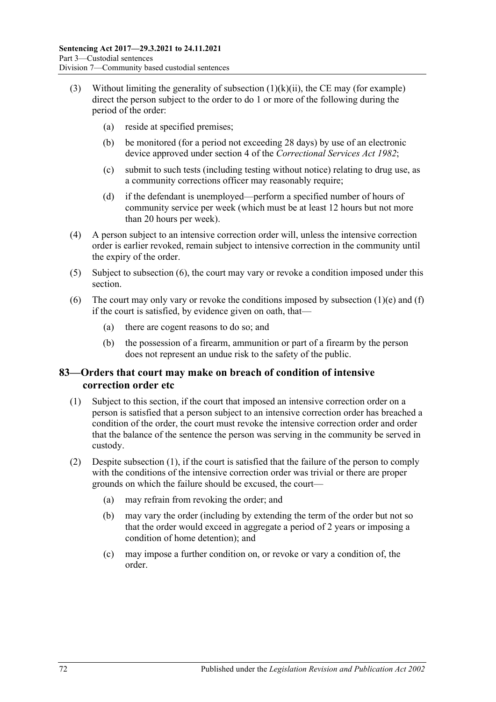- (3) Without limiting the generality of [subsection](#page-70-1)  $(1)(k)(ii)$ , the CE may (for example) direct the person subject to the order to do 1 or more of the following during the period of the order:
	- (a) reside at specified premises;
	- (b) be monitored (for a period not exceeding 28 days) by use of an electronic device approved under section 4 of the *[Correctional Services Act](http://www.legislation.sa.gov.au/index.aspx?action=legref&type=act&legtitle=Correctional%20Services%20Act%201982) 1982*;
	- (c) submit to such tests (including testing without notice) relating to drug use, as a community corrections officer may reasonably require;
	- (d) if the defendant is unemployed—perform a specified number of hours of community service per week (which must be at least 12 hours but not more than 20 hours per week).
- (4) A person subject to an intensive correction order will, unless the intensive correction order is earlier revoked, remain subject to intensive correction in the community until the expiry of the order.
- (5) Subject to [subsection](#page-71-0) (6), the court may vary or revoke a condition imposed under this section.
- <span id="page-71-0"></span>(6) The court may only vary or revoke the conditions imposed by [subsection](#page-70-2)  $(1)(e)$  and  $(f)$ if the court is satisfied, by evidence given on oath, that—
	- (a) there are cogent reasons to do so; and
	- (b) the possession of a firearm, ammunition or part of a firearm by the person does not represent an undue risk to the safety of the public.

## **83—Orders that court may make on breach of condition of intensive correction order etc**

- <span id="page-71-1"></span>(1) Subject to this section, if the court that imposed an intensive correction order on a person is satisfied that a person subject to an intensive correction order has breached a condition of the order, the court must revoke the intensive correction order and order that the balance of the sentence the person was serving in the community be served in custody.
- (2) Despite [subsection](#page-71-1) (1), if the court is satisfied that the failure of the person to comply with the conditions of the intensive correction order was trivial or there are proper grounds on which the failure should be excused, the court—
	- (a) may refrain from revoking the order; and
	- (b) may vary the order (including by extending the term of the order but not so that the order would exceed in aggregate a period of 2 years or imposing a condition of home detention); and
	- (c) may impose a further condition on, or revoke or vary a condition of, the order.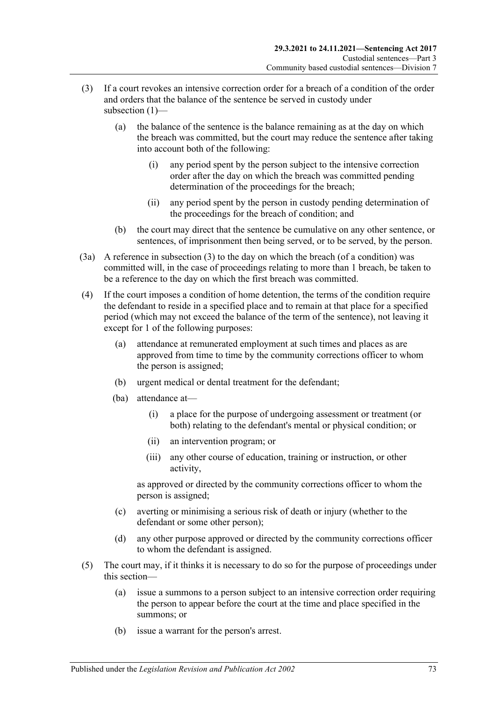- (3) If a court revokes an intensive correction order for a breach of a condition of the order and orders that the balance of the sentence be served in custody under subsection (1)-
	- (a) the balance of the sentence is the balance remaining as at the day on which the breach was committed, but the court may reduce the sentence after taking into account both of the following:
		- (i) any period spent by the person subject to the intensive correction order after the day on which the breach was committed pending determination of the proceedings for the breach;
		- (ii) any period spent by the person in custody pending determination of the proceedings for the breach of condition; and
	- (b) the court may direct that the sentence be cumulative on any other sentence, or sentences, of imprisonment then being served, or to be served, by the person.
- (3a) A reference in subsection (3) to the day on which the breach (of a condition) was committed will, in the case of proceedings relating to more than 1 breach, be taken to be a reference to the day on which the first breach was committed.
- (4) If the court imposes a condition of home detention, the terms of the condition require the defendant to reside in a specified place and to remain at that place for a specified period (which may not exceed the balance of the term of the sentence), not leaving it except for 1 of the following purposes:
	- (a) attendance at remunerated employment at such times and places as are approved from time to time by the community corrections officer to whom the person is assigned;
	- (b) urgent medical or dental treatment for the defendant;
	- (ba) attendance at—
		- (i) a place for the purpose of undergoing assessment or treatment (or both) relating to the defendant's mental or physical condition; or
		- (ii) an intervention program; or
		- (iii) any other course of education, training or instruction, or other activity,

as approved or directed by the community corrections officer to whom the person is assigned;

- (c) averting or minimising a serious risk of death or injury (whether to the defendant or some other person);
- (d) any other purpose approved or directed by the community corrections officer to whom the defendant is assigned.
- (5) The court may, if it thinks it is necessary to do so for the purpose of proceedings under this section—
	- (a) issue a summons to a person subject to an intensive correction order requiring the person to appear before the court at the time and place specified in the summons; or
	- (b) issue a warrant for the person's arrest.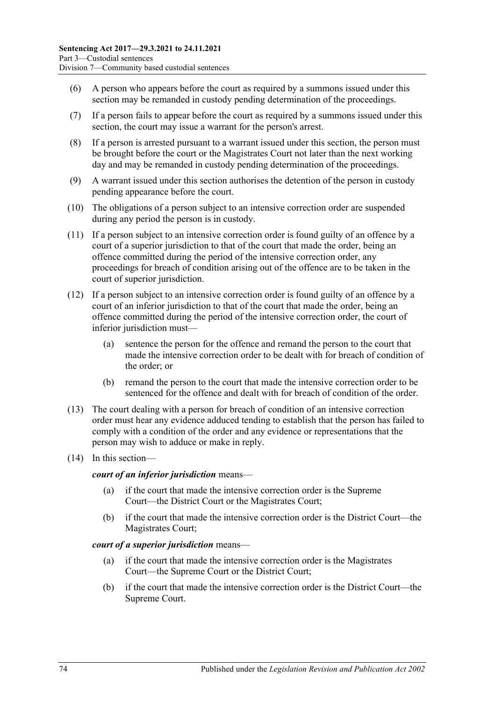- (6) A person who appears before the court as required by a summons issued under this section may be remanded in custody pending determination of the proceedings.
- (7) If a person fails to appear before the court as required by a summons issued under this section, the court may issue a warrant for the person's arrest.
- (8) If a person is arrested pursuant to a warrant issued under this section, the person must be brought before the court or the Magistrates Court not later than the next working day and may be remanded in custody pending determination of the proceedings.
- <span id="page-73-0"></span>(9) A warrant issued under this section authorises the detention of the person in custody pending appearance before the court.
- (10) The obligations of a person subject to an intensive correction order are suspended during any period the person is in custody.
- <span id="page-73-1"></span>(11) If a person subject to an intensive correction order is found guilty of an offence by a court of a superior jurisdiction to that of the court that made the order, being an offence committed during the period of the intensive correction order, any proceedings for breach of condition arising out of the offence are to be taken in the court of superior jurisdiction.
- (12) If a person subject to an intensive correction order is found guilty of an offence by a court of an inferior jurisdiction to that of the court that made the order, being an offence committed during the period of the intensive correction order, the court of inferior jurisdiction must—
	- (a) sentence the person for the offence and remand the person to the court that made the intensive correction order to be dealt with for breach of condition of the order; or
	- (b) remand the person to the court that made the intensive correction order to be sentenced for the offence and dealt with for breach of condition of the order.
- (13) The court dealing with a person for breach of condition of an intensive correction order must hear any evidence adduced tending to establish that the person has failed to comply with a condition of the order and any evidence or representations that the person may wish to adduce or make in reply.
- (14) In this section—

#### *court of an inferior jurisdiction* means—

- (a) if the court that made the intensive correction order is the Supreme Court—the District Court or the Magistrates Court;
- (b) if the court that made the intensive correction order is the District Court—the Magistrates Court;

#### *court of a superior jurisdiction* means—

- (a) if the court that made the intensive correction order is the Magistrates Court—the Supreme Court or the District Court;
- (b) if the court that made the intensive correction order is the District Court—the Supreme Court.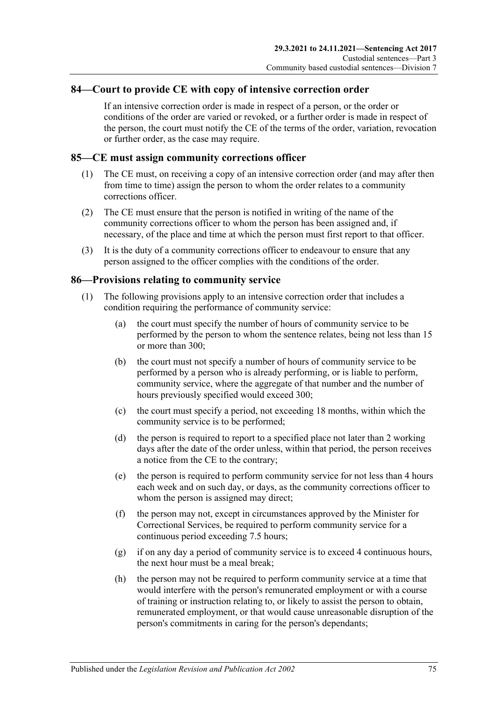#### **84—Court to provide CE with copy of intensive correction order**

If an intensive correction order is made in respect of a person, or the order or conditions of the order are varied or revoked, or a further order is made in respect of the person, the court must notify the CE of the terms of the order, variation, revocation or further order, as the case may require.

#### **85—CE must assign community corrections officer**

- (1) The CE must, on receiving a copy of an intensive correction order (and may after then from time to time) assign the person to whom the order relates to a community corrections officer.
- (2) The CE must ensure that the person is notified in writing of the name of the community corrections officer to whom the person has been assigned and, if necessary, of the place and time at which the person must first report to that officer.
- (3) It is the duty of a community corrections officer to endeavour to ensure that any person assigned to the officer complies with the conditions of the order.

#### **86—Provisions relating to community service**

- (1) The following provisions apply to an intensive correction order that includes a condition requiring the performance of community service:
	- (a) the court must specify the number of hours of community service to be performed by the person to whom the sentence relates, being not less than 15 or more than 300;
	- (b) the court must not specify a number of hours of community service to be performed by a person who is already performing, or is liable to perform, community service, where the aggregate of that number and the number of hours previously specified would exceed 300;
	- (c) the court must specify a period, not exceeding 18 months, within which the community service is to be performed;
	- (d) the person is required to report to a specified place not later than 2 working days after the date of the order unless, within that period, the person receives a notice from the CE to the contrary;
	- (e) the person is required to perform community service for not less than 4 hours each week and on such day, or days, as the community corrections officer to whom the person is assigned may direct;
	- (f) the person may not, except in circumstances approved by the Minister for Correctional Services, be required to perform community service for a continuous period exceeding 7.5 hours;
	- (g) if on any day a period of community service is to exceed 4 continuous hours, the next hour must be a meal break;
	- (h) the person may not be required to perform community service at a time that would interfere with the person's remunerated employment or with a course of training or instruction relating to, or likely to assist the person to obtain, remunerated employment, or that would cause unreasonable disruption of the person's commitments in caring for the person's dependants;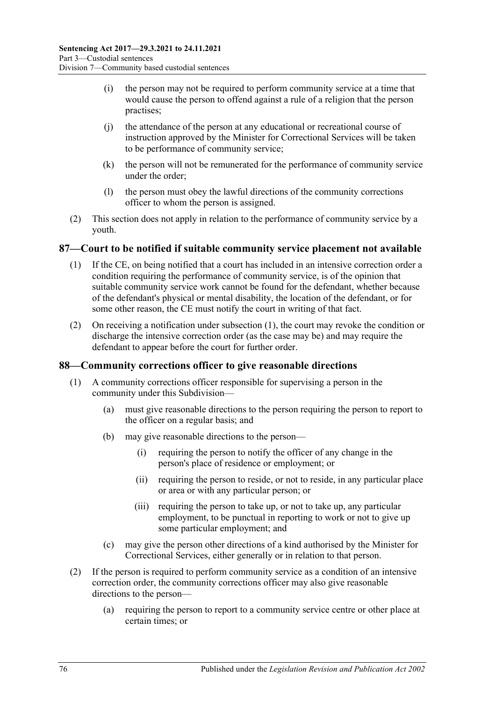- (i) the person may not be required to perform community service at a time that would cause the person to offend against a rule of a religion that the person practises;
- (j) the attendance of the person at any educational or recreational course of instruction approved by the Minister for Correctional Services will be taken to be performance of community service;
- (k) the person will not be remunerated for the performance of community service under the order;
- (l) the person must obey the lawful directions of the community corrections officer to whom the person is assigned.
- (2) This section does not apply in relation to the performance of community service by a youth.

#### <span id="page-75-0"></span>**87—Court to be notified if suitable community service placement not available**

- (1) If the CE, on being notified that a court has included in an intensive correction order a condition requiring the performance of community service, is of the opinion that suitable community service work cannot be found for the defendant, whether because of the defendant's physical or mental disability, the location of the defendant, or for some other reason, the CE must notify the court in writing of that fact.
- (2) On receiving a notification under [subsection](#page-75-0) (1), the court may revoke the condition or discharge the intensive correction order (as the case may be) and may require the defendant to appear before the court for further order.

#### **88—Community corrections officer to give reasonable directions**

- (1) A community corrections officer responsible for supervising a person in the community under this Subdivision—
	- (a) must give reasonable directions to the person requiring the person to report to the officer on a regular basis; and
	- (b) may give reasonable directions to the person—
		- (i) requiring the person to notify the officer of any change in the person's place of residence or employment; or
		- (ii) requiring the person to reside, or not to reside, in any particular place or area or with any particular person; or
		- (iii) requiring the person to take up, or not to take up, any particular employment, to be punctual in reporting to work or not to give up some particular employment; and
	- (c) may give the person other directions of a kind authorised by the Minister for Correctional Services, either generally or in relation to that person.
- (2) If the person is required to perform community service as a condition of an intensive correction order, the community corrections officer may also give reasonable directions to the person—
	- (a) requiring the person to report to a community service centre or other place at certain times; or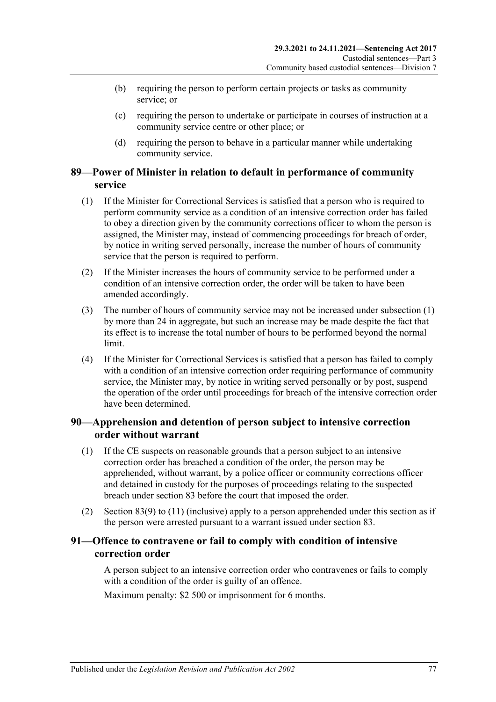- (b) requiring the person to perform certain projects or tasks as community service; or
- (c) requiring the person to undertake or participate in courses of instruction at a community service centre or other place; or
- (d) requiring the person to behave in a particular manner while undertaking community service.

## **89—Power of Minister in relation to default in performance of community service**

- <span id="page-76-0"></span>(1) If the Minister for Correctional Services is satisfied that a person who is required to perform community service as a condition of an intensive correction order has failed to obey a direction given by the community corrections officer to whom the person is assigned, the Minister may, instead of commencing proceedings for breach of order, by notice in writing served personally, increase the number of hours of community service that the person is required to perform.
- (2) If the Minister increases the hours of community service to be performed under a condition of an intensive correction order, the order will be taken to have been amended accordingly.
- (3) The number of hours of community service may not be increased under [subsection](#page-76-0) (1) by more than 24 in aggregate, but such an increase may be made despite the fact that its effect is to increase the total number of hours to be performed beyond the normal limit.
- (4) If the Minister for Correctional Services is satisfied that a person has failed to comply with a condition of an intensive correction order requiring performance of community service, the Minister may, by notice in writing served personally or by post, suspend the operation of the order until proceedings for breach of the intensive correction order have been determined.

#### **90—Apprehension and detention of person subject to intensive correction order without warrant**

- (1) If the CE suspects on reasonable grounds that a person subject to an intensive correction order has breached a condition of the order, the person may be apprehended, without warrant, by a police officer or community corrections officer and detained in custody for the purposes of proceedings relating to the suspected breach under [section](#page-71-0) 83 before the court that imposed the order.
- (2) [Section](#page-73-0) 83(9) to [\(11\)](#page-73-1) (inclusive) apply to a person apprehended under this section as if the person were arrested pursuant to a warrant issued under [section](#page-71-0) 83.

#### **91—Offence to contravene or fail to comply with condition of intensive correction order**

A person subject to an intensive correction order who contravenes or fails to comply with a condition of the order is guilty of an offence.

Maximum penalty: \$2 500 or imprisonment for 6 months.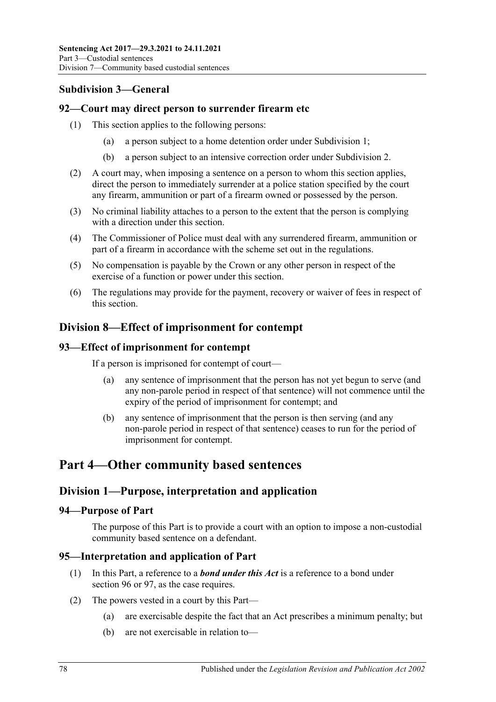## **Subdivision 3—General**

#### **92—Court may direct person to surrender firearm etc**

- (1) This section applies to the following persons:
	- (a) a person subject to a home detention order under [Subdivision](#page-54-0) 1;
	- (b) a person subject to an intensive correction order under [Subdivision](#page-65-0) 2.
- (2) A court may, when imposing a sentence on a person to whom this section applies, direct the person to immediately surrender at a police station specified by the court any firearm, ammunition or part of a firearm owned or possessed by the person.
- (3) No criminal liability attaches to a person to the extent that the person is complying with a direction under this section.
- (4) The Commissioner of Police must deal with any surrendered firearm, ammunition or part of a firearm in accordance with the scheme set out in the regulations.
- (5) No compensation is payable by the Crown or any other person in respect of the exercise of a function or power under this section.
- (6) The regulations may provide for the payment, recovery or waiver of fees in respect of this section.

## **Division 8—Effect of imprisonment for contempt**

## **93—Effect of imprisonment for contempt**

If a person is imprisoned for contempt of court—

- (a) any sentence of imprisonment that the person has not yet begun to serve (and any non-parole period in respect of that sentence) will not commence until the expiry of the period of imprisonment for contempt; and
- (b) any sentence of imprisonment that the person is then serving (and any non-parole period in respect of that sentence) ceases to run for the period of imprisonment for contempt.

# **Part 4—Other community based sentences**

## **Division 1—Purpose, interpretation and application**

#### **94—Purpose of Part**

The purpose of this Part is to provide a court with an option to impose a non-custodial community based sentence on a defendant.

#### **95—Interpretation and application of Part**

- (1) In this Part, a reference to a *bond under this Act* is a reference to a bond under [section](#page-78-0) 96 or [97,](#page-83-0) as the case requires.
- <span id="page-77-0"></span>(2) The powers vested in a court by this Part—
	- (a) are exercisable despite the fact that an Act prescribes a minimum penalty; but
	- (b) are not exercisable in relation to—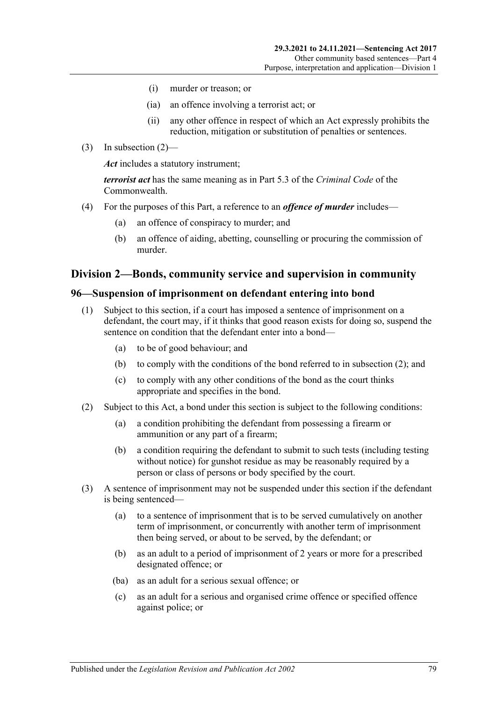- (i) murder or treason; or
- (ia) an offence involving a terrorist act; or
- (ii) any other offence in respect of which an Act expressly prohibits the reduction, mitigation or substitution of penalties or sentences.
- (3) In [subsection](#page-77-0)  $(2)$ —

*Act* includes a statutory instrument;

*terrorist act* has the same meaning as in Part 5.3 of the *Criminal Code* of the Commonwealth.

- (4) For the purposes of this Part, a reference to an *offence of murder* includes—
	- (a) an offence of conspiracy to murder; and
	- (b) an offence of aiding, abetting, counselling or procuring the commission of murder.

#### **Division 2—Bonds, community service and supervision in community**

#### <span id="page-78-3"></span><span id="page-78-0"></span>**96—Suspension of imprisonment on defendant entering into bond**

- (1) Subject to this section, if a court has imposed a sentence of imprisonment on a defendant, the court may, if it thinks that good reason exists for doing so, suspend the sentence on condition that the defendant enter into a bond—
	- (a) to be of good behaviour; and
	- (b) to comply with the conditions of the bond referred to in [subsection](#page-78-1) (2); and
	- (c) to comply with any other conditions of the bond as the court thinks appropriate and specifies in the bond.
- <span id="page-78-6"></span><span id="page-78-1"></span>(2) Subject to this Act, a bond under this section is subject to the following conditions:
	- (a) a condition prohibiting the defendant from possessing a firearm or ammunition or any part of a firearm;
	- (b) a condition requiring the defendant to submit to such tests (including testing without notice) for gunshot residue as may be reasonably required by a person or class of persons or body specified by the court.
- <span id="page-78-5"></span><span id="page-78-4"></span><span id="page-78-2"></span>(3) A sentence of imprisonment may not be suspended under this section if the defendant is being sentenced—
	- (a) to a sentence of imprisonment that is to be served cumulatively on another term of imprisonment, or concurrently with another term of imprisonment then being served, or about to be served, by the defendant; or
	- (b) as an adult to a period of imprisonment of 2 years or more for a prescribed designated offence; or
	- (ba) as an adult for a serious sexual offence; or
	- (c) as an adult for a serious and organised crime offence or specified offence against police; or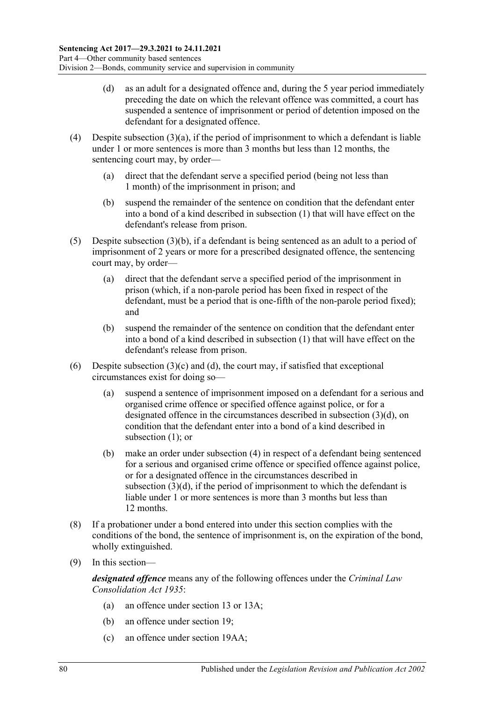- <span id="page-79-0"></span>(d) as an adult for a designated offence and, during the 5 year period immediately preceding the date on which the relevant offence was committed, a court has suspended a sentence of imprisonment or period of detention imposed on the defendant for a designated offence.
- <span id="page-79-1"></span>(4) Despite [subsection](#page-78-2)  $(3)(a)$ , if the period of imprisonment to which a defendant is liable under 1 or more sentences is more than 3 months but less than 12 months, the sentencing court may, by order—
	- (a) direct that the defendant serve a specified period (being not less than 1 month) of the imprisonment in prison; and
	- (b) suspend the remainder of the sentence on condition that the defendant enter into a bond of a kind described in [subsection](#page-78-3) (1) that will have effect on the defendant's release from prison.
- <span id="page-79-2"></span>(5) Despite [subsection](#page-78-4) (3)(b), if a defendant is being sentenced as an adult to a period of imprisonment of 2 years or more for a prescribed designated offence, the sentencing court may, by order—
	- (a) direct that the defendant serve a specified period of the imprisonment in prison (which, if a non-parole period has been fixed in respect of the defendant, must be a period that is one-fifth of the non-parole period fixed); and
	- (b) suspend the remainder of the sentence on condition that the defendant enter into a bond of a kind described in [subsection](#page-78-3) (1) that will have effect on the defendant's release from prison.
- (6) Despite [subsection](#page-78-5)  $(3)(c)$  and  $(d)$ , the court may, if satisfied that exceptional circumstances exist for doing so—
	- (a) suspend a sentence of imprisonment imposed on a defendant for a serious and organised crime offence or specified offence against police, or for a designated offence in the circumstances described in [subsection](#page-79-0) (3)(d), on condition that the defendant enter into a bond of a kind described in [subsection](#page-78-3) (1): or
	- (b) make an order under [subsection](#page-79-1) (4) in respect of a defendant being sentenced for a serious and organised crime offence or specified offence against police, or for a designated offence in the circumstances described in [subsection](#page-79-0) (3)(d), if the period of imprisonment to which the defendant is liable under 1 or more sentences is more than 3 months but less than 12 months.
- (8) If a probationer under a bond entered into under this section complies with the conditions of the bond, the sentence of imprisonment is, on the expiration of the bond, wholly extinguished.
- (9) In this section—

*designated offence* means any of the following offences under the *[Criminal Law](http://www.legislation.sa.gov.au/index.aspx?action=legref&type=act&legtitle=Criminal%20Law%20Consolidation%20Act%201935)  [Consolidation Act](http://www.legislation.sa.gov.au/index.aspx?action=legref&type=act&legtitle=Criminal%20Law%20Consolidation%20Act%201935) 1935*:

- (a) an offence under section 13 or 13A;
- (b) an offence under section 19;
- (c) an offence under section 19AA;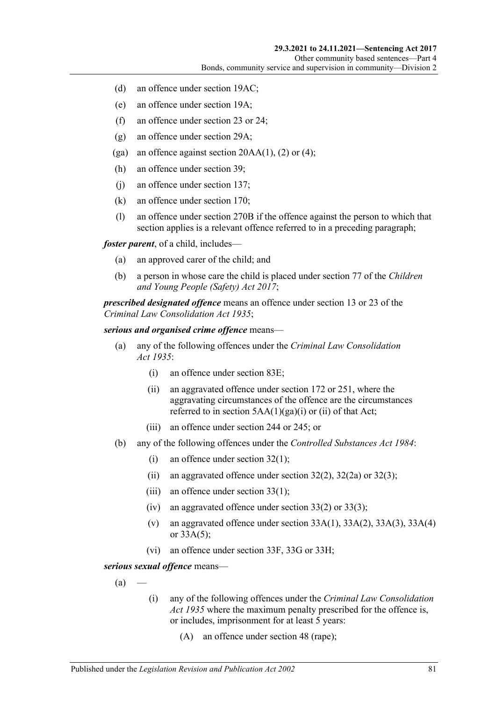- (d) an offence under section 19AC;
- (e) an offence under section 19A;
- (f) an offence under section 23 or 24;
- (g) an offence under section 29A;
- (ga) an offence against section  $20AA(1)$ , (2) or (4);
- (h) an offence under section 39;
- (j) an offence under section 137;
- (k) an offence under section 170;
- (l) an offence under section 270B if the offence against the person to which that section applies is a relevant offence referred to in a preceding paragraph;

*foster parent*, of a child, includes—

- (a) an approved carer of the child; and
- (b) a person in whose care the child is placed under section 77 of the *[Children](http://www.legislation.sa.gov.au/index.aspx?action=legref&type=act&legtitle=Children%20and%20Young%20People%20(Safety)%20Act%202017) [and Young People \(Safety\) Act](http://www.legislation.sa.gov.au/index.aspx?action=legref&type=act&legtitle=Children%20and%20Young%20People%20(Safety)%20Act%202017) 2017*;

*prescribed designated offence* means an offence under section 13 or 23 of the *[Criminal Law Consolidation Act](http://www.legislation.sa.gov.au/index.aspx?action=legref&type=act&legtitle=Criminal%20Law%20Consolidation%20Act%201935) 1935*;

#### *serious and organised crime offence* means—

- (a) any of the following offences under the *[Criminal Law Consolidation](http://www.legislation.sa.gov.au/index.aspx?action=legref&type=act&legtitle=Criminal%20Law%20Consolidation%20Act%201935)  Act [1935](http://www.legislation.sa.gov.au/index.aspx?action=legref&type=act&legtitle=Criminal%20Law%20Consolidation%20Act%201935)*:
	- (i) an offence under section 83E;
	- (ii) an aggravated offence under section 172 or 251, where the aggravating circumstances of the offence are the circumstances referred to in section  $5AA(1)(ga)(i)$  or (ii) of that Act;
	- (iii) an offence under section 244 or 245; or
- (b) any of the following offences under the *[Controlled Substances Act](http://www.legislation.sa.gov.au/index.aspx?action=legref&type=act&legtitle=Controlled%20Substances%20Act%201984) 1984*:
	- (i) an offence under section 32(1);
	- (ii) an aggravated offence under section  $32(2)$ ,  $32(2a)$  or  $32(3)$ ;
	- (iii) an offence under section 33(1);
	- (iv) an aggravated offence under section  $33(2)$  or  $33(3)$ ;
	- (v) an aggravated offence under section  $33A(1)$ ,  $33A(2)$ ,  $33A(3)$ ,  $33A(4)$ or 33A(5);
	- (vi) an offence under section 33F, 33G or 33H;

<span id="page-80-0"></span>*serious sexual offence* means—

 $(a)$ 

- (i) any of the following offences under the *[Criminal Law Consolidation](http://www.legislation.sa.gov.au/index.aspx?action=legref&type=act&legtitle=Criminal%20Law%20Consolidation%20Act%201935)  Act [1935](http://www.legislation.sa.gov.au/index.aspx?action=legref&type=act&legtitle=Criminal%20Law%20Consolidation%20Act%201935)* where the maximum penalty prescribed for the offence is, or includes, imprisonment for at least 5 years:
	- (A) an offence under section 48 (rape);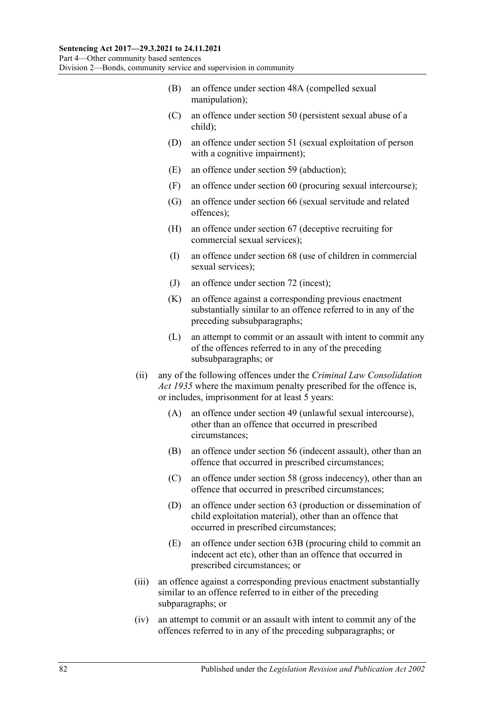- (B) an offence under section 48A (compelled sexual manipulation);
- (C) an offence under section 50 (persistent sexual abuse of a child);
- (D) an offence under section 51 (sexual exploitation of person with a cognitive impairment);
- (E) an offence under section 59 (abduction);
- (F) an offence under section 60 (procuring sexual intercourse);
- (G) an offence under section 66 (sexual servitude and related offences);
- (H) an offence under section 67 (deceptive recruiting for commercial sexual services);
- (I) an offence under section 68 (use of children in commercial sexual services);
- (J) an offence under section 72 (incest);
- (K) an offence against a corresponding previous enactment substantially similar to an offence referred to in any of the preceding subsubparagraphs;
- (L) an attempt to commit or an assault with intent to commit any of the offences referred to in any of the preceding subsubparagraphs; or
- (ii) any of the following offences under the *[Criminal Law Consolidation](http://www.legislation.sa.gov.au/index.aspx?action=legref&type=act&legtitle=Criminal%20Law%20Consolidation%20Act%201935)  Act [1935](http://www.legislation.sa.gov.au/index.aspx?action=legref&type=act&legtitle=Criminal%20Law%20Consolidation%20Act%201935)* where the maximum penalty prescribed for the offence is, or includes, imprisonment for at least 5 years:
	- (A) an offence under section 49 (unlawful sexual intercourse), other than an offence that occurred in prescribed circumstances;
	- (B) an offence under section 56 (indecent assault), other than an offence that occurred in prescribed circumstances;
	- (C) an offence under section 58 (gross indecency), other than an offence that occurred in prescribed circumstances;
	- (D) an offence under section 63 (production or dissemination of child exploitation material), other than an offence that occurred in prescribed circumstances;
	- (E) an offence under section 63B (procuring child to commit an indecent act etc), other than an offence that occurred in prescribed circumstances; or
- (iii) an offence against a corresponding previous enactment substantially similar to an offence referred to in either of the preceding subparagraphs; or
- (iv) an attempt to commit or an assault with intent to commit any of the offences referred to in any of the preceding subparagraphs; or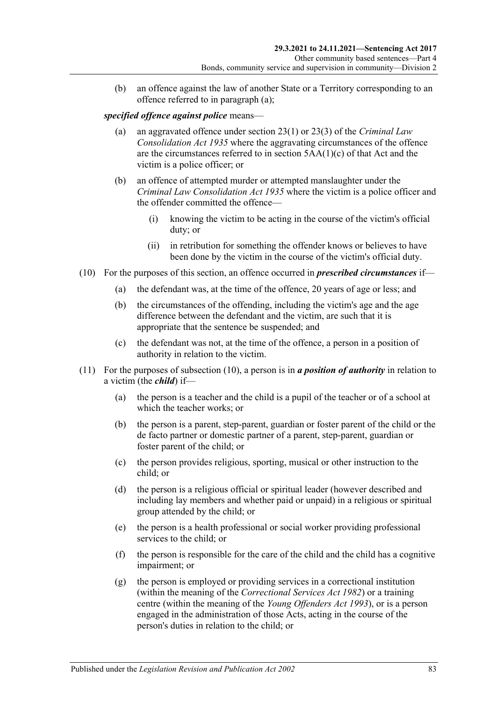(b) an offence against the law of another State or a Territory corresponding to an offence referred to in [paragraph](#page-80-0) (a);

#### *specified offence against police* means—

- (a) an aggravated offence under section 23(1) or 23(3) of the *[Criminal Law](http://www.legislation.sa.gov.au/index.aspx?action=legref&type=act&legtitle=Criminal%20Law%20Consolidation%20Act%201935)  [Consolidation Act](http://www.legislation.sa.gov.au/index.aspx?action=legref&type=act&legtitle=Criminal%20Law%20Consolidation%20Act%201935) 1935* where the aggravating circumstances of the offence are the circumstances referred to in section 5AA(1)(c) of that Act and the victim is a police officer; or
- (b) an offence of attempted murder or attempted manslaughter under the *[Criminal Law Consolidation Act](http://www.legislation.sa.gov.au/index.aspx?action=legref&type=act&legtitle=Criminal%20Law%20Consolidation%20Act%201935) 1935* where the victim is a police officer and the offender committed the offence—
	- (i) knowing the victim to be acting in the course of the victim's official duty; or
	- (ii) in retribution for something the offender knows or believes to have been done by the victim in the course of the victim's official duty.
- <span id="page-82-0"></span>(10) For the purposes of this section, an offence occurred in *prescribed circumstances* if—
	- (a) the defendant was, at the time of the offence, 20 years of age or less; and
	- (b) the circumstances of the offending, including the victim's age and the age difference between the defendant and the victim, are such that it is appropriate that the sentence be suspended; and
	- (c) the defendant was not, at the time of the offence, a person in a position of authority in relation to the victim.
- (11) For the purposes of [subsection](#page-82-0) (10), a person is in *a position of authority* in relation to a victim (the *child*) if—
	- (a) the person is a teacher and the child is a pupil of the teacher or of a school at which the teacher works; or
	- (b) the person is a parent, step-parent, guardian or foster parent of the child or the de facto partner or domestic partner of a parent, step-parent, guardian or foster parent of the child; or
	- (c) the person provides religious, sporting, musical or other instruction to the child; or
	- (d) the person is a religious official or spiritual leader (however described and including lay members and whether paid or unpaid) in a religious or spiritual group attended by the child; or
	- (e) the person is a health professional or social worker providing professional services to the child; or
	- (f) the person is responsible for the care of the child and the child has a cognitive impairment; or
	- (g) the person is employed or providing services in a correctional institution (within the meaning of the *[Correctional Services Act](http://www.legislation.sa.gov.au/index.aspx?action=legref&type=act&legtitle=Correctional%20Services%20Act%201982) 1982*) or a training centre (within the meaning of the *[Young Offenders Act](http://www.legislation.sa.gov.au/index.aspx?action=legref&type=act&legtitle=Young%20Offenders%20Act%201993) 1993*), or is a person engaged in the administration of those Acts, acting in the course of the person's duties in relation to the child; or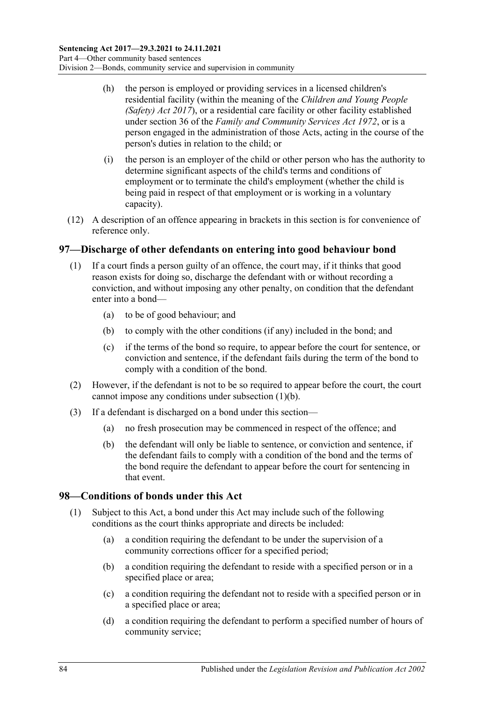- (h) the person is employed or providing services in a licensed children's residential facility (within the meaning of the *[Children and Young People](http://www.legislation.sa.gov.au/index.aspx?action=legref&type=act&legtitle=Children%20and%20Young%20People%20(Safety)%20Act%202017)  [\(Safety\) Act](http://www.legislation.sa.gov.au/index.aspx?action=legref&type=act&legtitle=Children%20and%20Young%20People%20(Safety)%20Act%202017) 2017*), or a residential care facility or other facility established under section 36 of the *[Family and Community Services Act](http://www.legislation.sa.gov.au/index.aspx?action=legref&type=act&legtitle=Family%20and%20Community%20Services%20Act%201972) 1972*, or is a person engaged in the administration of those Acts, acting in the course of the person's duties in relation to the child; or
- (i) the person is an employer of the child or other person who has the authority to determine significant aspects of the child's terms and conditions of employment or to terminate the child's employment (whether the child is being paid in respect of that employment or is working in a voluntary capacity).
- (12) A description of an offence appearing in brackets in this section is for convenience of reference only.

#### <span id="page-83-0"></span>**97—Discharge of other defendants on entering into good behaviour bond**

- <span id="page-83-1"></span>(1) If a court finds a person guilty of an offence, the court may, if it thinks that good reason exists for doing so, discharge the defendant with or without recording a conviction, and without imposing any other penalty, on condition that the defendant enter into a bond—
	- (a) to be of good behaviour; and
	- (b) to comply with the other conditions (if any) included in the bond; and
	- (c) if the terms of the bond so require, to appear before the court for sentence, or conviction and sentence, if the defendant fails during the term of the bond to comply with a condition of the bond.
- (2) However, if the defendant is not to be so required to appear before the court, the court cannot impose any conditions under [subsection](#page-83-1) (1)(b).
- (3) If a defendant is discharged on a bond under this section—
	- (a) no fresh prosecution may be commenced in respect of the offence; and
	- (b) the defendant will only be liable to sentence, or conviction and sentence, if the defendant fails to comply with a condition of the bond and the terms of the bond require the defendant to appear before the court for sentencing in that event.

#### **98—Conditions of bonds under this Act**

- (1) Subject to this Act, a bond under this Act may include such of the following conditions as the court thinks appropriate and directs be included:
	- (a) a condition requiring the defendant to be under the supervision of a community corrections officer for a specified period;
	- (b) a condition requiring the defendant to reside with a specified person or in a specified place or area;
	- (c) a condition requiring the defendant not to reside with a specified person or in a specified place or area;
	- (d) a condition requiring the defendant to perform a specified number of hours of community service;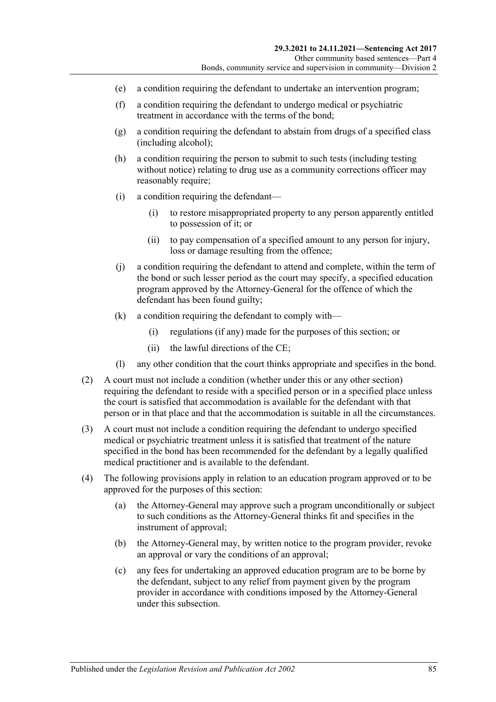- (e) a condition requiring the defendant to undertake an intervention program;
- (f) a condition requiring the defendant to undergo medical or psychiatric treatment in accordance with the terms of the bond;
- (g) a condition requiring the defendant to abstain from drugs of a specified class (including alcohol);
- (h) a condition requiring the person to submit to such tests (including testing without notice) relating to drug use as a community corrections officer may reasonably require;
- (i) a condition requiring the defendant—
	- (i) to restore misappropriated property to any person apparently entitled to possession of it; or
	- (ii) to pay compensation of a specified amount to any person for injury, loss or damage resulting from the offence;
- (j) a condition requiring the defendant to attend and complete, within the term of the bond or such lesser period as the court may specify, a specified education program approved by the Attorney-General for the offence of which the defendant has been found guilty;
- (k) a condition requiring the defendant to comply with—
	- (i) regulations (if any) made for the purposes of this section; or
	- (ii) the lawful directions of the CE;
- (l) any other condition that the court thinks appropriate and specifies in the bond.
- (2) A court must not include a condition (whether under this or any other section) requiring the defendant to reside with a specified person or in a specified place unless the court is satisfied that accommodation is available for the defendant with that person or in that place and that the accommodation is suitable in all the circumstances.
- (3) A court must not include a condition requiring the defendant to undergo specified medical or psychiatric treatment unless it is satisfied that treatment of the nature specified in the bond has been recommended for the defendant by a legally qualified medical practitioner and is available to the defendant.
- (4) The following provisions apply in relation to an education program approved or to be approved for the purposes of this section:
	- (a) the Attorney-General may approve such a program unconditionally or subject to such conditions as the Attorney-General thinks fit and specifies in the instrument of approval;
	- (b) the Attorney-General may, by written notice to the program provider, revoke an approval or vary the conditions of an approval;
	- (c) any fees for undertaking an approved education program are to be borne by the defendant, subject to any relief from payment given by the program provider in accordance with conditions imposed by the Attorney-General under this subsection.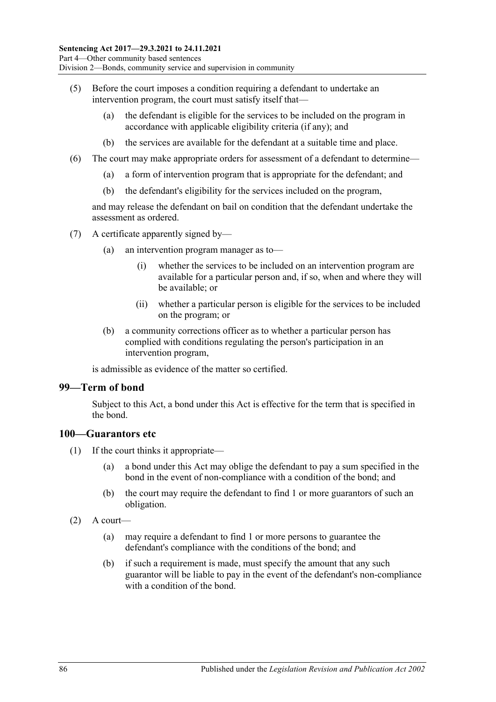- (5) Before the court imposes a condition requiring a defendant to undertake an intervention program, the court must satisfy itself that—
	- (a) the defendant is eligible for the services to be included on the program in accordance with applicable eligibility criteria (if any); and
	- (b) the services are available for the defendant at a suitable time and place.
- (6) The court may make appropriate orders for assessment of a defendant to determine—
	- (a) a form of intervention program that is appropriate for the defendant; and
	- (b) the defendant's eligibility for the services included on the program,

and may release the defendant on bail on condition that the defendant undertake the assessment as ordered.

- (7) A certificate apparently signed by—
	- (a) an intervention program manager as to—
		- (i) whether the services to be included on an intervention program are available for a particular person and, if so, when and where they will be available; or
		- (ii) whether a particular person is eligible for the services to be included on the program; or
	- (b) a community corrections officer as to whether a particular person has complied with conditions regulating the person's participation in an intervention program,

is admissible as evidence of the matter so certified.

#### **99—Term of bond**

Subject to this Act, a bond under this Act is effective for the term that is specified in the bond.

#### **100—Guarantors etc**

- (1) If the court thinks it appropriate—
	- (a) a bond under this Act may oblige the defendant to pay a sum specified in the bond in the event of non-compliance with a condition of the bond; and
	- (b) the court may require the defendant to find 1 or more guarantors of such an obligation.
- $(2)$  A court—
	- (a) may require a defendant to find 1 or more persons to guarantee the defendant's compliance with the conditions of the bond; and
	- (b) if such a requirement is made, must specify the amount that any such guarantor will be liable to pay in the event of the defendant's non-compliance with a condition of the bond.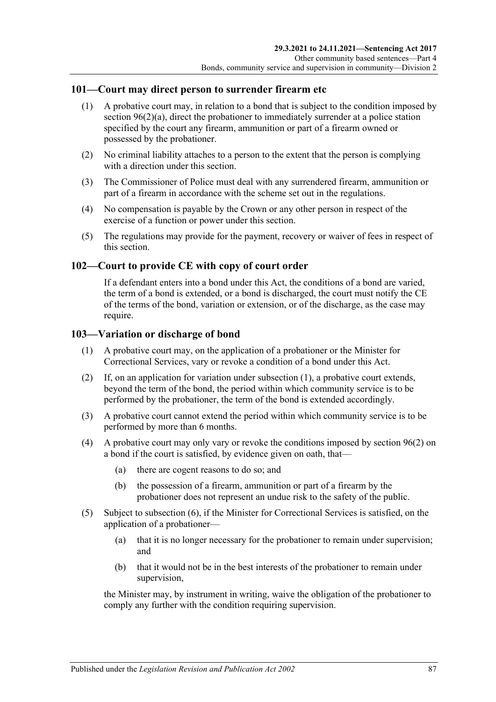#### **101—Court may direct person to surrender firearm etc**

- (1) A probative court may, in relation to a bond that is subject to the condition imposed by section [96\(2\)\(a\),](#page-78-6) direct the probationer to immediately surrender at a police station specified by the court any firearm, ammunition or part of a firearm owned or possessed by the probationer.
- (2) No criminal liability attaches to a person to the extent that the person is complying with a direction under this section.
- (3) The Commissioner of Police must deal with any surrendered firearm, ammunition or part of a firearm in accordance with the scheme set out in the regulations.
- (4) No compensation is payable by the Crown or any other person in respect of the exercise of a function or power under this section.
- (5) The regulations may provide for the payment, recovery or waiver of fees in respect of this section.

#### **102—Court to provide CE with copy of court order**

If a defendant enters into a bond under this Act, the conditions of a bond are varied, the term of a bond is extended, or a bond is discharged, the court must notify the CE of the terms of the bond, variation or extension, or of the discharge, as the case may require.

#### <span id="page-86-0"></span>**103—Variation or discharge of bond**

- (1) A probative court may, on the application of a probationer or the Minister for Correctional Services, vary or revoke a condition of a bond under this Act.
- (2) If, on an application for variation under [subsection](#page-86-0) (1), a probative court extends, beyond the term of the bond, the period within which community service is to be performed by the probationer, the term of the bond is extended accordingly.
- (3) A probative court cannot extend the period within which community service is to be performed by more than 6 months.
- (4) A probative court may only vary or revoke the conditions imposed by [section](#page-78-1) 96(2) on a bond if the court is satisfied, by evidence given on oath, that—
	- (a) there are cogent reasons to do so; and
	- (b) the possession of a firearm, ammunition or part of a firearm by the probationer does not represent an undue risk to the safety of the public.
- (5) Subject to [subsection](#page-87-0) (6), if the Minister for Correctional Services is satisfied, on the application of a probationer—
	- (a) that it is no longer necessary for the probationer to remain under supervision; and
	- (b) that it would not be in the best interests of the probationer to remain under supervision,

the Minister may, by instrument in writing, waive the obligation of the probationer to comply any further with the condition requiring supervision.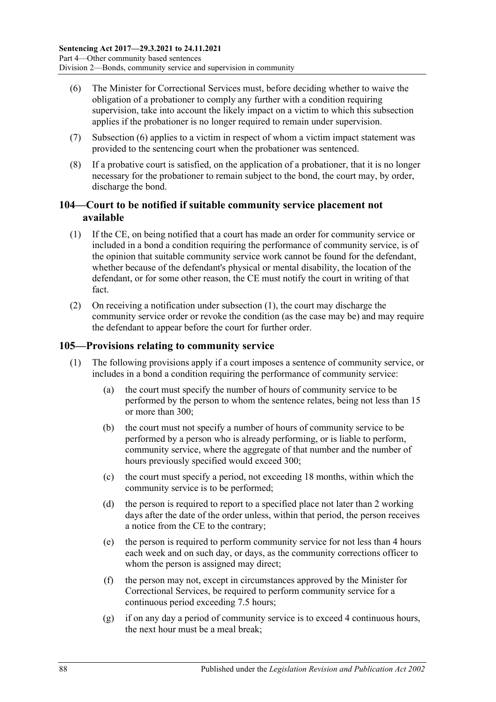- <span id="page-87-0"></span>(6) The Minister for Correctional Services must, before deciding whether to waive the obligation of a probationer to comply any further with a condition requiring supervision, take into account the likely impact on a victim to which this subsection applies if the probationer is no longer required to remain under supervision.
- (7) [Subsection](#page-87-0) (6) applies to a victim in respect of whom a victim impact statement was provided to the sentencing court when the probationer was sentenced.
- (8) If a probative court is satisfied, on the application of a probationer, that it is no longer necessary for the probationer to remain subject to the bond, the court may, by order, discharge the bond.

## **104—Court to be notified if suitable community service placement not available**

- <span id="page-87-1"></span>(1) If the CE, on being notified that a court has made an order for community service or included in a bond a condition requiring the performance of community service, is of the opinion that suitable community service work cannot be found for the defendant, whether because of the defendant's physical or mental disability, the location of the defendant, or for some other reason, the CE must notify the court in writing of that fact.
- (2) On receiving a notification under [subsection](#page-87-1) (1), the court may discharge the community service order or revoke the condition (as the case may be) and may require the defendant to appear before the court for further order.

## <span id="page-87-2"></span>**105—Provisions relating to community service**

- (1) The following provisions apply if a court imposes a sentence of community service, or includes in a bond a condition requiring the performance of community service:
	- (a) the court must specify the number of hours of community service to be performed by the person to whom the sentence relates, being not less than 15 or more than 300;
	- (b) the court must not specify a number of hours of community service to be performed by a person who is already performing, or is liable to perform, community service, where the aggregate of that number and the number of hours previously specified would exceed 300;
	- (c) the court must specify a period, not exceeding 18 months, within which the community service is to be performed;
	- (d) the person is required to report to a specified place not later than 2 working days after the date of the order unless, within that period, the person receives a notice from the CE to the contrary;
	- (e) the person is required to perform community service for not less than 4 hours each week and on such day, or days, as the community corrections officer to whom the person is assigned may direct;
	- (f) the person may not, except in circumstances approved by the Minister for Correctional Services, be required to perform community service for a continuous period exceeding 7.5 hours;
	- (g) if on any day a period of community service is to exceed 4 continuous hours, the next hour must be a meal break;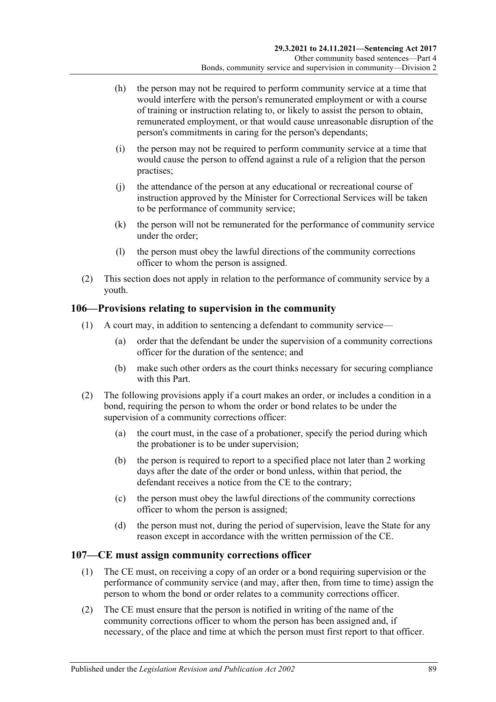- (h) the person may not be required to perform community service at a time that would interfere with the person's remunerated employment or with a course of training or instruction relating to, or likely to assist the person to obtain, remunerated employment, or that would cause unreasonable disruption of the person's commitments in caring for the person's dependants;
- (i) the person may not be required to perform community service at a time that would cause the person to offend against a rule of a religion that the person practises;
- (j) the attendance of the person at any educational or recreational course of instruction approved by the Minister for Correctional Services will be taken to be performance of community service;
- (k) the person will not be remunerated for the performance of community service under the order;
- (l) the person must obey the lawful directions of the community corrections officer to whom the person is assigned.
- (2) This section does not apply in relation to the performance of community service by a youth.

#### **106—Provisions relating to supervision in the community**

- (1) A court may, in addition to sentencing a defendant to community service—
	- (a) order that the defendant be under the supervision of a community corrections officer for the duration of the sentence; and
	- (b) make such other orders as the court thinks necessary for securing compliance with this Part.
- (2) The following provisions apply if a court makes an order, or includes a condition in a bond, requiring the person to whom the order or bond relates to be under the supervision of a community corrections officer:
	- (a) the court must, in the case of a probationer, specify the period during which the probationer is to be under supervision;
	- (b) the person is required to report to a specified place not later than 2 working days after the date of the order or bond unless, within that period, the defendant receives a notice from the CE to the contrary;
	- (c) the person must obey the lawful directions of the community corrections officer to whom the person is assigned;
	- (d) the person must not, during the period of supervision, leave the State for any reason except in accordance with the written permission of the CE.

#### **107—CE must assign community corrections officer**

- (1) The CE must, on receiving a copy of an order or a bond requiring supervision or the performance of community service (and may, after then, from time to time) assign the person to whom the bond or order relates to a community corrections officer.
- (2) The CE must ensure that the person is notified in writing of the name of the community corrections officer to whom the person has been assigned and, if necessary, of the place and time at which the person must first report to that officer.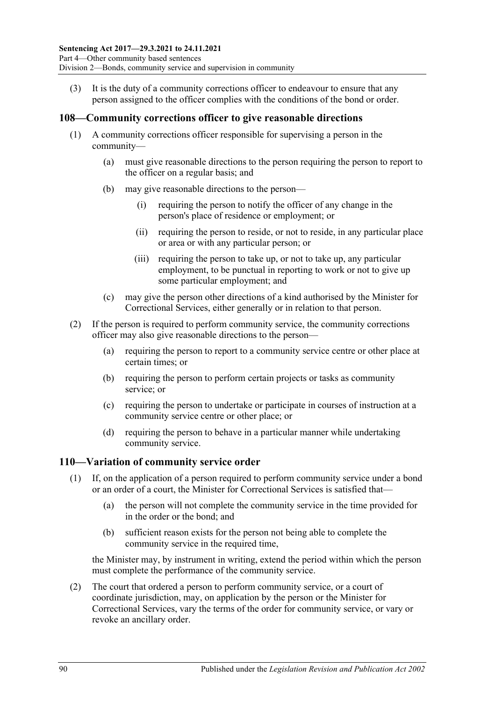(3) It is the duty of a community corrections officer to endeavour to ensure that any person assigned to the officer complies with the conditions of the bond or order.

#### **108—Community corrections officer to give reasonable directions**

- (1) A community corrections officer responsible for supervising a person in the community—
	- (a) must give reasonable directions to the person requiring the person to report to the officer on a regular basis; and
	- (b) may give reasonable directions to the person—
		- (i) requiring the person to notify the officer of any change in the person's place of residence or employment; or
		- (ii) requiring the person to reside, or not to reside, in any particular place or area or with any particular person; or
		- (iii) requiring the person to take up, or not to take up, any particular employment, to be punctual in reporting to work or not to give up some particular employment; and
	- (c) may give the person other directions of a kind authorised by the Minister for Correctional Services, either generally or in relation to that person.
- (2) If the person is required to perform community service, the community corrections officer may also give reasonable directions to the person—
	- (a) requiring the person to report to a community service centre or other place at certain times; or
	- (b) requiring the person to perform certain projects or tasks as community service; or
	- (c) requiring the person to undertake or participate in courses of instruction at a community service centre or other place; or
	- (d) requiring the person to behave in a particular manner while undertaking community service.

#### <span id="page-89-0"></span>**110—Variation of community service order**

- (1) If, on the application of a person required to perform community service under a bond or an order of a court, the Minister for Correctional Services is satisfied that—
	- (a) the person will not complete the community service in the time provided for in the order or the bond; and
	- (b) sufficient reason exists for the person not being able to complete the community service in the required time,

the Minister may, by instrument in writing, extend the period within which the person must complete the performance of the community service.

(2) The court that ordered a person to perform community service, or a court of coordinate jurisdiction, may, on application by the person or the Minister for Correctional Services, vary the terms of the order for community service, or vary or revoke an ancillary order.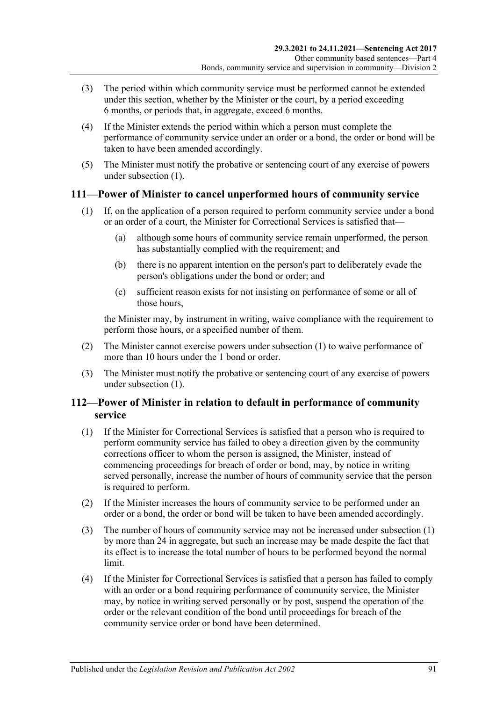- (3) The period within which community service must be performed cannot be extended under this section, whether by the Minister or the court, by a period exceeding 6 months, or periods that, in aggregate, exceed 6 months.
- (4) If the Minister extends the period within which a person must complete the performance of community service under an order or a bond, the order or bond will be taken to have been amended accordingly.
- (5) The Minister must notify the probative or sentencing court of any exercise of powers under [subsection](#page-89-0) (1).

#### <span id="page-90-0"></span>**111—Power of Minister to cancel unperformed hours of community service**

- (1) If, on the application of a person required to perform community service under a bond or an order of a court, the Minister for Correctional Services is satisfied that—
	- (a) although some hours of community service remain unperformed, the person has substantially complied with the requirement; and
	- (b) there is no apparent intention on the person's part to deliberately evade the person's obligations under the bond or order; and
	- (c) sufficient reason exists for not insisting on performance of some or all of those hours,

the Minister may, by instrument in writing, waive compliance with the requirement to perform those hours, or a specified number of them.

- (2) The Minister cannot exercise powers under [subsection](#page-90-0) (1) to waive performance of more than 10 hours under the 1 bond or order.
- (3) The Minister must notify the probative or sentencing court of any exercise of powers under [subsection](#page-90-0) (1).

## **112—Power of Minister in relation to default in performance of community service**

- <span id="page-90-1"></span>(1) If the Minister for Correctional Services is satisfied that a person who is required to perform community service has failed to obey a direction given by the community corrections officer to whom the person is assigned, the Minister, instead of commencing proceedings for breach of order or bond, may, by notice in writing served personally, increase the number of hours of community service that the person is required to perform.
- (2) If the Minister increases the hours of community service to be performed under an order or a bond, the order or bond will be taken to have been amended accordingly.
- (3) The number of hours of community service may not be increased under [subsection](#page-90-1) (1) by more than 24 in aggregate, but such an increase may be made despite the fact that its effect is to increase the total number of hours to be performed beyond the normal limit.
- (4) If the Minister for Correctional Services is satisfied that a person has failed to comply with an order or a bond requiring performance of community service, the Minister may, by notice in writing served personally or by post, suspend the operation of the order or the relevant condition of the bond until proceedings for breach of the community service order or bond have been determined.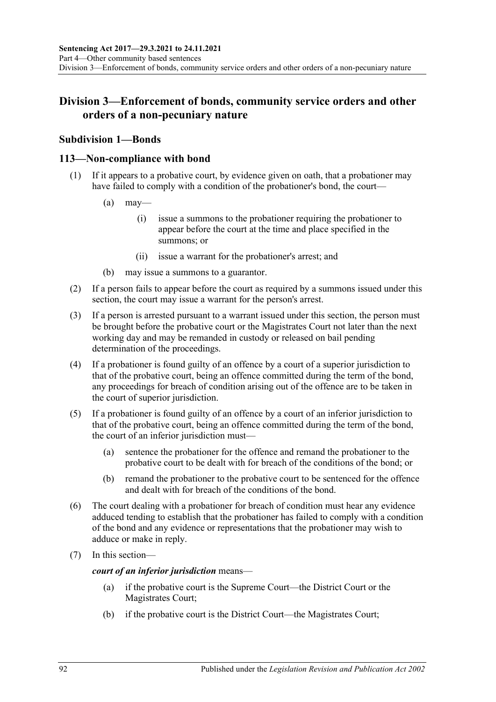## **Division 3—Enforcement of bonds, community service orders and other orders of a non-pecuniary nature**

## **Subdivision 1—Bonds**

#### **113—Non-compliance with bond**

- (1) If it appears to a probative court, by evidence given on oath, that a probationer may have failed to comply with a condition of the probationer's bond, the court—
	- $(a)$  may—
		- (i) issue a summons to the probationer requiring the probationer to appear before the court at the time and place specified in the summons; or
		- (ii) issue a warrant for the probationer's arrest; and
	- (b) may issue a summons to a guarantor.
- (2) If a person fails to appear before the court as required by a summons issued under this section, the court may issue a warrant for the person's arrest.
- (3) If a person is arrested pursuant to a warrant issued under this section, the person must be brought before the probative court or the Magistrates Court not later than the next working day and may be remanded in custody or released on bail pending determination of the proceedings.
- (4) If a probationer is found guilty of an offence by a court of a superior jurisdiction to that of the probative court, being an offence committed during the term of the bond, any proceedings for breach of condition arising out of the offence are to be taken in the court of superior jurisdiction.
- (5) If a probationer is found guilty of an offence by a court of an inferior jurisdiction to that of the probative court, being an offence committed during the term of the bond, the court of an inferior jurisdiction must—
	- (a) sentence the probationer for the offence and remand the probationer to the probative court to be dealt with for breach of the conditions of the bond; or
	- (b) remand the probationer to the probative court to be sentenced for the offence and dealt with for breach of the conditions of the bond.
- (6) The court dealing with a probationer for breach of condition must hear any evidence adduced tending to establish that the probationer has failed to comply with a condition of the bond and any evidence or representations that the probationer may wish to adduce or make in reply.
- (7) In this section—

*court of an inferior jurisdiction* means—

- (a) if the probative court is the Supreme Court—the District Court or the Magistrates Court;
- (b) if the probative court is the District Court—the Magistrates Court;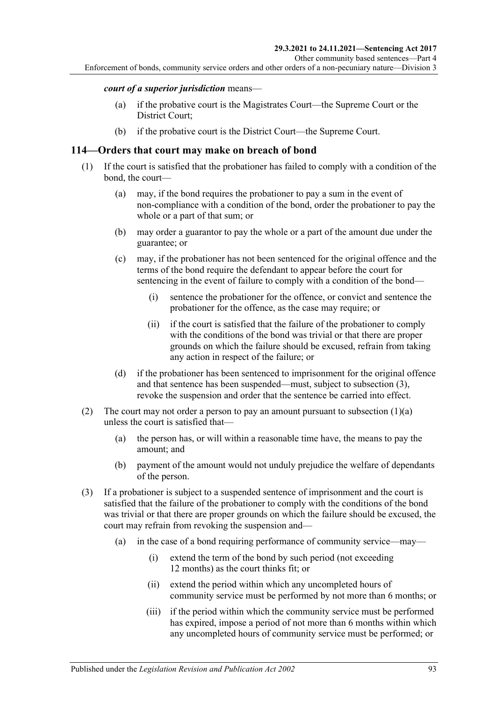#### *court of a superior jurisdiction* means—

- (a) if the probative court is the Magistrates Court—the Supreme Court or the District Court;
- (b) if the probative court is the District Court—the Supreme Court.

#### **114—Orders that court may make on breach of bond**

- <span id="page-92-1"></span>(1) If the court is satisfied that the probationer has failed to comply with a condition of the bond, the court—
	- (a) may, if the bond requires the probationer to pay a sum in the event of non-compliance with a condition of the bond, order the probationer to pay the whole or a part of that sum; or
	- (b) may order a guarantor to pay the whole or a part of the amount due under the guarantee; or
	- (c) may, if the probationer has not been sentenced for the original offence and the terms of the bond require the defendant to appear before the court for sentencing in the event of failure to comply with a condition of the bond—
		- (i) sentence the probationer for the offence, or convict and sentence the probationer for the offence, as the case may require; or
		- (ii) if the court is satisfied that the failure of the probationer to comply with the conditions of the bond was trivial or that there are proper grounds on which the failure should be excused, refrain from taking any action in respect of the failure; or
	- (d) if the probationer has been sentenced to imprisonment for the original offence and that sentence has been suspended—must, subject to [subsection](#page-92-0) (3), revoke the suspension and order that the sentence be carried into effect.
- (2) The court may not order a person to pay an amount pursuant to [subsection](#page-92-1)  $(1)(a)$ unless the court is satisfied that—
	- (a) the person has, or will within a reasonable time have, the means to pay the amount; and
	- (b) payment of the amount would not unduly prejudice the welfare of dependants of the person.
- <span id="page-92-0"></span>(3) If a probationer is subject to a suspended sentence of imprisonment and the court is satisfied that the failure of the probationer to comply with the conditions of the bond was trivial or that there are proper grounds on which the failure should be excused, the court may refrain from revoking the suspension and—
	- (a) in the case of a bond requiring performance of community service—may—
		- (i) extend the term of the bond by such period (not exceeding 12 months) as the court thinks fit; or
		- (ii) extend the period within which any uncompleted hours of community service must be performed by not more than 6 months; or
		- (iii) if the period within which the community service must be performed has expired, impose a period of not more than 6 months within which any uncompleted hours of community service must be performed; or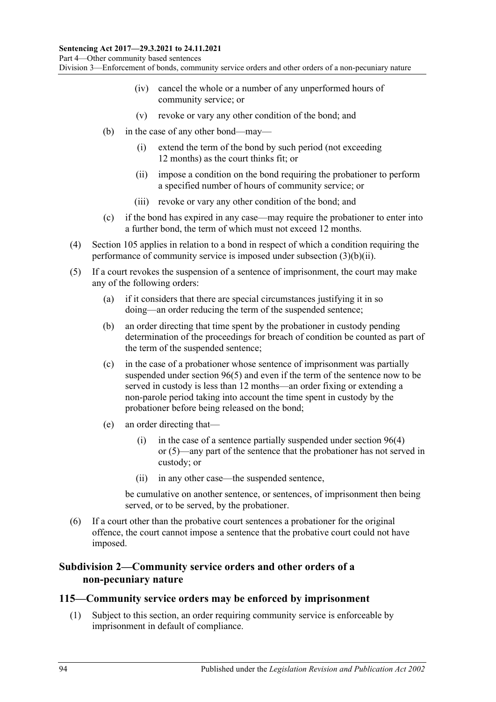- (iv) cancel the whole or a number of any unperformed hours of community service; or
- (v) revoke or vary any other condition of the bond; and
- <span id="page-93-0"></span>(b) in the case of any other bond—may—
	- (i) extend the term of the bond by such period (not exceeding 12 months) as the court thinks fit; or
	- (ii) impose a condition on the bond requiring the probationer to perform a specified number of hours of community service; or
	- (iii) revoke or vary any other condition of the bond; and
- (c) if the bond has expired in any case—may require the probationer to enter into a further bond, the term of which must not exceed 12 months.
- (4) [Section](#page-87-2) 105 applies in relation to a bond in respect of which a condition requiring the performance of community service is imposed under [subsection](#page-93-0) (3)(b)(ii).
- (5) If a court revokes the suspension of a sentence of imprisonment, the court may make any of the following orders:
	- (a) if it considers that there are special circumstances justifying it in so doing—an order reducing the term of the suspended sentence;
	- (b) an order directing that time spent by the probationer in custody pending determination of the proceedings for breach of condition be counted as part of the term of the suspended sentence;
	- (c) in the case of a probationer whose sentence of imprisonment was partially suspended under [section](#page-79-2) 96(5) and even if the term of the sentence now to be served in custody is less than 12 months—an order fixing or extending a non-parole period taking into account the time spent in custody by the probationer before being released on the bond;
	- (e) an order directing that
		- (i) in the case of a sentence partially suspended under [section](#page-79-1)  $96(4)$ or [\(5\)—](#page-79-2)any part of the sentence that the probationer has not served in custody; or
		- (ii) in any other case—the suspended sentence,

be cumulative on another sentence, or sentences, of imprisonment then being served, or to be served, by the probationer.

(6) If a court other than the probative court sentences a probationer for the original offence, the court cannot impose a sentence that the probative court could not have imposed.

#### **Subdivision 2—Community service orders and other orders of a non-pecuniary nature**

#### <span id="page-93-1"></span>**115—Community service orders may be enforced by imprisonment**

(1) Subject to this section, an order requiring community service is enforceable by imprisonment in default of compliance.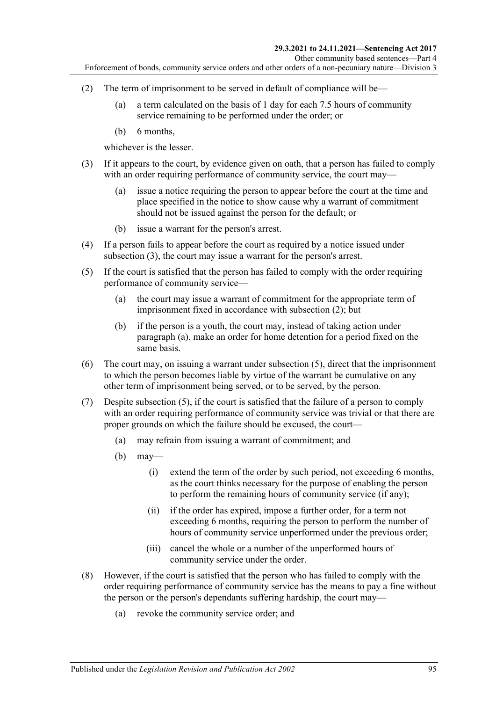- <span id="page-94-1"></span>(2) The term of imprisonment to be served in default of compliance will be—
	- (a) a term calculated on the basis of 1 day for each 7.5 hours of community service remaining to be performed under the order; or
	- (b) 6 months,

whichever is the lesser.

- <span id="page-94-0"></span>(3) If it appears to the court, by evidence given on oath, that a person has failed to comply with an order requiring performance of community service, the court may—
	- (a) issue a notice requiring the person to appear before the court at the time and place specified in the notice to show cause why a warrant of commitment should not be issued against the person for the default; or
	- (b) issue a warrant for the person's arrest.
- (4) If a person fails to appear before the court as required by a notice issued under [subsection](#page-94-0) (3), the court may issue a warrant for the person's arrest.
- <span id="page-94-3"></span><span id="page-94-2"></span>(5) If the court is satisfied that the person has failed to comply with the order requiring performance of community service—
	- (a) the court may issue a warrant of commitment for the appropriate term of imprisonment fixed in accordance with [subsection](#page-94-1) (2); but
	- (b) if the person is a youth, the court may, instead of taking action under [paragraph](#page-94-2) (a), make an order for home detention for a period fixed on the same basis.
- (6) The court may, on issuing a warrant under [subsection](#page-94-3) (5), direct that the imprisonment to which the person becomes liable by virtue of the warrant be cumulative on any other term of imprisonment being served, or to be served, by the person.
- (7) Despite [subsection](#page-94-3) (5), if the court is satisfied that the failure of a person to comply with an order requiring performance of community service was trivial or that there are proper grounds on which the failure should be excused, the court—
	- (a) may refrain from issuing a warrant of commitment; and
	- $(b)$  may—
		- (i) extend the term of the order by such period, not exceeding 6 months, as the court thinks necessary for the purpose of enabling the person to perform the remaining hours of community service (if any);
		- (ii) if the order has expired, impose a further order, for a term not exceeding 6 months, requiring the person to perform the number of hours of community service unperformed under the previous order;
		- (iii) cancel the whole or a number of the unperformed hours of community service under the order.
- <span id="page-94-4"></span>(8) However, if the court is satisfied that the person who has failed to comply with the order requiring performance of community service has the means to pay a fine without the person or the person's dependants suffering hardship, the court may—
	- (a) revoke the community service order; and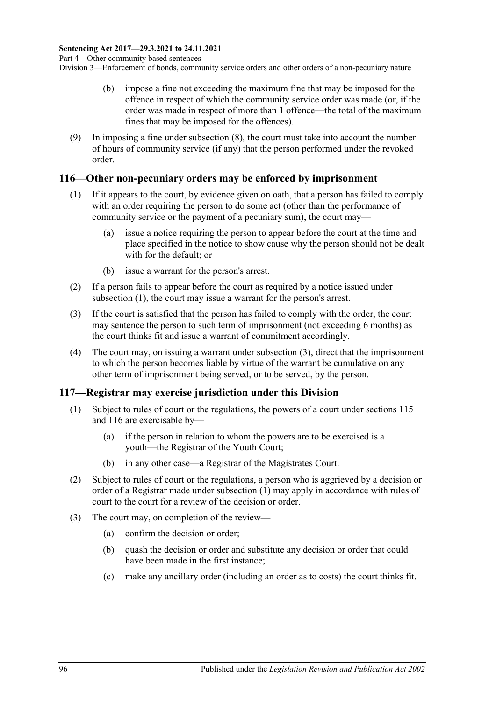- (b) impose a fine not exceeding the maximum fine that may be imposed for the offence in respect of which the community service order was made (or, if the order was made in respect of more than 1 offence—the total of the maximum fines that may be imposed for the offences).
- (9) In imposing a fine under [subsection](#page-94-4) (8), the court must take into account the number of hours of community service (if any) that the person performed under the revoked order.

#### <span id="page-95-2"></span><span id="page-95-0"></span>**116—Other non-pecuniary orders may be enforced by imprisonment**

- (1) If it appears to the court, by evidence given on oath, that a person has failed to comply with an order requiring the person to do some act (other than the performance of community service or the payment of a pecuniary sum), the court may—
	- (a) issue a notice requiring the person to appear before the court at the time and place specified in the notice to show cause why the person should not be dealt with for the default; or
	- (b) issue a warrant for the person's arrest.
- (2) If a person fails to appear before the court as required by a notice issued under [subsection](#page-95-0) (1), the court may issue a warrant for the person's arrest.
- <span id="page-95-1"></span>(3) If the court is satisfied that the person has failed to comply with the order, the court may sentence the person to such term of imprisonment (not exceeding 6 months) as the court thinks fit and issue a warrant of commitment accordingly.
- (4) The court may, on issuing a warrant under [subsection](#page-95-1) (3), direct that the imprisonment to which the person becomes liable by virtue of the warrant be cumulative on any other term of imprisonment being served, or to be served, by the person.

## <span id="page-95-3"></span>**117—Registrar may exercise jurisdiction under this Division**

- (1) Subject to rules of court or the regulations, the powers of a court under [sections](#page-93-1) 115 and [116](#page-95-2) are exercisable by—
	- (a) if the person in relation to whom the powers are to be exercised is a youth—the Registrar of the Youth Court;
	- (b) in any other case—a Registrar of the Magistrates Court.
- (2) Subject to rules of court or the regulations, a person who is aggrieved by a decision or order of a Registrar made under [subsection](#page-95-3) (1) may apply in accordance with rules of court to the court for a review of the decision or order.
- (3) The court may, on completion of the review—
	- (a) confirm the decision or order;
	- (b) quash the decision or order and substitute any decision or order that could have been made in the first instance;
	- (c) make any ancillary order (including an order as to costs) the court thinks fit.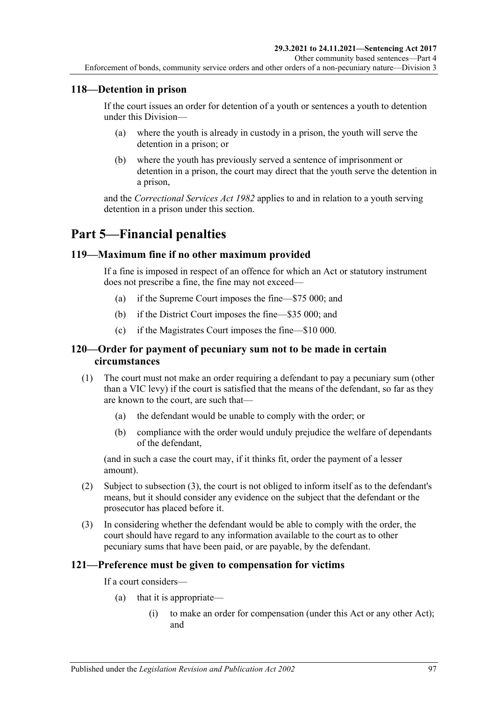## **118—Detention in prison**

If the court issues an order for detention of a youth or sentences a youth to detention under this Division—

- (a) where the youth is already in custody in a prison, the youth will serve the detention in a prison; or
- (b) where the youth has previously served a sentence of imprisonment or detention in a prison, the court may direct that the youth serve the detention in a prison,

and the *[Correctional Services Act](http://www.legislation.sa.gov.au/index.aspx?action=legref&type=act&legtitle=Correctional%20Services%20Act%201982) 1982* applies to and in relation to a youth serving detention in a prison under this section.

# **Part 5—Financial penalties**

## **119—Maximum fine if no other maximum provided**

If a fine is imposed in respect of an offence for which an Act or statutory instrument does not prescribe a fine, the fine may not exceed—

- (a) if the Supreme Court imposes the fine—\$75 000; and
- (b) if the District Court imposes the fine—\$35 000; and
- (c) if the Magistrates Court imposes the fine—\$10 000.

#### **120—Order for payment of pecuniary sum not to be made in certain circumstances**

- (1) The court must not make an order requiring a defendant to pay a pecuniary sum (other than a VIC levy) if the court is satisfied that the means of the defendant, so far as they are known to the court, are such that—
	- (a) the defendant would be unable to comply with the order; or
	- (b) compliance with the order would unduly prejudice the welfare of dependants of the defendant,

(and in such a case the court may, if it thinks fit, order the payment of a lesser amount).

- (2) Subject to [subsection](#page-96-0) (3), the court is not obliged to inform itself as to the defendant's means, but it should consider any evidence on the subject that the defendant or the prosecutor has placed before it.
- <span id="page-96-0"></span>(3) In considering whether the defendant would be able to comply with the order, the court should have regard to any information available to the court as to other pecuniary sums that have been paid, or are payable, by the defendant.

## **121—Preference must be given to compensation for victims**

If a court considers—

- (a) that it is appropriate—
	- (i) to make an order for compensation (under this Act or any other Act); and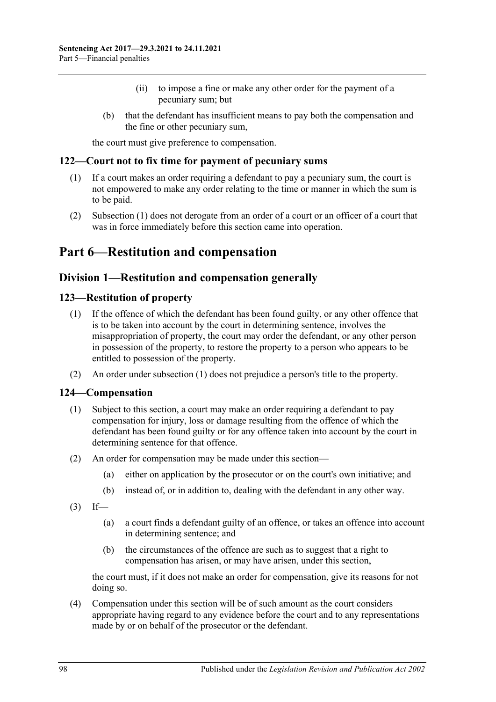- (ii) to impose a fine or make any other order for the payment of a pecuniary sum; but
- (b) that the defendant has insufficient means to pay both the compensation and the fine or other pecuniary sum,

the court must give preference to compensation.

#### <span id="page-97-0"></span>**122—Court not to fix time for payment of pecuniary sums**

- (1) If a court makes an order requiring a defendant to pay a pecuniary sum, the court is not empowered to make any order relating to the time or manner in which the sum is to be paid.
- (2) [Subsection](#page-97-0) (1) does not derogate from an order of a court or an officer of a court that was in force immediately before this section came into operation.

# **Part 6—Restitution and compensation**

## **Division 1—Restitution and compensation generally**

#### <span id="page-97-2"></span><span id="page-97-1"></span>**123—Restitution of property**

- (1) If the offence of which the defendant has been found guilty, or any other offence that is to be taken into account by the court in determining sentence, involves the misappropriation of property, the court may order the defendant, or any other person in possession of the property, to restore the property to a person who appears to be entitled to possession of the property.
- (2) An order under [subsection](#page-97-1) (1) does not prejudice a person's title to the property.

#### **124—Compensation**

- (1) Subject to this section, a court may make an order requiring a defendant to pay compensation for injury, loss or damage resulting from the offence of which the defendant has been found guilty or for any offence taken into account by the court in determining sentence for that offence.
- (2) An order for compensation may be made under this section—
	- (a) either on application by the prosecutor or on the court's own initiative; and
	- (b) instead of, or in addition to, dealing with the defendant in any other way.
- $(3)$  If—
	- (a) a court finds a defendant guilty of an offence, or takes an offence into account in determining sentence; and
	- (b) the circumstances of the offence are such as to suggest that a right to compensation has arisen, or may have arisen, under this section,

the court must, if it does not make an order for compensation, give its reasons for not doing so.

(4) Compensation under this section will be of such amount as the court considers appropriate having regard to any evidence before the court and to any representations made by or on behalf of the prosecutor or the defendant.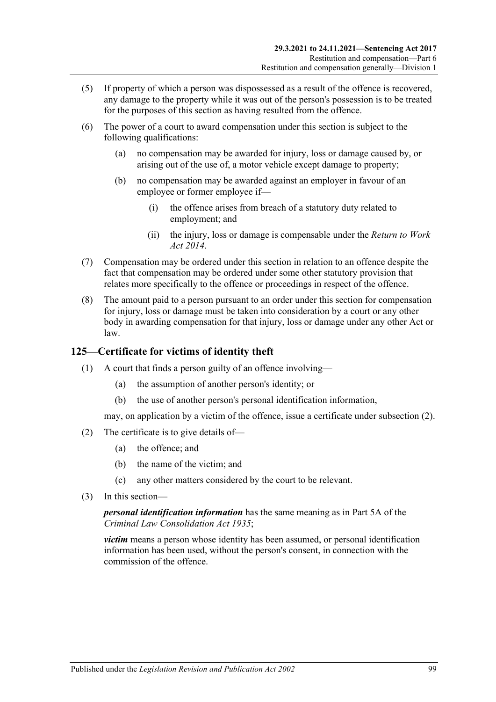- (5) If property of which a person was dispossessed as a result of the offence is recovered, any damage to the property while it was out of the person's possession is to be treated for the purposes of this section as having resulted from the offence.
- (6) The power of a court to award compensation under this section is subject to the following qualifications:
	- (a) no compensation may be awarded for injury, loss or damage caused by, or arising out of the use of, a motor vehicle except damage to property;
	- (b) no compensation may be awarded against an employer in favour of an employee or former employee if—
		- (i) the offence arises from breach of a statutory duty related to employment; and
		- (ii) the injury, loss or damage is compensable under the *[Return to Work](http://www.legislation.sa.gov.au/index.aspx?action=legref&type=act&legtitle=Return%20to%20Work%20Act%202014)  Act [2014](http://www.legislation.sa.gov.au/index.aspx?action=legref&type=act&legtitle=Return%20to%20Work%20Act%202014)*.
- (7) Compensation may be ordered under this section in relation to an offence despite the fact that compensation may be ordered under some other statutory provision that relates more specifically to the offence or proceedings in respect of the offence.
- (8) The amount paid to a person pursuant to an order under this section for compensation for injury, loss or damage must be taken into consideration by a court or any other body in awarding compensation for that injury, loss or damage under any other Act or law.

## **125—Certificate for victims of identity theft**

- (1) A court that finds a person guilty of an offence involving—
	- (a) the assumption of another person's identity; or
	- (b) the use of another person's personal identification information,

may, on application by a victim of the offence, issue a certificate unde[r subsection](#page-98-0) (2).

- <span id="page-98-0"></span>(2) The certificate is to give details of—
	- (a) the offence; and
	- (b) the name of the victim; and
	- (c) any other matters considered by the court to be relevant.
- (3) In this section—

*personal identification information* has the same meaning as in Part 5A of the *[Criminal Law Consolidation Act](http://www.legislation.sa.gov.au/index.aspx?action=legref&type=act&legtitle=Criminal%20Law%20Consolidation%20Act%201935) 1935*;

*victim* means a person whose identity has been assumed, or personal identification information has been used, without the person's consent, in connection with the commission of the offence.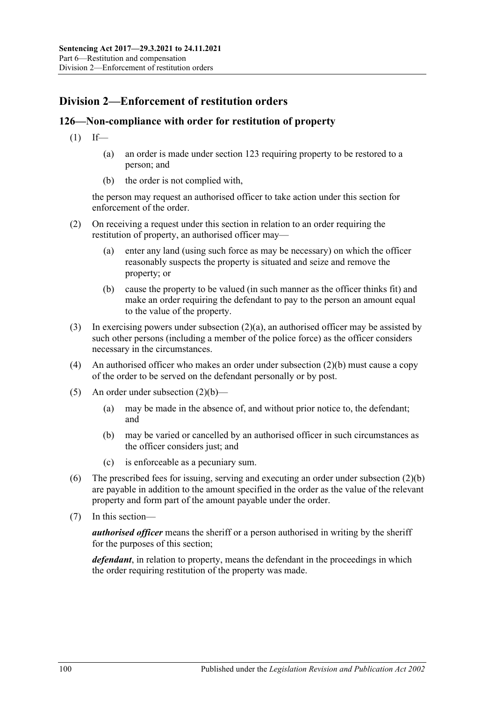# **Division 2—Enforcement of restitution orders**

## **126—Non-compliance with order for restitution of property**

- $(1)$  If—
	- (a) an order is made under [section](#page-97-2) 123 requiring property to be restored to a person; and
	- (b) the order is not complied with,

the person may request an authorised officer to take action under this section for enforcement of the order.

- <span id="page-99-0"></span>(2) On receiving a request under this section in relation to an order requiring the restitution of property, an authorised officer may—
	- (a) enter any land (using such force as may be necessary) on which the officer reasonably suspects the property is situated and seize and remove the property; or
	- (b) cause the property to be valued (in such manner as the officer thinks fit) and make an order requiring the defendant to pay to the person an amount equal to the value of the property.
- <span id="page-99-1"></span>(3) In exercising powers under [subsection](#page-99-0)  $(2)(a)$ , an authorised officer may be assisted by such other persons (including a member of the police force) as the officer considers necessary in the circumstances.
- (4) An authorised officer who makes an order unde[r subsection](#page-99-1) (2)(b) must cause a copy of the order to be served on the defendant personally or by post.
- (5) An order under [subsection](#page-99-1)  $(2)(b)$ 
	- (a) may be made in the absence of, and without prior notice to, the defendant; and
	- (b) may be varied or cancelled by an authorised officer in such circumstances as the officer considers just; and
	- (c) is enforceable as a pecuniary sum.
- (6) The prescribed fees for issuing, serving and executing an order under [subsection](#page-99-1) (2)(b) are payable in addition to the amount specified in the order as the value of the relevant property and form part of the amount payable under the order.
- (7) In this section—

*authorised officer* means the sheriff or a person authorised in writing by the sheriff for the purposes of this section;

*defendant*, in relation to property, means the defendant in the proceedings in which the order requiring restitution of the property was made.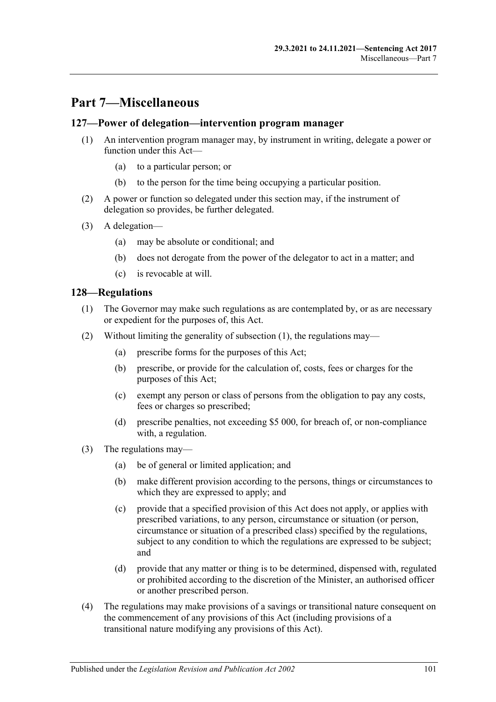# **Part 7—Miscellaneous**

#### **127—Power of delegation—intervention program manager**

- (1) An intervention program manager may, by instrument in writing, delegate a power or function under this Act—
	- (a) to a particular person; or
	- (b) to the person for the time being occupying a particular position.
- (2) A power or function so delegated under this section may, if the instrument of delegation so provides, be further delegated.
- (3) A delegation—
	- (a) may be absolute or conditional; and
	- (b) does not derogate from the power of the delegator to act in a matter; and
	- (c) is revocable at will.

#### <span id="page-100-0"></span>**128—Regulations**

- (1) The Governor may make such regulations as are contemplated by, or as are necessary or expedient for the purposes of, this Act.
- (2) Without limiting the generality of [subsection](#page-100-0) (1), the regulations may—
	- (a) prescribe forms for the purposes of this Act;
	- (b) prescribe, or provide for the calculation of, costs, fees or charges for the purposes of this Act;
	- (c) exempt any person or class of persons from the obligation to pay any costs, fees or charges so prescribed;
	- (d) prescribe penalties, not exceeding \$5 000, for breach of, or non-compliance with, a regulation.
- (3) The regulations may—
	- (a) be of general or limited application; and
	- (b) make different provision according to the persons, things or circumstances to which they are expressed to apply; and
	- (c) provide that a specified provision of this Act does not apply, or applies with prescribed variations, to any person, circumstance or situation (or person, circumstance or situation of a prescribed class) specified by the regulations, subject to any condition to which the regulations are expressed to be subject; and
	- (d) provide that any matter or thing is to be determined, dispensed with, regulated or prohibited according to the discretion of the Minister, an authorised officer or another prescribed person.
- (4) The regulations may make provisions of a savings or transitional nature consequent on the commencement of any provisions of this Act (including provisions of a transitional nature modifying any provisions of this Act).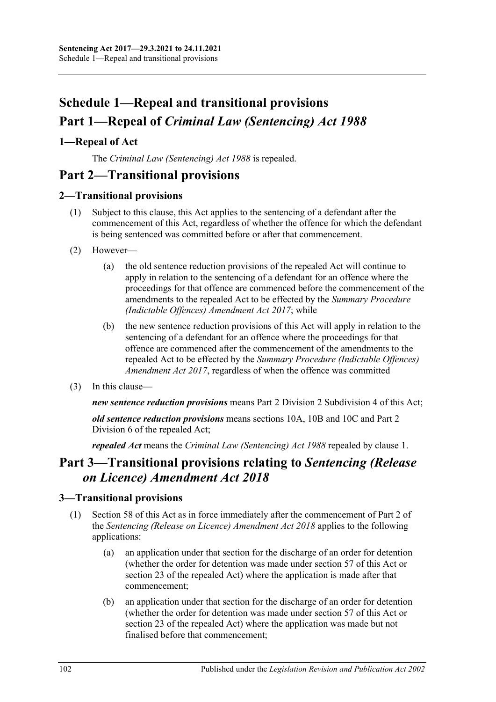# **Schedule 1—Repeal and transitional provisions Part 1—Repeal of** *Criminal Law (Sentencing) Act 1988*

## <span id="page-101-0"></span>**1—Repeal of Act**

The *[Criminal Law \(Sentencing\) Act](http://www.legislation.sa.gov.au/index.aspx?action=legref&type=act&legtitle=Criminal%20Law%20(Sentencing)%20Act%201988) 1988* is repealed.

# **Part 2—Transitional provisions**

## **2—Transitional provisions**

- (1) Subject to this clause, this Act applies to the sentencing of a defendant after the commencement of this Act, regardless of whether the offence for which the defendant is being sentenced was committed before or after that commencement.
- (2) However—
	- (a) the old sentence reduction provisions of the repealed Act will continue to apply in relation to the sentencing of a defendant for an offence where the proceedings for that offence are commenced before the commencement of the amendments to the repealed Act to be effected by the *[Summary Procedure](http://www.legislation.sa.gov.au/index.aspx?action=legref&type=act&legtitle=Summary%20Procedure%20(Indictable%20Offences)%20Amendment%20Act%202017)  [\(Indictable Offences\) Amendment Act](http://www.legislation.sa.gov.au/index.aspx?action=legref&type=act&legtitle=Summary%20Procedure%20(Indictable%20Offences)%20Amendment%20Act%202017) 2017*; while
	- (b) the new sentence reduction provisions of this Act will apply in relation to the sentencing of a defendant for an offence where the proceedings for that offence are commenced after the commencement of the amendments to the repealed Act to be effected by the *[Summary Procedure \(Indictable Offences\)](http://www.legislation.sa.gov.au/index.aspx?action=legref&type=act&legtitle=Summary%20Procedure%20(Indictable%20Offences)%20Amendment%20Act%202017)  [Amendment Act](http://www.legislation.sa.gov.au/index.aspx?action=legref&type=act&legtitle=Summary%20Procedure%20(Indictable%20Offences)%20Amendment%20Act%202017) 2017*, regardless of when the offence was committed
- (3) In this clause—

*new sentence reduction provisions* means Part 2 Division [2 Subdivision](#page-24-0) 4 of this Act;

*old sentence reduction provisions* means sections 10A, 10B and 10C and Part 2 Division 6 of the repealed Act;

*repealed Act* means the *[Criminal Law \(Sentencing\) Act](http://www.legislation.sa.gov.au/index.aspx?action=legref&type=act&legtitle=Criminal%20Law%20(Sentencing)%20Act%201988) 1988* repealed by [clause](#page-101-0) 1.

# **Part 3—Transitional provisions relating to** *Sentencing (Release on Licence) Amendment Act 2018*

## **3—Transitional provisions**

- (1) [Section 58](#page-48-0) of this Act as in force immediately after the commencement of Part 2 of the *[Sentencing \(Release on Licence\) Amendment Act](http://www.legislation.sa.gov.au/index.aspx?action=legref&type=act&legtitle=Sentencing%20(Release%20on%20Licence)%20Amendment%20Act%202018) 2018* applies to the following applications:
	- (a) an application under that section for the discharge of an order for detention (whether the order for detention was made under [section](#page-45-0) 57 of this Act or section 23 of the repealed Act) where the application is made after that commencement;
	- (b) an application under that section for the discharge of an order for detention (whether the order for detention was made under [section](#page-45-0) 57 of this Act or section 23 of the repealed Act) where the application was made but not finalised before that commencement;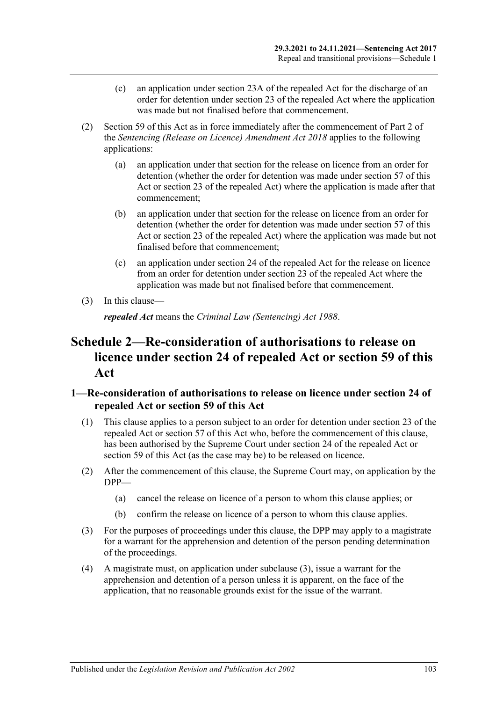- (c) an application under section 23A of the repealed Act for the discharge of an order for detention under section 23 of the repealed Act where the application was made but not finalised before that commencement.
- (2) [Section 59](#page-49-0) of this Act as in force immediately after the commencement of Part 2 of the *[Sentencing \(Release on Licence\) Amendment Act](http://www.legislation.sa.gov.au/index.aspx?action=legref&type=act&legtitle=Sentencing%20(Release%20on%20Licence)%20Amendment%20Act%202018) 2018* applies to the following applications:
	- (a) an application under that section for the release on licence from an order for detention (whether the order for detention was made under [section](#page-45-0) 57 of this Act or section 23 of the repealed Act) where the application is made after that commencement;
	- (b) an application under that section for the release on licence from an order for detention (whether the order for detention was made under [section](#page-45-0) 57 of this Act or section 23 of the repealed Act) where the application was made but not finalised before that commencement;
	- (c) an application under section 24 of the repealed Act for the release on licence from an order for detention under section 23 of the repealed Act where the application was made but not finalised before that commencement.
- (3) In this clause—

*repealed Act* means the *[Criminal Law \(Sentencing\) Act](http://www.legislation.sa.gov.au/index.aspx?action=legref&type=act&legtitle=Criminal%20Law%20(Sentencing)%20Act%201988) 1988*.

# **Schedule 2—Re-consideration of authorisations to release on licence under section 24 of repealed Act or [section](#page-49-0) 59 of this Act**

## **1—Re-consideration of authorisations to release on licence under section 24 of repealed Act or [section](#page-49-0) 59 of this Act**

- (1) This clause applies to a person subject to an order for detention under section 23 of the repealed Act or [section](#page-45-0) 57 of this Act who, before the commencement of this clause, has been authorised by the Supreme Court under section 24 of the repealed Act or [section](#page-49-0) 59 of this Act (as the case may be) to be released on licence.
- (2) After the commencement of this clause, the Supreme Court may, on application by the DPP—
	- (a) cancel the release on licence of a person to whom this clause applies; or
	- (b) confirm the release on licence of a person to whom this clause applies.
- <span id="page-102-0"></span>(3) For the purposes of proceedings under this clause, the DPP may apply to a magistrate for a warrant for the apprehension and detention of the person pending determination of the proceedings.
- (4) A magistrate must, on application under [subclause](#page-102-0) (3), issue a warrant for the apprehension and detention of a person unless it is apparent, on the face of the application, that no reasonable grounds exist for the issue of the warrant.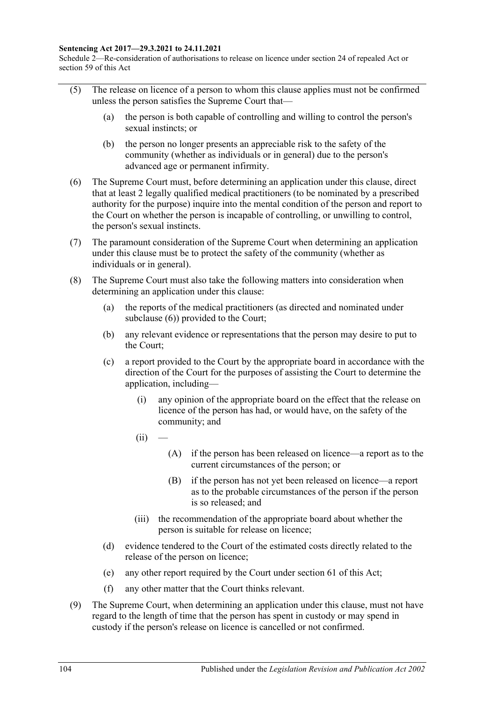#### **Sentencing Act 2017—29.3.2021 to 24.11.2021**

Schedule 2—Re-consideration of authorisations to release on licence under section 24 of repealed Act or section 59 of this Act

- (5) The release on licence of a person to whom this clause applies must not be confirmed unless the person satisfies the Supreme Court that—
	- (a) the person is both capable of controlling and willing to control the person's sexual instincts; or
	- (b) the person no longer presents an appreciable risk to the safety of the community (whether as individuals or in general) due to the person's advanced age or permanent infirmity.
- <span id="page-103-0"></span>(6) The Supreme Court must, before determining an application under this clause, direct that at least 2 legally qualified medical practitioners (to be nominated by a prescribed authority for the purpose) inquire into the mental condition of the person and report to the Court on whether the person is incapable of controlling, or unwilling to control, the person's sexual instincts.
- (7) The paramount consideration of the Supreme Court when determining an application under this clause must be to protect the safety of the community (whether as individuals or in general).
- <span id="page-103-1"></span>(8) The Supreme Court must also take the following matters into consideration when determining an application under this clause:
	- (a) the reports of the medical practitioners (as directed and nominated under [subclause](#page-103-0) (6)) provided to the Court;
	- (b) any relevant evidence or representations that the person may desire to put to the Court;
	- (c) a report provided to the Court by the appropriate board in accordance with the direction of the Court for the purposes of assisting the Court to determine the application, including—
		- (i) any opinion of the appropriate board on the effect that the release on licence of the person has had, or would have, on the safety of the community; and
		- $(ii)$
- (A) if the person has been released on licence—a report as to the current circumstances of the person; or
- (B) if the person has not yet been released on licence—a report as to the probable circumstances of the person if the person is so released; and
- (iii) the recommendation of the appropriate board about whether the person is suitable for release on licence;
- (d) evidence tendered to the Court of the estimated costs directly related to the release of the person on licence;
- (e) any other report required by the Court under [section](#page-52-0) 61 of this Act;
- (f) any other matter that the Court thinks relevant.
- (9) The Supreme Court, when determining an application under this clause, must not have regard to the length of time that the person has spent in custody or may spend in custody if the person's release on licence is cancelled or not confirmed.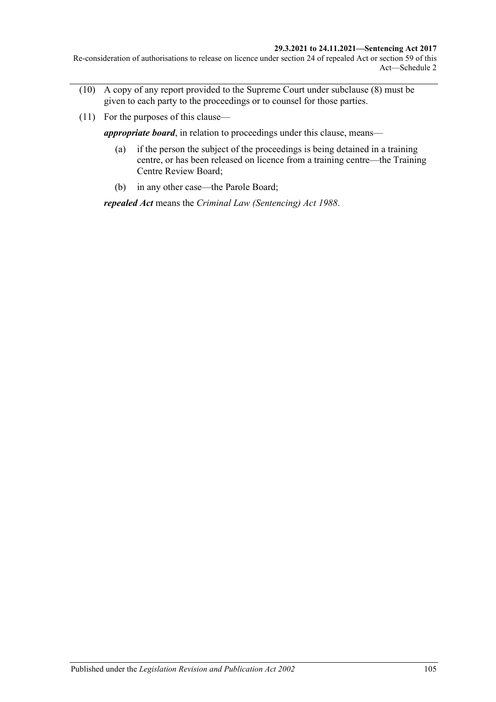#### **29.3.2021 to 24.11.2021—Sentencing Act 2017**

Re-consideration of authorisations to release on licence under section 24 of repealed Act or section 59 of this Act—Schedule 2

- (10) A copy of any report provided to the Supreme Court under [subclause](#page-103-1) (8) must be given to each party to the proceedings or to counsel for those parties.
- (11) For the purposes of this clause—

*appropriate board*, in relation to proceedings under this clause, means—

- (a) if the person the subject of the proceedings is being detained in a training centre, or has been released on licence from a training centre—the Training Centre Review Board;
- (b) in any other case—the Parole Board;

*repealed Act* means the *[Criminal Law \(Sentencing\) Act](http://www.legislation.sa.gov.au/index.aspx?action=legref&type=act&legtitle=Criminal%20Law%20(Sentencing)%20Act%201988) 1988*.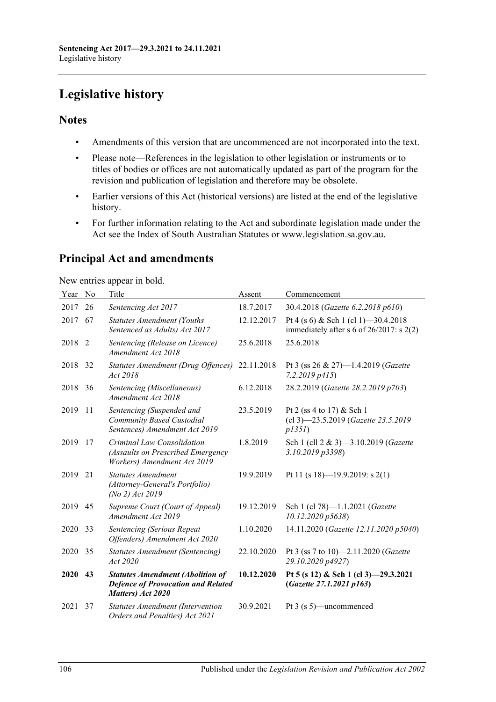# **Legislative history**

## **Notes**

- Amendments of this version that are uncommenced are not incorporated into the text.
- Please note—References in the legislation to other legislation or instruments or to titles of bodies or offices are not automatically updated as part of the program for the revision and publication of legislation and therefore may be obsolete.
- Earlier versions of this Act (historical versions) are listed at the end of the legislative history.
- For further information relating to the Act and subordinate legislation made under the Act see the Index of South Australian Statutes or www.legislation.sa.gov.au.

# **Principal Act and amendments**

New entries appear in bold.

| Year | No | Title                                                                                                     | Assent     | Commencement                                                                          |
|------|----|-----------------------------------------------------------------------------------------------------------|------------|---------------------------------------------------------------------------------------|
| 2017 | 26 | Sentencing Act 2017                                                                                       | 18.7.2017  | 30.4.2018 (Gazette 6.2.2018 p610)                                                     |
| 2017 | 67 | <b>Statutes Amendment (Youths</b><br>Sentenced as Adults) Act 2017                                        | 12.12.2017 | Pt 4 (s 6) & Sch 1 (cl 1) -30.4.2018<br>immediately after s 6 of $26/2017$ : s $2(2)$ |
| 2018 | 2  | Sentencing (Release on Licence)<br>Amendment Act 2018                                                     | 25.6.2018  | 25.6.2018                                                                             |
| 2018 | 32 | Statutes Amendment (Drug Offences)<br>Act 2018                                                            | 22.11.2018 | Pt 3 (ss 26 & 27)-1.4.2019 (Gazette<br>$7.2.2019$ $p415$ )                            |
| 2018 | 36 | Sentencing (Miscellaneous)<br>Amendment Act 2018                                                          | 6.12.2018  | 28.2.2019 (Gazette 28.2.2019 p703)                                                    |
| 2019 | 11 | Sentencing (Suspended and<br>Community Based Custodial<br>Sentences) Amendment Act 2019                   | 23.5.2019  | Pt 2 (ss 4 to 17) & Sch 1<br>(cl 3)-23.5.2019 (Gazette 23.5.2019<br>p135I)            |
| 2019 | 17 | Criminal Law Consolidation<br>(Assaults on Prescribed Emergency<br>Workers) Amendment Act 2019            | 1.8.2019   | Sch 1 (cll 2 & 3)-3.10.2019 (Gazette<br>3.10.2019 p3398)                              |
| 2019 | 21 | <b>Statutes Amendment</b><br>(Attorney-General's Portfolio)<br>(No 2) Act 2019                            | 19.9.2019  | Pt 11 (s 18)-19.9.2019: s 2(1)                                                        |
| 2019 | 45 | Supreme Court (Court of Appeal)<br>Amendment Act 2019                                                     | 19.12.2019 | Sch 1 (cl 78)-1.1.2021 (Gazette<br>10.12.2020 p5638)                                  |
| 2020 | 33 | <b>Sentencing (Serious Repeat</b><br>Offenders) Amendment Act 2020                                        | 1.10.2020  | 14.11.2020 (Gazette 12.11.2020 p5040)                                                 |
| 2020 | 35 | <b>Statutes Amendment (Sentencing)</b><br>Act 2020                                                        | 22.10.2020 | Pt 3 (ss 7 to 10)-2.11.2020 (Gazette<br>29.10.2020 p4927)                             |
| 2020 | 43 | <b>Statutes Amendment (Abolition of</b><br><b>Defence of Provocation and Related</b><br>Matters) Act 2020 | 10.12.2020 | Pt 5 (s 12) & Sch 1 (cl 3) -29.3.2021<br>(Gazette 27.1.2021 p163)                     |
| 2021 | 37 | <b>Statutes Amendment (Intervention</b><br>Orders and Penalties) Act 2021                                 | 30.9.2021  | Pt $3$ (s $5$ )—uncommenced                                                           |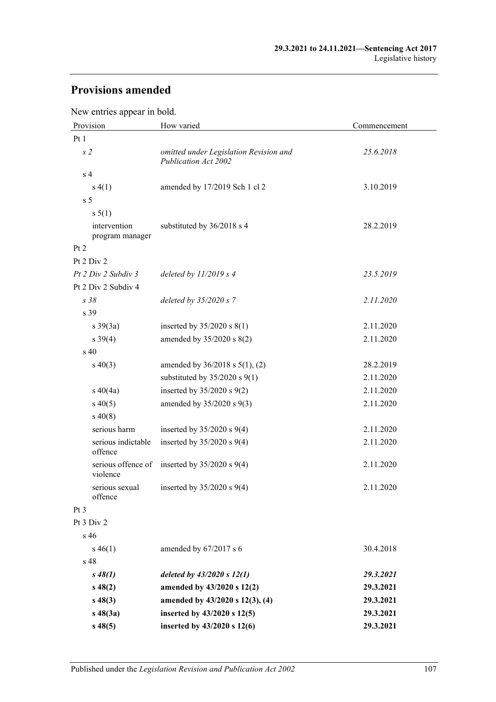# **Provisions amended**

New entries appear in bold.

| Provision                       | How varied                                                            | Commencement |  |
|---------------------------------|-----------------------------------------------------------------------|--------------|--|
| Pt 1                            |                                                                       |              |  |
| s <sub>2</sub>                  | omitted under Legislation Revision and<br><b>Publication Act 2002</b> | 25.6.2018    |  |
| s <sub>4</sub>                  |                                                                       |              |  |
| s(4(1))                         | amended by 17/2019 Sch 1 cl 2                                         | 3.10.2019    |  |
| s <sub>5</sub>                  |                                                                       |              |  |
| s 5(1)                          |                                                                       |              |  |
| intervention<br>program manager | substituted by 36/2018 s 4                                            | 28.2.2019    |  |
| Pt 2                            |                                                                       |              |  |
| Pt 2 Div 2                      |                                                                       |              |  |
| Pt 2 Div 2 Subdiv 3             | deleted by $11/2019$ s 4                                              | 23.5.2019    |  |
| Pt 2 Div 2 Subdiv 4             |                                                                       |              |  |
| s38                             | deleted by $35/2020 s$ 7                                              | 2.11.2020    |  |
| s 39                            |                                                                       |              |  |
| $s \frac{39(3a)}{2}$            | inserted by $35/2020$ s $8(1)$                                        | 2.11.2020    |  |
| $s \, 39(4)$                    | amended by 35/2020 s 8(2)                                             | 2.11.2020    |  |
| s <sub>40</sub>                 |                                                                       |              |  |
| $s\ 40(3)$                      | amended by $36/2018$ s $5(1)$ , (2)                                   | 28.2.2019    |  |
|                                 | substituted by $35/2020$ s $9(1)$                                     | 2.11.2020    |  |
| $s\ 40(4a)$                     | inserted by $35/2020$ s $9(2)$                                        | 2.11.2020    |  |
| $s\,40(5)$                      | amended by 35/2020 s 9(3)                                             | 2.11.2020    |  |
| $s\,40(8)$                      |                                                                       |              |  |
| serious harm                    | inserted by $35/2020$ s $9(4)$                                        | 2.11.2020    |  |
| serious indictable<br>offence   | inserted by $35/2020$ s $9(4)$                                        | 2.11.2020    |  |
| serious offence of<br>violence  | inserted by $35/2020$ s $9(4)$                                        | 2.11.2020    |  |
| serious sexual<br>offence       | inserted by $35/2020$ s $9(4)$                                        | 2.11.2020    |  |
| $Pt\,3$                         |                                                                       |              |  |
| Pt 3 Div 2                      |                                                                       |              |  |
| s <sub>46</sub>                 |                                                                       |              |  |
| $s\,46(1)$                      | amended by 67/2017 s 6                                                | 30.4.2018    |  |
| s <sub>48</sub>                 |                                                                       |              |  |
| $s\,48(1)$                      | deleted by $43/2020 s 12(1)$                                          | 29.3.2021    |  |
| $s\,48(2)$                      | amended by 43/2020 s 12(2)                                            | 29.3.2021    |  |
| $s\,48(3)$                      | amended by 43/2020 s 12(3), (4)                                       | 29.3.2021    |  |
| $s\,48(3a)$                     | inserted by 43/2020 s 12(5)                                           | 29.3.2021    |  |
| $s\,48(5)$                      | inserted by 43/2020 s 12(6)                                           | 29.3.2021    |  |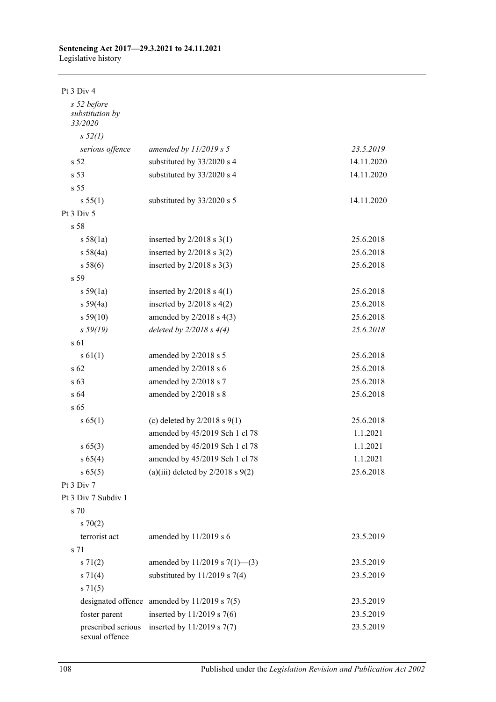#### **Sentencing Act 2017—29.3.2021 to 24.11.2021** Legislative history

Pt 3 Div 4

| s 52 before<br>substitution by<br>33/2020 |                                                  |            |
|-------------------------------------------|--------------------------------------------------|------------|
| s 52(l)                                   |                                                  |            |
| serious offence                           | amended by $11/2019 s 5$                         | 23.5.2019  |
| s <sub>52</sub>                           | substituted by 33/2020 s 4                       | 14.11.2020 |
| s <sub>53</sub>                           | substituted by 33/2020 s 4                       | 14.11.2020 |
| s 55                                      |                                                  |            |
| s 55(1)                                   | substituted by 33/2020 s 5                       | 14.11.2020 |
| Pt 3 Div 5                                |                                                  |            |
| s 58                                      |                                                  |            |
| s 58(1a)                                  | inserted by $2/2018$ s $3(1)$                    | 25.6.2018  |
| s 58(4a)                                  | inserted by $2/2018$ s $3(2)$                    | 25.6.2018  |
| s 58(6)                                   | inserted by $2/2018$ s $3(3)$                    | 25.6.2018  |
| s 59                                      |                                                  |            |
| s 59(1a)                                  | inserted by $2/2018$ s $4(1)$                    | 25.6.2018  |
| s 59(4a)                                  | inserted by $2/2018$ s $4(2)$                    | 25.6.2018  |
| s 59(10)                                  | amended by $2/2018$ s $4(3)$                     | 25.6.2018  |
| s 59(19)                                  | deleted by $2/2018 s 4(4)$                       | 25.6.2018  |
| s 61                                      |                                                  |            |
| $s \, 61(1)$                              | amended by 2/2018 s 5                            | 25.6.2018  |
| s <sub>62</sub>                           | amended by 2/2018 s 6                            | 25.6.2018  |
| s <sub>63</sub>                           | amended by 2/2018 s 7                            | 25.6.2018  |
| s64                                       | amended by 2/2018 s 8                            | 25.6.2018  |
| s 65                                      |                                                  |            |
| s 65(1)                                   | (c) deleted by $2/2018$ s $9(1)$                 | 25.6.2018  |
|                                           | amended by 45/2019 Sch 1 cl 78                   | 1.1.2021   |
| $s\,65(3)$                                | amended by 45/2019 Sch 1 cl 78                   | 1.1.2021   |
| s 65(4)                                   | amended by 45/2019 Sch 1 cl 78                   | 1.1.2021   |
| s 65(5)                                   | (a)(iii) deleted by $2/2018$ s $9(2)$            | 25.6.2018  |
| Pt 3 Div 7                                |                                                  |            |
| Pt 3 Div 7 Subdiv 1                       |                                                  |            |
| s 70                                      |                                                  |            |
| $s \, 70(2)$                              |                                                  |            |
| terrorist act                             | amended by $11/2019$ s 6                         | 23.5.2019  |
| s 71                                      |                                                  |            |
| $s \, 71(2)$                              | amended by 11/2019 s $7(1)$ —(3)                 | 23.5.2019  |
| $s \, 71(4)$                              | substituted by $11/2019$ s 7(4)                  | 23.5.2019  |
| $s \, 71(5)$                              |                                                  |            |
|                                           | designated offence amended by $11/2019$ s $7(5)$ | 23.5.2019  |
| foster parent                             | inserted by $11/2019$ s 7(6)                     | 23.5.2019  |
| prescribed serious<br>sexual offence      | inserted by $11/2019$ s $7(7)$                   | 23.5.2019  |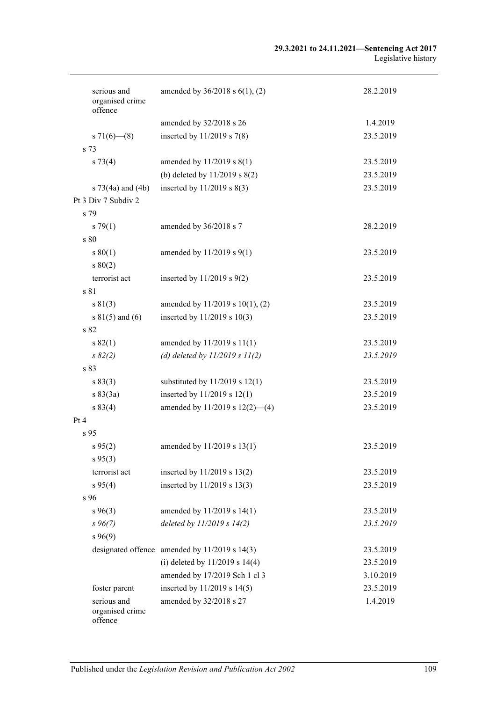#### **29.3.2021 to 24.11.2021—Sentencing Act 2017** Legislative history

| serious and                | amended by $36/2018$ s $6(1)$ , (2)               | 28.2.2019 |
|----------------------------|---------------------------------------------------|-----------|
| organised crime<br>offence |                                                   |           |
|                            |                                                   |           |
|                            | amended by 32/2018 s 26                           | 1.4.2019  |
| s $71(6)$ (8)              | inserted by $11/2019$ s 7(8)                      | 23.5.2019 |
| s 73                       |                                                   |           |
| $s \, 73(4)$               | amended by 11/2019 s 8(1)                         | 23.5.2019 |
|                            | (b) deleted by 11/2019 s 8(2)                     | 23.5.2019 |
| s $73(4a)$ and $(4b)$      | inserted by $11/2019$ s $8(3)$                    | 23.5.2019 |
| Pt 3 Div 7 Subdiv 2        |                                                   |           |
| s 79                       |                                                   |           |
| $s \, 79(1)$               | amended by 36/2018 s 7                            | 28.2.2019 |
| s 80                       |                                                   |           |
| $s\,80(1)$                 | amended by 11/2019 s 9(1)                         | 23.5.2019 |
| s 80(2)                    |                                                   |           |
| terrorist act              | inserted by $11/2019$ s $9(2)$                    | 23.5.2019 |
| s 81                       |                                                   |           |
| s 81(3)                    | amended by 11/2019 s 10(1), (2)                   | 23.5.2019 |
| s $81(5)$ and (6)          | inserted by 11/2019 s 10(3)                       | 23.5.2019 |
| s 82                       |                                                   |           |
|                            |                                                   |           |
| s 82(1)                    | amended by 11/2019 s 11(1)                        | 23.5.2019 |
| $s \, 82(2)$               | (d) deleted by $11/2019 s 11(2)$                  | 23.5.2019 |
| s 83                       |                                                   |           |
| s 83(3)                    | substituted by $11/2019$ s $12(1)$                | 23.5.2019 |
| s 83(3a)                   | inserted by 11/2019 s 12(1)                       | 23.5.2019 |
| s 83(4)                    | amended by $11/2019$ s $12(2)$ —(4)               | 23.5.2019 |
| Pt 4                       |                                                   |           |
| s <sub>95</sub>            |                                                   |           |
| $s\,95(2)$                 | amended by 11/2019 s 13(1)                        | 23.5.2019 |
| s 95(3)                    |                                                   |           |
| terrorist act              | inserted by 11/2019 s 13(2)                       | 23.5.2019 |
| $s\,95(4)$                 | inserted by 11/2019 s 13(3)                       | 23.5.2019 |
| s 96                       |                                                   |           |
| $s\,96(3)$                 | amended by 11/2019 s 14(1)                        | 23.5.2019 |
| $s\,96(7)$                 | deleted by $11/2019 s 14(2)$                      | 23.5.2019 |
| $s\,96(9)$                 |                                                   |           |
|                            | designated offence amended by $11/2019$ s $14(3)$ | 23.5.2019 |
|                            | (i) deleted by $11/2019$ s $14(4)$                | 23.5.2019 |
|                            | amended by 17/2019 Sch 1 cl 3                     | 3.10.2019 |
| foster parent              | inserted by 11/2019 s 14(5)                       | 23.5.2019 |
| serious and                | amended by 32/2018 s 27                           | 1.4.2019  |
| organised crime<br>offence |                                                   |           |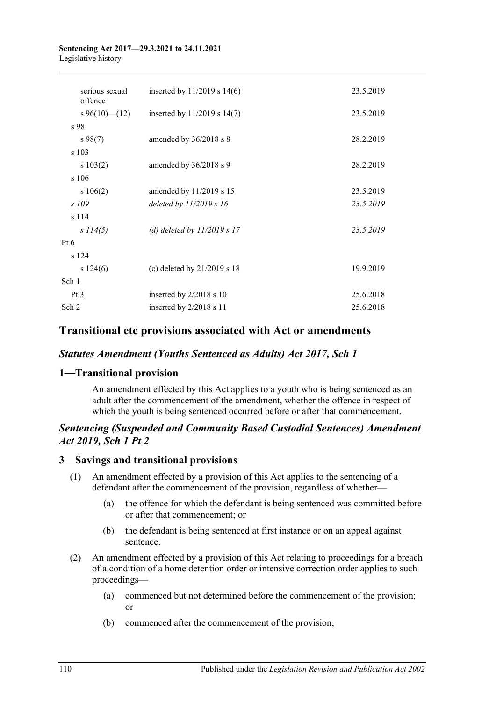### **Sentencing Act 2017—29.3.2021 to 24.11.2021** Legislative history

| serious sexual<br>offence | inserted by $11/2019$ s $14(6)$ | 23.5.2019 |
|---------------------------|---------------------------------|-----------|
| s 96(10)–(12)             | inserted by $11/2019$ s $14(7)$ | 23.5.2019 |
| s 98                      |                                 |           |
| $s\,98(7)$                | amended by 36/2018 s 8          | 28.2.2019 |
| s 103                     |                                 |           |
| s 103(2)                  | amended by 36/2018 s 9          | 28.2.2019 |
| s 106                     |                                 |           |
| s 106(2)                  | amended by 11/2019 s 15         | 23.5.2019 |
| s 109                     | deleted by $11/2019 s 16$       | 23.5.2019 |
| s 114                     |                                 |           |
| s 114(5)                  | (d) deleted by $11/2019 s 17$   | 23.5.2019 |
| Pt $6$                    |                                 |           |
| s 124                     |                                 |           |
| s 124(6)                  | (c) deleted by $21/2019$ s 18   | 19.9.2019 |
| Sch 1                     |                                 |           |
| Pt <sub>3</sub>           | inserted by $2/2018$ s 10       | 25.6.2018 |
| Sch 2                     | inserted by 2/2018 s 11         | 25.6.2018 |
|                           |                                 |           |

# **Transitional etc provisions associated with Act or amendments**

# *Statutes Amendment (Youths Sentenced as Adults) Act 2017, Sch 1*

# **1—Transitional provision**

An amendment effected by this Act applies to a youth who is being sentenced as an adult after the commencement of the amendment, whether the offence in respect of which the youth is being sentenced occurred before or after that commencement.

# *Sentencing (Suspended and Community Based Custodial Sentences) Amendment Act 2019, Sch 1 Pt 2*

# **3—Savings and transitional provisions**

- (1) An amendment effected by a provision of this Act applies to the sentencing of a defendant after the commencement of the provision, regardless of whether—
	- (a) the offence for which the defendant is being sentenced was committed before or after that commencement; or
	- (b) the defendant is being sentenced at first instance or on an appeal against sentence.
- (2) An amendment effected by a provision of this Act relating to proceedings for a breach of a condition of a home detention order or intensive correction order applies to such proceedings—
	- (a) commenced but not determined before the commencement of the provision; or
	- (b) commenced after the commencement of the provision,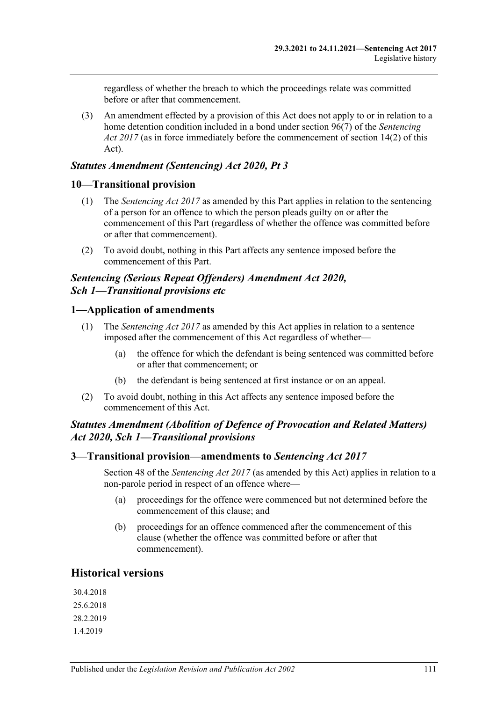regardless of whether the breach to which the proceedings relate was committed before or after that commencement.

(3) An amendment effected by a provision of this Act does not apply to or in relation to a home detention condition included in a bond under section 96(7) of the *[Sentencing](http://www.legislation.sa.gov.au/index.aspx?action=legref&type=act&legtitle=Sentencing%20Act%202017)  Act [2017](http://www.legislation.sa.gov.au/index.aspx?action=legref&type=act&legtitle=Sentencing%20Act%202017)* (as in force immediately before the commencement of section 14(2) of this Act).

# *Statutes Amendment (Sentencing) Act 2020, Pt 3*

### **10—Transitional provision**

- (1) The *[Sentencing Act](http://www.legislation.sa.gov.au/index.aspx?action=legref&type=act&legtitle=Sentencing%20Act%202017) 2017* as amended by this Part applies in relation to the sentencing of a person for an offence to which the person pleads guilty on or after the commencement of this Part (regardless of whether the offence was committed before or after that commencement).
- (2) To avoid doubt, nothing in this Part affects any sentence imposed before the commencement of this Part.

### *Sentencing (Serious Repeat Offenders) Amendment Act 2020, Sch 1—Transitional provisions etc*

# **1—Application of amendments**

- (1) The *[Sentencing Act](http://www.legislation.sa.gov.au/index.aspx?action=legref&type=act&legtitle=Sentencing%20Act%202017) 2017* as amended by this Act applies in relation to a sentence imposed after the commencement of this Act regardless of whether—
	- (a) the offence for which the defendant is being sentenced was committed before or after that commencement; or
	- (b) the defendant is being sentenced at first instance or on an appeal.
- (2) To avoid doubt, nothing in this Act affects any sentence imposed before the commencement of this Act.

# *Statutes Amendment (Abolition of Defence of Provocation and Related Matters) Act 2020, Sch 1—Transitional provisions*

### **3—Transitional provision—amendments to** *Sentencing Act 2017*

Section 48 of the *[Sentencing Act](http://www.legislation.sa.gov.au/index.aspx?action=legref&type=act&legtitle=Sentencing%20Act%202017) 2017* (as amended by this Act) applies in relation to a non-parole period in respect of an offence where—

- (a) proceedings for the offence were commenced but not determined before the commencement of this clause; and
- (b) proceedings for an offence commenced after the commencement of this clause (whether the offence was committed before or after that commencement).

# **Historical versions**

30.4.2018 25.6.2018 28.2.2019 1.4.2019